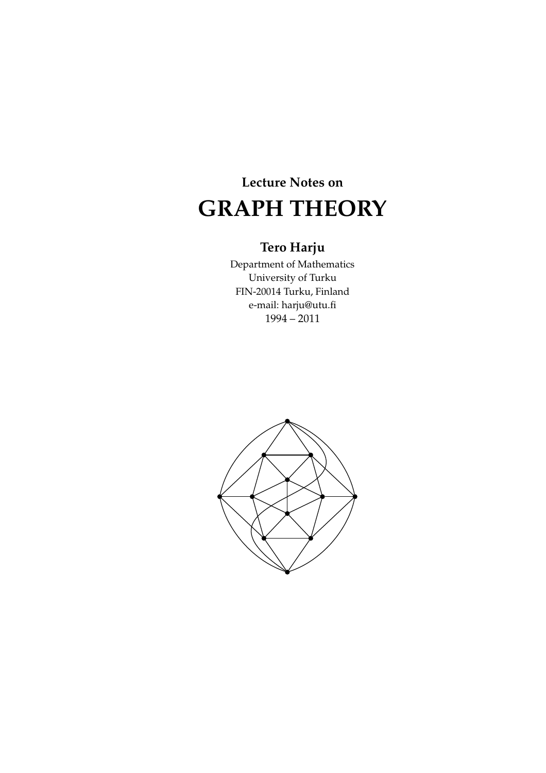# **Lecture Notes on GRAPH THEORY**

## **Tero Harju**

Department of Mathematics University of Turku FIN-20014 Turku, Finland e-mail: harju@utu.fi 1994 – 2011

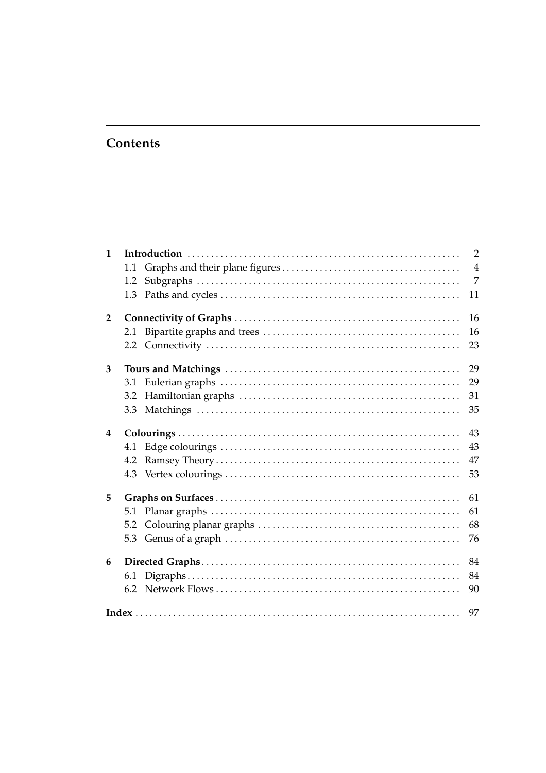## Contents

| $\mathbf{1}$   |     | $\overline{2}$ |
|----------------|-----|----------------|
|                | 1.1 | $\overline{4}$ |
|                | 1.2 | $\overline{7}$ |
|                |     | 11             |
| $\overline{2}$ |     | 16             |
|                | 2.1 | 16             |
|                |     | 23             |
| 3              |     | 29             |
|                |     | 29             |
|                | 3.2 | 31             |
|                |     | 35             |
| $\overline{4}$ |     | 43             |
|                | 4.1 | 43             |
|                | 4.2 | 47             |
|                |     | 53             |
| 5              |     | 61             |
|                | 5.1 | 61             |
|                | 5.2 | 68             |
|                |     | 76             |
| 6              |     | 84             |
|                | 6.1 | 84             |
|                |     | 90             |
|                |     | 97             |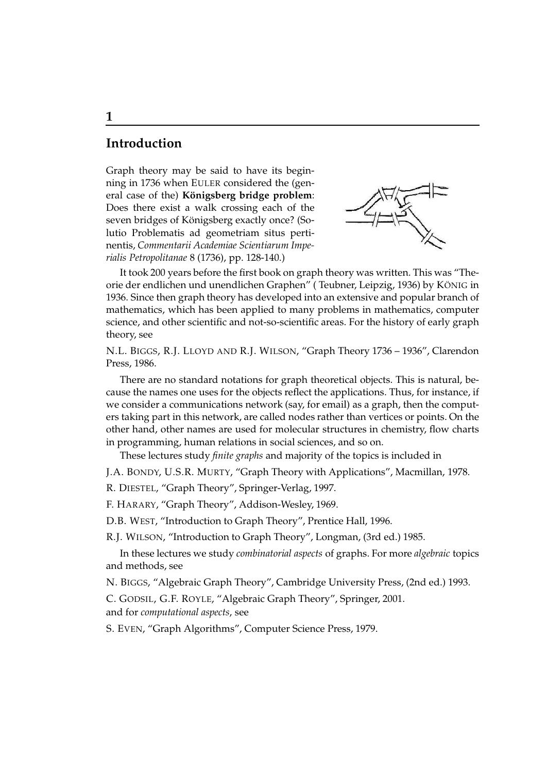## **Introduction**

Graph theory may be said to have its beginning in 1736 when EULER considered the (general case of the) **Königsberg bridge problem**: Does there exist a walk crossing each of the seven bridges of Königsberg exactly once? (Solutio Problematis ad geometriam situs pertinentis, *Commentarii Academiae Scientiarum Imperialis Petropolitanae* 8 (1736), pp. 128-140.)



It took 200 years before the first book on graph theory was written. This was "Theorie der endlichen und unendlichen Graphen" ( Teubner, Leipzig, 1936) by KÖNIG in 1936. Since then graph theory has developed into an extensive and popular branch of mathematics, which has been applied to many problems in mathematics, computer science, and other scientific and not-so-scientific areas. For the history of early graph theory, see

N.L. BIGGS, R.J. LLOYD AND R.J. WILSON, "Graph Theory 1736 – 1936", Clarendon Press, 1986.

There are no standard notations for graph theoretical objects. This is natural, because the names one uses for the objects reflect the applications. Thus, for instance, if we consider a communications network (say, for email) as a graph, then the computers taking part in this network, are called nodes rather than vertices or points. On the other hand, other names are used for molecular structures in chemistry, flow charts in programming, human relations in social sciences, and so on.

These lectures study *finite graphs* and majority of the topics is included in

J.A. BONDY, U.S.R. MURTY, "Graph Theory with Applications", Macmillan, 1978.

R. DIESTEL, "Graph Theory", Springer-Verlag, 1997.

F. HARARY, "Graph Theory", Addison-Wesley, 1969.

D.B. WEST, "Introduction to Graph Theory", Prentice Hall, 1996.

R.J. WILSON, "Introduction to Graph Theory", Longman, (3rd ed.) 1985.

In these lectures we study *combinatorial aspects* of graphs. For more *algebraic* topics and methods, see

N. BIGGS, "Algebraic Graph Theory", Cambridge University Press, (2nd ed.) 1993.

C. GODSIL, G.F. ROYLE, "Algebraic Graph Theory", Springer, 2001. and for *computational aspects*, see

S. EVEN, "Graph Algorithms", Computer Science Press, 1979.

**1**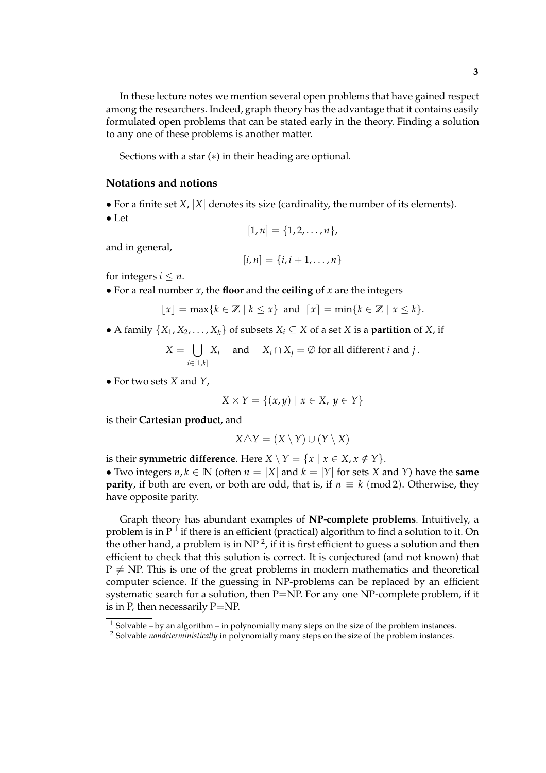In these lecture notes we mention several open problems that have gained respect among the researchers. Indeed, graph theory has the advantage that it contains easily formulated open problems that can be stated early in the theory. Finding a solution to any one of these problems is another matter.

Sections with a star (∗) in their heading are optional.

#### **Notations and notions**

- For a finite set  $X$ ,  $|X|$  denotes its size (cardinality, the number of its elements).
- Let

$$
[1, n] = \{1, 2, \ldots, n\},\
$$

and in general,

$$
[i,n]=\{i,i+1,\ldots,n\}
$$

for integers  $i < n$ .

• For a real number *x*, the **floor** and the **ceiling** of *x* are the integers

 $|x| = \max\{k \in \mathbb{Z} \mid k < x\}$  and  $[x] = \min\{k \in \mathbb{Z} \mid x < k\}.$ 

• A family  $\{X_1, X_2, \ldots, X_k\}$  of subsets  $X_i \subseteq X$  of a set *X* is a **partition** of *X*, if

$$
X = \bigcup_{i \in [1,k]} X_i \quad \text{and} \quad X_i \cap X_j = \emptyset \text{ for all different } i \text{ and } j.
$$

• For two sets *X* and *Y*,

$$
X \times Y = \{(x, y) \mid x \in X, y \in Y\}
$$

is their **Cartesian product**, and

$$
X \triangle Y = (X \setminus Y) \cup (Y \setminus X)
$$

is their **symmetric difference**. Here  $X \setminus Y = \{x \mid x \in X, x \notin Y\}$ .

• Two integers  $n, k \in \mathbb{N}$  (often  $n = |X|$  and  $k = |Y|$  for sets *X* and *Y*) have the **same parity**, if both are even, or both are odd, that is, if  $n \equiv k \pmod{2}$ . Otherwise, they have opposite parity.

Graph theory has abundant examples of **NP-complete problems**. Intuitively, a problem is in  $P<sup>1</sup>$  if there is an efficient (practical) algorithm to find a solution to it. On the other hand, a problem is in NP<sup>2</sup>, if it is first efficient to guess a solution and then efficient to check that this solution is correct. It is conjectured (and not known) that  $P \neq NP$ . This is one of the great problems in modern mathematics and theoretical computer science. If the guessing in NP-problems can be replaced by an efficient systematic search for a solution, then P=NP. For any one NP-complete problem, if it is in P, then necessarily P=NP.

<sup>&</sup>lt;sup>1</sup> Solvable – by an algorithm – in polynomially many steps on the size of the problem instances.

<sup>2</sup> Solvable *nondeterministically* in polynomially many steps on the size of the problem instances.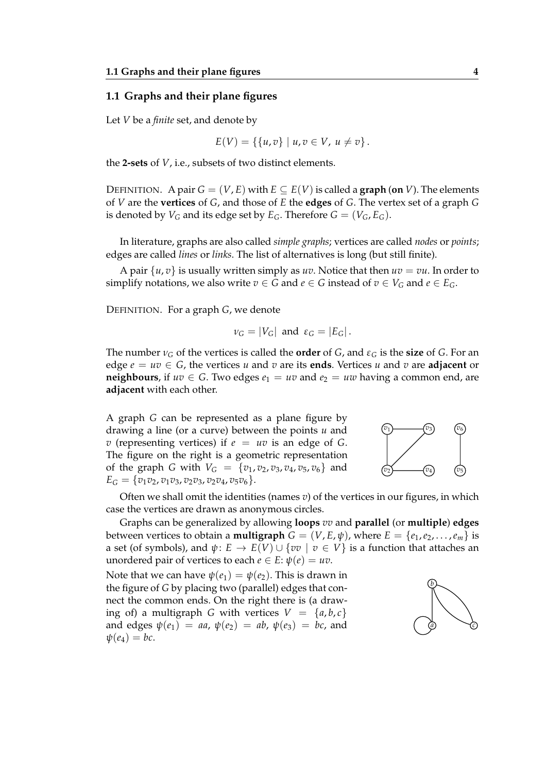## **1.1 Graphs and their plane figures**

Let *V* be a *finite* set, and denote by

$$
E(V) = \{ \{u, v\} \mid u, v \in V, u \neq v \}.
$$

the **2-sets** of *V*, i.e., subsets of two distinct elements.

DEFINITION. A pair  $G = (V, E)$  with  $E \subseteq E(V)$  is called a **graph** (on *V*). The elements of *V* are the **vertices** of *G*, and those of *E* the **edges** of *G*. The vertex set of a graph *G* is denoted by  $V_G$  and its edge set by  $E_G$ . Therefore  $G = (V_G, E_G)$ .

In literature, graphs are also called *simple graphs*; vertices are called *nodes* or *points*; edges are called *lines* or *links*. The list of alternatives is long (but still finite).

A pair  $\{u, v\}$  is usually written simply as *uv*. Notice that then  $uv = vu$ . In order to simplify notations, we also write  $v \in G$  and  $e \in G$  instead of  $v \in V_G$  and  $e \in E_G$ .

DEFINITION. For a graph *G*, we denote

$$
\nu_G = |V_G| \text{ and } \varepsilon_G = |E_G|.
$$

The number  $\nu_G$  of the vertices is called the **order** of *G*, and  $\varepsilon_G$  is the **size** of *G*. For an edge  $e = uv \in G$ , the vertices *u* and *v* are its **ends**. Vertices *u* and *v* are **adjacent** or **neighbours**, if  $uv \in G$ . Two edges  $e_1 = uv$  and  $e_2 = uw$  having a common end, are **adjacent** with each other.

A graph *G* can be represented as a plane figure by drawing a line (or a curve) between the points *u* and *v* (representing vertices) if  $e = uv$  is an edge of *G*. The figure on the right is a geometric representation of the graph *G* with  $V_G = \{v_1, v_2, v_3, v_4, v_5, v_6\}$  and  $E_G = \{v_1v_2, v_1v_3, v_2v_3, v_2v_4, v_5v_6\}.$ 



Often we shall omit the identities (names *v*) of the vertices in our figures, in which case the vertices are drawn as anonymous circles.

Graphs can be generalized by allowing **loops** *vv* and **parallel** (or **multiple**) **edges** between vertices to obtain a **multigraph**  $G = (V, E, \psi)$ , where  $E = \{e_1, e_2, \dots, e_m\}$  is a set (of symbols), and  $\psi: E \to E(V) \cup \{vv \mid v \in V\}$  is a function that attaches an unordered pair of vertices to each  $e \in E$ :  $\psi(e) = uv$ .

Note that we can have  $\psi(e_1) = \psi(e_2)$ . This is drawn in the figure of *G* by placing two (parallel) edges that connect the common ends. On the right there is (a drawing of) a multigraph *G* with vertices  $V = \{a, b, c\}$ and edges  $\psi(e_1) = aa$ ,  $\psi(e_2) = ab$ ,  $\psi(e_3) = bc$ , and  $\psi(e_4) = bc$ .

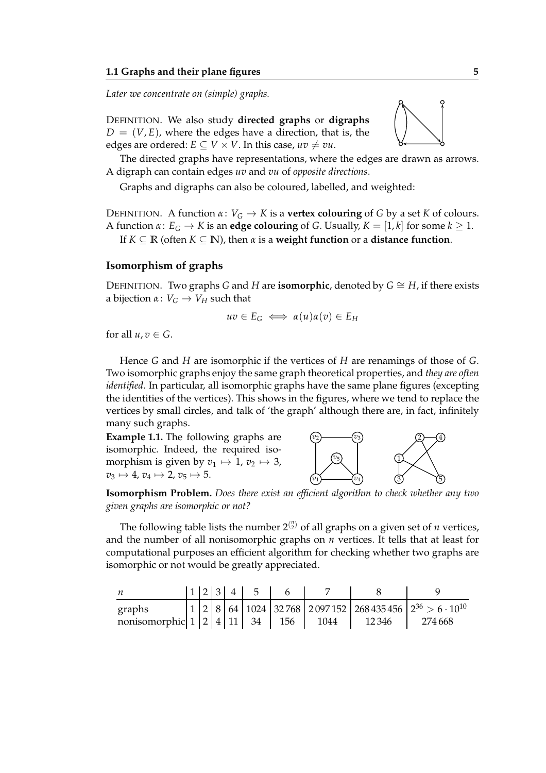*Later we concentrate on (simple) graphs.*

DEFINITION. We also study **directed graphs** or **digraphs**  $D = (V, E)$ , where the edges have a direction, that is, the edges are ordered:  $E \subseteq V \times V$ . In this case,  $uv \neq vu$ .

The directed graphs have representations, where the edges are drawn as arrows. A digraph can contain edges *uv* and *vu* of *opposite directions*.

Graphs and digraphs can also be coloured, labelled, and weighted:

DEFINITION. A function  $α: V_G \to K$  is a **vertex colouring** of *G* by a set *K* of colours. A function  $\alpha: E_G \to K$  is an **edge colouring** of *G*. Usually,  $K = [1, k]$  for some  $k \ge 1$ . If  $K \subseteq \mathbb{R}$  (often  $K \subseteq \mathbb{N}$ ), then  $\alpha$  is a **weight function** or a **distance function**.

#### **Isomorphism of graphs**

DEFINITION. Two graphs *G* and *H* are **isomorphic**, denoted by  $G \cong H$ , if there exists a bijection  $\alpha: V_G \to V_H$  such that

$$
uv \in E_G \iff \alpha(u)\alpha(v) \in E_H
$$

for all  $u, v \in G$ .

Hence *G* and *H* are isomorphic if the vertices of *H* are renamings of those of *G*. Two isomorphic graphs enjoy the same graph theoretical properties, and *they are often identified*. In particular, all isomorphic graphs have the same plane figures (excepting the identities of the vertices). This shows in the figures, where we tend to replace the vertices by small circles, and talk of 'the graph' although there are, in fact, infinitely many such graphs.

**Example 1.1.** The following graphs are isomorphic. Indeed, the required isomorphism is given by  $v_1 \mapsto 1$ ,  $v_2 \mapsto 3$ ,  $v_3 \mapsto 4$ ,  $v_4 \mapsto 2$ ,  $v_5 \mapsto 5$ .



**Isomorphism Problem.** *Does there exist an efficient algorithm to check whether any two given graphs are isomorphic or not?*

The following table lists the number  $2^{n \choose 2}$  of all graphs on a given set of *n* vertices, and the number of all nonisomorphic graphs on *n* vertices. It tells that at least for computational purposes an efficient algorithm for checking whether two graphs are isomorphic or not would be greatly appreciated.

|                                                      |  |  | $12345$ 5 6 |  |                                                                              |
|------------------------------------------------------|--|--|-------------|--|------------------------------------------------------------------------------|
| graphs<br>nonisomorphic $1/2/4$ 11 34 156 1044 12346 |  |  |             |  | $ 1 2 8 64 1024 32768 2097152 268435456 2^{36} > 6 \cdot 10^{10}$<br>274 668 |

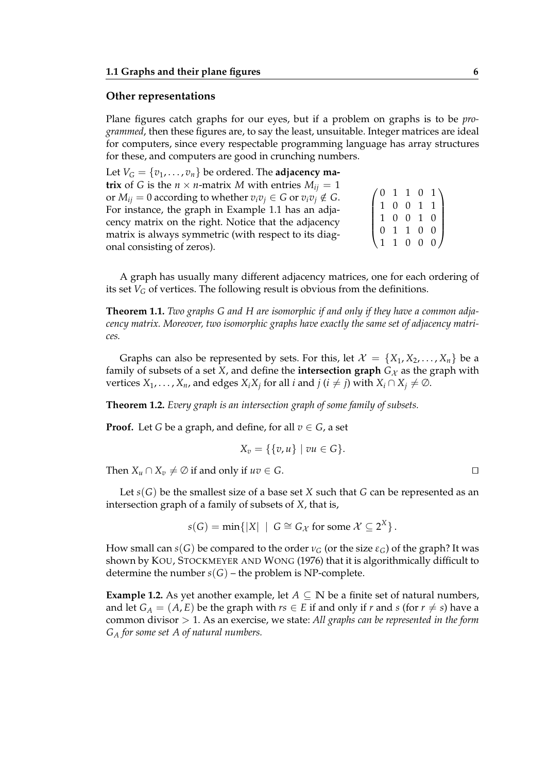#### **Other representations**

Plane figures catch graphs for our eyes, but if a problem on graphs is to be *programmed*, then these figures are, to say the least, unsuitable. Integer matrices are ideal for computers, since every respectable programming language has array structures for these, and computers are good in crunching numbers.

| Let $V_G = \{v_1, \ldots, v_n\}$ be ordered. The adjacency ma-               |  |
|------------------------------------------------------------------------------|--|
| <b>trix</b> of G is the $n \times n$ -matrix M with entries $M_{ii} = 1$     |  |
| or $M_{ij} = 0$ according to whether $v_i v_j \in G$ or $v_i v_j \notin G$ . |  |
| For instance, the graph in Example 1.1 has an adja-                          |  |
| cency matrix on the right. Notice that the adjacency                         |  |
| matrix is always symmetric (with respect to its diag-                        |  |
| onal consisting of zeros).                                                   |  |

A graph has usually many different adjacency matrices, one for each ordering of its set  $V_G$  of vertices. The following result is obvious from the definitions.

**Theorem 1.1.** *Two graphs G and H are isomorphic if and only if they have a common adjacency matrix. Moreover, two isomorphic graphs have exactly the same set of adjacency matrices.*

Graphs can also be represented by sets. For this, let  $\mathcal{X} = \{X_1, X_2, \ldots, X_n\}$  be a family of subsets of a set *X*, and define the **intersection graph**  $G_X$  as the graph with vertices  $X_1, \ldots, X_n$ , and edges  $X_i X_j$  for all *i* and  $j$  ( $i \neq j$ ) with  $X_i \cap X_j \neq \emptyset$ .

**Theorem 1.2.** *Every graph is an intersection graph of some family of subsets.*

**Proof.** Let *G* be a graph, and define, for all  $v \in G$ , a set

$$
X_v = \{ \{v, u\} \mid vu \in G \}.
$$

Then  $X_u \cap X_v \neq \emptyset$  if and only if  $uv \in G$ . □

Let *s*(*G*) be the smallest size of a base set *X* such that *G* can be represented as an intersection graph of a family of subsets of *X*, that is,

$$
s(G) = min\{|X| \mid G \cong G_{\mathcal{X}} \text{ for some } \mathcal{X} \subseteq 2^X\}.
$$

How small can *s*(*G*) be compared to the order  $\nu$ <sup>*G*</sup> (or the size  $\varepsilon$ <sup>*G*</sup>) of the graph? It was shown by KOU, STOCKMEYER AND WONG (1976) that it is algorithmically difficult to determine the number  $s(G)$  – the problem is NP-complete.

**Example 1.2.** As yet another example, let  $A \subseteq \mathbb{N}$  be a finite set of natural numbers, and let  $G_A = (A, E)$  be the graph with  $rs \in E$  if and only if  $r$  and  $s$  (for  $r \neq s$ ) have a common divisor > 1. As an exercise, we state: *All graphs can be represented in the form G<sup>A</sup> for some set A of natural numbers.*

 $\setminus$ 

 $\begin{array}{c} \hline \end{array}$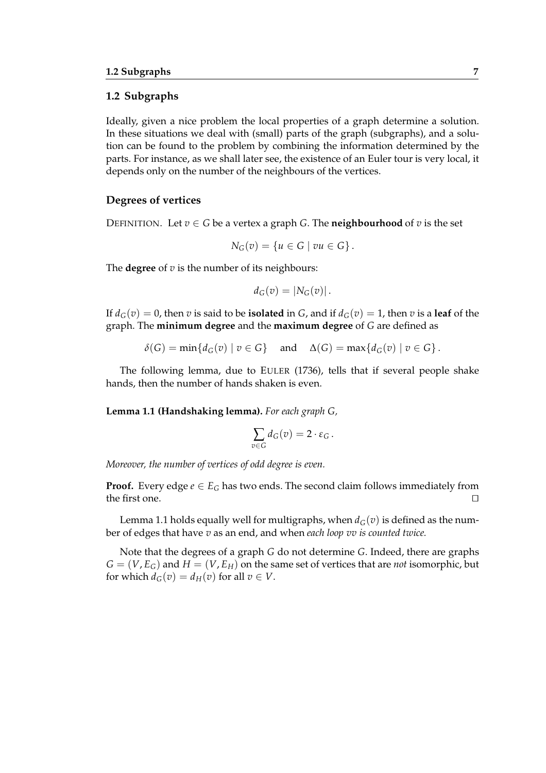#### **1.2 Subgraphs**

Ideally, given a nice problem the local properties of a graph determine a solution. In these situations we deal with (small) parts of the graph (subgraphs), and a solution can be found to the problem by combining the information determined by the parts. For instance, as we shall later see, the existence of an Euler tour is very local, it depends only on the number of the neighbours of the vertices.

#### **Degrees of vertices**

DEFINITION. Let  $v \in G$  be a vertex a graph G. The **neighbourhood** of v is the set

$$
N_G(v) = \{u \in G \mid vu \in G\}.
$$

The **degree** of *v* is the number of its neighbours:

$$
d_G(v)=|N_G(v)|.
$$

If  $d_G(v) = 0$ , then *v* is said to be **isolated** in *G*, and if  $d_G(v) = 1$ , then *v* is a **leaf** of the graph. The **minimum degree** and the **maximum degree** of *G* are defined as

$$
\delta(G) = \min \{ d_G(v) \mid v \in G \} \quad \text{and} \quad \Delta(G) = \max \{ d_G(v) \mid v \in G \}.
$$

The following lemma, due to EULER (1736), tells that if several people shake hands, then the number of hands shaken is even.

#### **Lemma 1.1 (Handshaking lemma).** *For each graph G,*

$$
\sum_{v\in G} d_G(v) = 2\cdot \varepsilon_G\,.
$$

*Moreover, the number of vertices of odd degree is even.*

**Proof.** Every edge  $e \in E_G$  has two ends. The second claim follows immediately from the first one. □

Lemma 1.1 holds equally well for multigraphs, when  $d_G(v)$  is defined as the number of edges that have *v* as an end, and when *each loop vv is counted twice.*

Note that the degrees of a graph *G* do not determine *G*. Indeed, there are graphs  $G = (V, E_G)$  and  $H = (V, E_H)$  on the same set of vertices that are *not* isomorphic, but for which  $d_G(v) = d_H(v)$  for all  $v \in V$ .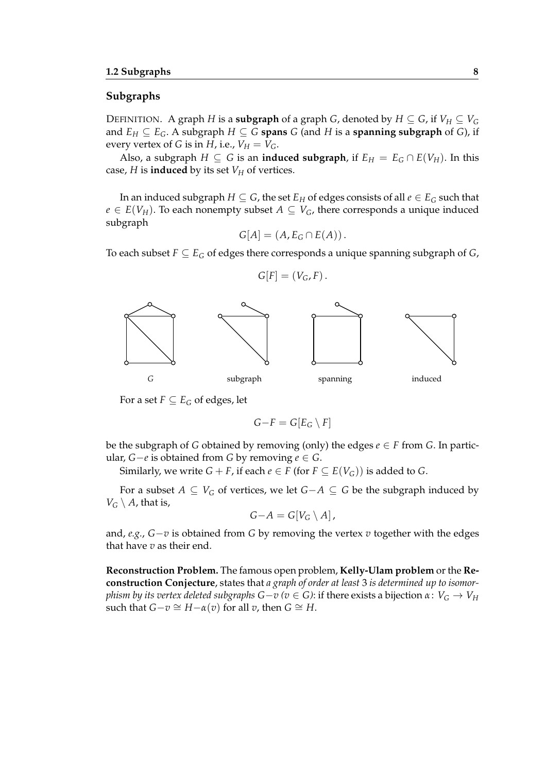## **Subgraphs**

DEFINITION. A graph *H* is a **subgraph** of a graph *G*, denoted by  $H \subseteq G$ , if  $V_H \subseteq V_G$ and  $E$ <sup>*H*</sup> ⊆  $E$ <sup>*G*</sup>. A subgraph *H* ⊆ *G* **spans** *G* (and *H* is a **spanning subgraph** of *G*), if every vertex of *G* is in *H*, i.e.,  $V_H = V_G$ .

Also, a subgraph  $H \subseteq G$  is an **induced subgraph**, if  $E_H = E_G \cap E(V_H)$ . In this case, *H* is **induced** by its set  $V_H$  of vertices.

In an induced subgraph  $H \subseteq G$ , the set  $E_H$  of edges consists of all  $e \in E_G$  such that  $e \in E(V_H)$ . To each nonempty subset  $A \subseteq V_G$ , there corresponds a unique induced subgraph

$$
G[A] = (A, E_G \cap E(A)).
$$

To each subset  $F \subseteq E_G$  of edges there corresponds a unique spanning subgraph of *G*,

 $G[F] = (V_G, F)$ .

$$
\begin{array}{ccc}\n & & \searrow \\
\hline\nG & & \text{subgraph} & & \text{spanning} \\
\end{array}
$$

For a set  $F \subseteq E_G$  of edges, let

$$
G-F=G[E_G\setminus F]
$$

be the subgraph of *G* obtained by removing (only) the edges  $e \in F$  from *G*. In particular, *G*−*e* is obtained from *G* by removing *e* ∈ *G*.

Similarly, we write  $G + F$ , if each  $e \in F$  (for  $F \subseteq E(V_G)$ ) is added to  $G$ .

For a subset *A*  $\subseteq$  *V*<sub>*G*</sub> of vertices, we let *G*−*A*  $\subseteq$  *G* be the subgraph induced by  $V_G \setminus A$ , that is,

$$
G-A=G[V_G\setminus A],
$$

and, *e.g.*, *G*−*v* is obtained from *G* by removing the vertex *v* together with the edges that have *v* as their end.

**Reconstruction Problem.** The famous open problem, **Kelly-Ulam problem** or the **Reconstruction Conjecture**, states that *a graph of order at least* 3 *is determined up to isomorphism by its vertex deleted subgraphs*  $G$ *−<i>v* ( $v \in G$ ): if there exists a bijection  $\alpha$ :  $V_G \rightarrow V_H$ such that  $G - v \cong H - \alpha(v)$  for all *v*, then  $G \cong H$ .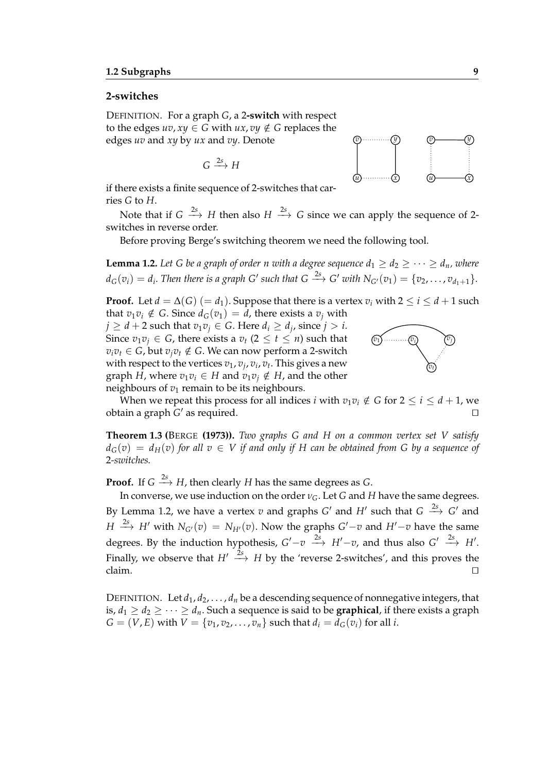#### **2-switches**

DEFINITION. For a graph *G*, a 2**-switch** with respect to the edges  $uv, xy \in G$  with  $ux, vy \notin G$  replaces the edges *uv* and *xy* by *ux* and *vy*. Denote

 $G \xrightarrow{2s} H$ 



if there exists a finite sequence of 2-switches that carries *G* to *H*.

Note that if  $G \stackrel{2s}{\longrightarrow} H$  then also  $H \stackrel{2s}{\longrightarrow} G$  since we can apply the sequence of 2switches in reverse order.

Before proving Berge's switching theorem we need the following tool.

**Lemma 1.2.** Let G be a graph of order n with a degree sequence  $d_1 \geq d_2 \geq \cdots \geq d_n$ , where  $d_G(v_i) = d_i$ . Then there is a graph G' such that  $G \xrightarrow{2s} G'$  with  $N_{G'}(v_1) = \{v_2, \ldots, v_{d_1+1}\}.$ 

**Proof.** Let  $d = \Delta(G) (= d_1)$ . Suppose that there is a vertex  $v_i$  with  $2 \le i \le d+1$  such that  $v_1v_i \notin G$ . Since  $d_G(v_1) = d$ , there exists a  $v_i$  with

 $j \geq d+2$  such that  $v_1v_j \in G$ . Here  $d_i \geq d_j$ , since  $j > i$ . Since  $v_1v_i \in G$ , there exists a  $v_t$  (2  $\leq t \leq n$ ) such that  $v_i v_t \in G$ , but  $v_i v_t \notin G$ . We can now perform a 2-switch with respect to the vertices  $v_1$ ,  $v_j$ ,  $v_i$ ,  $v_t$ . This gives a new graph *H*, where  $v_1v_i \in H$  and  $v_1v_j \notin H$ , and the other neighbours of  $v_1$  remain to be its neighbours.



When we repeat this process for all indices *i* with  $v_1v_i \notin G$  for  $2 \le i \le d+1$ , we obtain a graph *G* ′ as required. ⊓⊔

**Theorem 1.3 (**BERGE **(1973)).** *Two graphs G and H on a common vertex set V satisfy*  $d_G(v) = d_H(v)$  for all  $v \in V$  if and only if H can be obtained from G by a sequence of 2*-switches.*

**Proof.** If  $G \stackrel{2s}{\longrightarrow} H$ , then clearly  $H$  has the same degrees as  $G$ .

In converse, we use induction on the order *νG*. Let *G* and *H* have the same degrees. By Lemma 1.2, we have a vertex  $v$  and graphs  $G'$  and  $H'$  such that  $G \stackrel{2s}{\longrightarrow} G'$  and *H*  $\stackrel{2s}{\longrightarrow}$  *H*' with  $N_{G'}(v) = N_{H'}(v)$ . Now the graphs  $G'-v$  and  $H'-v$  have the same degrees. By the induction hypothesis,  $G'-v \xrightarrow{2s} H'-v$ , and thus also  $G' \xrightarrow{2s} H'$ . Finally, we observe that  $H' \stackrel{2s}{\longrightarrow} H$  by the 'reverse 2-switches', and this proves the claim. ⊓⊔

DEFINITION. Let  $d_1, d_2, \ldots, d_n$  be a descending sequence of nonnegative integers, that is,  $d_1 > d_2 > \cdots > d_n$ . Such a sequence is said to be **graphical**, if there exists a graph  $G = (V, E)$  with  $V = \{v_1, v_2, \dots, v_n\}$  such that  $d_i = d_G(v_i)$  for all *i*.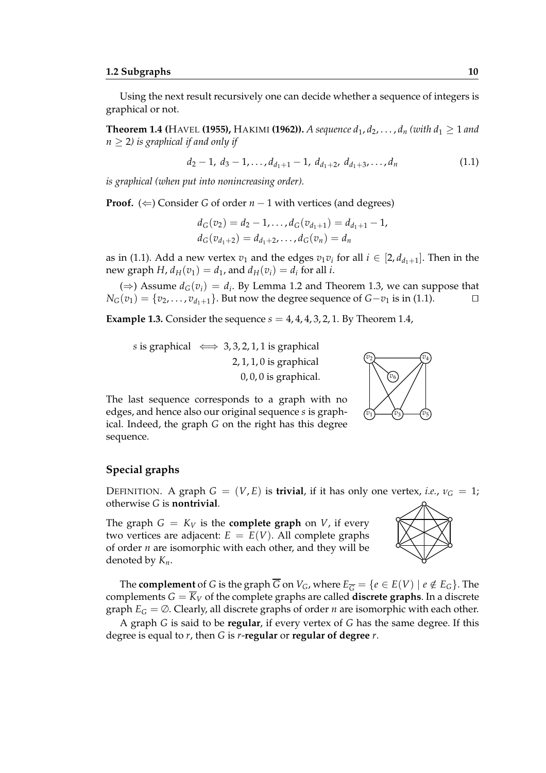Using the next result recursively one can decide whether a sequence of integers is graphical or not.

**Theorem 1.4 (HAVEL (1955), HAKIMI (1962)).** *A sequence*  $d_1, d_2, ..., d_n$  (with  $d_1 \geq 1$  and  $n \geq 2$ *) is graphical if and only if* 

$$
d_2-1, d_3-1,\ldots, d_{d_1+1}-1, d_{d_1+2}, d_{d_1+3},\ldots, d_n \hspace{1.5cm} (1.1)
$$

*is graphical (when put into nonincreasing order).*

**Proof.** ( $\Leftarrow$ ) Consider *G* of order *n* − 1 with vertices (and degrees)

$$
d_G(v_2) = d_2 - 1, ..., d_G(v_{d_1+1}) = d_{d_1+1} - 1,
$$
  
\n
$$
d_G(v_{d_1+2}) = d_{d_1+2}, ..., d_G(v_n) = d_n
$$

as in (1.1). Add a new vertex  $v_1$  and the edges  $v_1v_i$  for all  $i \in [2, d_{d_1+1}]$ . Then in the new graph  $H$ ,  $d_H(v_1) = d_1$ , and  $d_H(v_i) = d_i$  for all *i*.

(⇒) Assume  $d_G(v_i) = d_i$ . By Lemma 1.2 and Theorem 1.3, we can suppose that *N*<sub>G</sub>(*v*<sub>1</sub>) = {*v*<sub>2</sub>, . . . , *v*<sub>*d*<sub>1</sub>+1</sub>}. But now the degree sequence of *G*−*v*<sub>1</sub> is in (1.1). □

**Example 1.3.** Consider the sequence  $s = 4, 4, 4, 3, 2, 1$ . By Theorem 1.4,

*s* is graphical  $\iff$  3, 3, 2, 1, 1 is graphical 2, 1, 1, 0 is graphical 0, 0, 0 is graphical.



The last sequence corresponds to a graph with no edges, and hence also our original sequence *s* is graphical. Indeed, the graph *G* on the right has this degree sequence.

## **Special graphs**

DEFINITION. A graph  $G = (V, E)$  is **trivial**, if it has only one vertex, *i.e.*,  $v_G = 1$ ; otherwise *G* is **nontrivial**.

The graph  $G = K_V$  is the **complete graph** on *V*, if every two vertices are adjacent:  $E = E(V)$ . All complete graphs of order *n* are isomorphic with each other, and they will be denoted by *Kn*.



The **complement** of *G* is the graph  $\overline{G}$  on  $V_G$ , where  $E_{\overline{G}} = \{e \in E(V) \mid e \notin E_G\}$ . The complements  $G = \overline{K}_V$  of the complete graphs are called **discrete graphs**. In a discrete graph  $E_G = \emptyset$ . Clearly, all discrete graphs of order *n* are isomorphic with each other.

A graph *G* is said to be **regular**, if every vertex of *G* has the same degree. If this degree is equal to *r*, then *G* is *r*-**regular** or **regular of degree** *r*.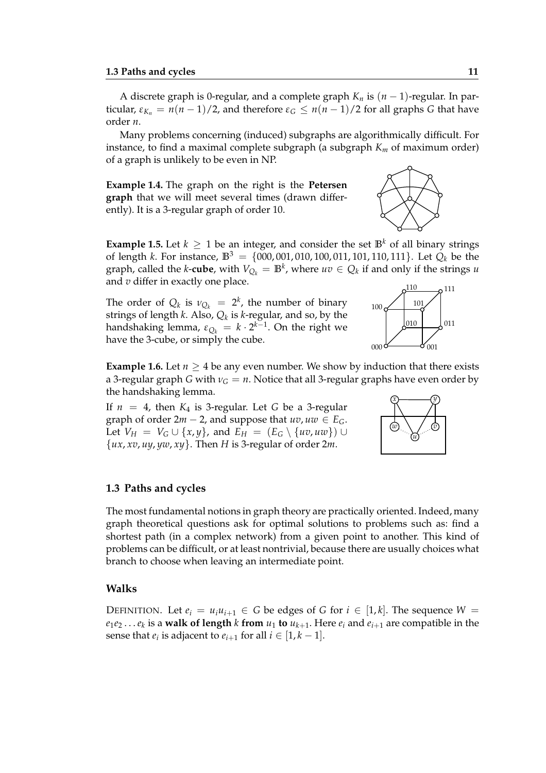A discrete graph is 0-regular, and a complete graph *K<sup>n</sup>* is (*n* − 1)-regular. In particular,  $ε<sub>K<sub>n</sub></sub> = n(n-1)/2$ , and therefore  $ε<sub>G</sub> ≤ n(n-1)/2$  for all graphs *G* that have order *n*.

Many problems concerning (induced) subgraphs are algorithmically difficult. For instance, to find a maximal complete subgraph (a subgraph *K<sup>m</sup>* of maximum order) of a graph is unlikely to be even in NP.

**Example 1.4.** The graph on the right is the **Petersen graph** that we will meet several times (drawn differently). It is a 3-regular graph of order 10.



**Example 1.5.** Let  $k \geq 1$  be an integer, and consider the set  $\mathbb{B}^k$  of all binary strings of length *k*. For instance, **B**<sup>3</sup> = {000, 001, 010, 100, 011, 101, 110, 111}. Let *Q<sup>k</sup>* be the graph, called the *k*-cube, with  $V_{Q_k} = \mathbb{B}^k$ , where  $uv \in Q_k$  if and only if the strings *u* and *v* differ in exactly one place.

The order of  $Q_k$  is  $v_{Q_k} = 2^k$ , the number of binary strings of length *k*. Also, *Q<sup>k</sup>* is *k*-regular, and so, by the handshaking lemma,  $\varepsilon_{Q_k} = k \cdot 2^{k-1}$ . On the right we have the 3-cube, or simply the cube.



**Example 1.6.** Let  $n > 4$  be any even number. We show by induction that there exists a 3-regular graph *G* with  $v_G = n$ . Notice that all 3-regular graphs have even order by the handshaking lemma.

If  $n = 4$ , then  $K_4$  is 3-regular. Let *G* be a 3-regular graph of order  $2m - 2$ , and suppose that  $uv, uw \in E_G$ . Let  $V_H = V_G \cup \{x, y\}$ , and  $E_H = (E_G \setminus \{uv, uw\}) \cup$ {*ux*, *xv*, *uy*, *yw*, *xy*}. Then *H* is 3-regular of order 2*m*.

## **1.3 Paths and cycles**

The most fundamental notions in graph theory are practically oriented. Indeed, many graph theoretical questions ask for optimal solutions to problems such as: find a shortest path (in a complex network) from a given point to another. This kind of problems can be difficult, or at least nontrivial, because there are usually choices what branch to choose when leaving an intermediate point.

#### **Walks**

DEFINITION. Let  $e_i = u_i u_{i+1} \in G$  be edges of *G* for  $i \in [1, k]$ . The sequence  $W =$  $e_1e_2\ldots e_k$  is a **walk of length**  $k$  **from**  $u_1$  **to**  $u_{k+1}$ . Here  $e_i$  and  $e_{i+1}$  are compatible in the sense that  $e_i$  is adjacent to  $e_{i+1}$  for all  $i \in [1, k-1]$ .

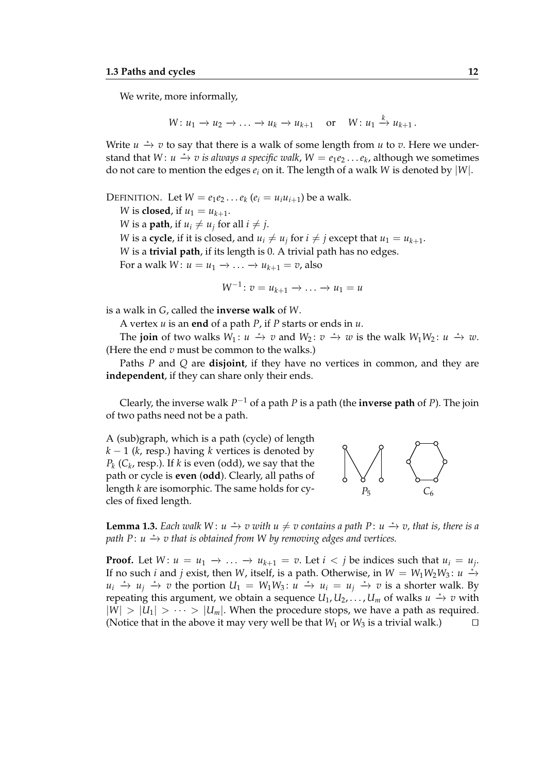We write, more informally,

$$
W: u_1 \to u_2 \to \ldots \to u_k \to u_{k+1} \quad \text{or} \quad W: u_1 \xrightarrow{k} u_{k+1}.
$$

Write *u*  $\stackrel{\star}{\rightarrow} v$  to say that there is a walk of some length from *u* to *v*. Here we understand that  $W: u \stackrel{*}{\to} v$  *is always a specific walk,*  $W = e_1e_2 \dots e_k$ , although we sometimes do not care to mention the edges *e<sup>i</sup>* on it. The length of a walk *W* is denoted by |*W*|.

DEFINITION. Let  $W = e_1e_2 \ldots e_k$   $(e_i = u_iu_{i+1})$  be a walk. *W* is **closed**, if  $u_1 = u_{k+1}$ . *W* is a **path**, if  $u_i \neq u_j$  for all  $i \neq j$ . *W* is a **cycle**, if it is closed, and  $u_i \neq u_j$  for  $i \neq j$  except that  $u_1 = u_{k+1}$ . *W* is a **trivial path**, if its length is 0. A trivial path has no edges. For a walk  $W: u = u_1 \rightarrow \dots \rightarrow u_{k+1} = v$ , also

 $W^{-1}$ :  $v = u_{k+1} \to \ldots \to u_1 = u$ 

is a walk in *G*, called the **inverse walk** of *W*.

A vertex *u* is an **end** of a path *P*, if *P* starts or ends in *u*.

The **join** of two walks  $W_1: u \stackrel{*}{\to} v$  and  $W_2: v \stackrel{*}{\to} w$  is the walk  $W_1W_2: u \stackrel{*}{\to} w$ . (Here the end *v* must be common to the walks.)

Paths *P* and *Q* are **disjoint**, if they have no vertices in common, and they are **independent**, if they can share only their ends.

Clearly, the inverse walk *P* <sup>−</sup><sup>1</sup> of a path *P* is a path (the **inverse path** of *P*). The join of two paths need not be a path.

A (sub)graph, which is a path (cycle) of length  $k - 1$  ( $k$ , resp.) having  $k$  vertices is denoted by *Pk* (*C<sup>k</sup>* , resp.). If *k* is even (odd), we say that the path or cycle is **even** (**odd**). Clearly, all paths of length *k* are isomorphic. The same holds for cycles of fixed length.



**Lemma 1.3.** *Each walk*  $W: u \overset{*}{\to} v$  *with*  $u \neq v$  *contains a path*  $P: u \overset{*}{\to} v$ *, that is, there is a path P*: *u* <sup>⋆</sup>−→ *v that is obtained from W by removing edges and vertices.*

**Proof.** Let  $W: u = u_1 \rightarrow \ldots \rightarrow u_{k+1} = v$ . Let  $i < j$  be indices such that  $u_i = u_j$ . If no such *i* and *j* exist, then *W*, itself, is a path. Otherwise, in  $W = W_1W_2W_3$ :  $u \stackrel{*}{\rightarrow}$ *u*<sub>*i*</sub>  $\stackrel{*}{\to} u_j \stackrel{*}{\to} v$  the portion *U*<sub>1</sub> = *W*<sub>1</sub>*W*<sub>3</sub>: *u*<sup> $\stackrel{*}{\to} u_i = u_j \stackrel{*}{\to} v$  is a shorter walk. By</sup> repeating this argument, we obtain a sequence  $U_1, U_2, \ldots, U_m$  of walks  $u \stackrel{*}{\rightarrow} v$  with  $|W| > |U_1| > \cdots > |U_m|$ . When the procedure stops, we have a path as required. (Notice that in the above it may very well be that *W*<sub>1</sub> or *W*<sub>3</sub> is a trivial walk.) □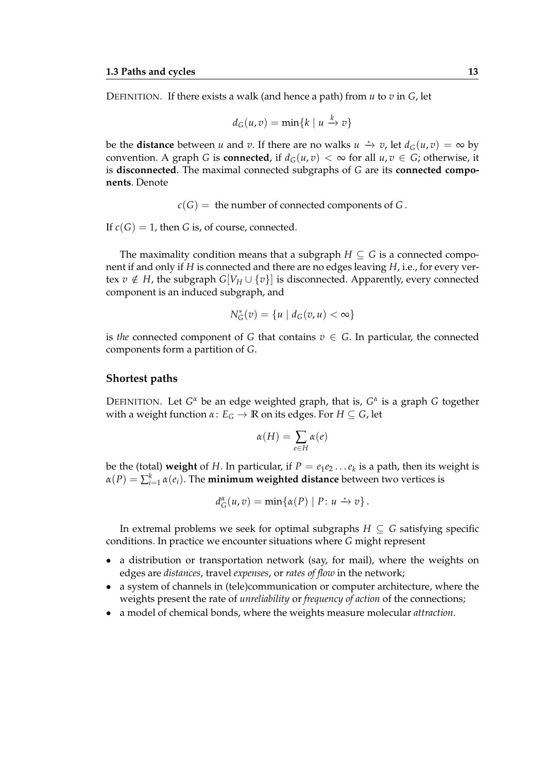DEFINITION. If there exists a walk (and hence a path) from *u* to *v* in *G*, let

$$
d_G(u,v)=\min\{k\mid u\stackrel{k}{\to}v\}
$$

be the **distance** between *u* and *v*. If there are no walks  $u \stackrel{*}{\rightarrow} v$ , let  $d_G(u, v) = \infty$  by convention. A graph *G* is **connected**, if  $d_G(u,v) < \infty$  for all  $u, v \in G$ ; otherwise, it is **disconnected**. The maximal connected subgraphs of *G* are its **connected components**. Denote

 $c(G)$  = the number of connected components of *G*.

If  $c(G) = 1$ , then *G* is, of course, connected.

The maximality condition means that a subgraph  $H \subseteq G$  is a connected component if and only if *H* is connected and there are no edges leaving *H*, i.e., for every vertex *v* ∉ *H*, the subgraph  $G[V_H \cup \{v\}]$  is disconnected. Apparently, every connected component is an induced subgraph, and

$$
N_G^*(v) = \{u \mid d_G(v, u) < \infty\}
$$

is *the* connected component of *G* that contains  $v \in G$ . In particular, the connected components form a partition of *G*.

#### **Shortest paths**

DEFINITION. Let *G<sup>α</sup>* be an edge weighted graph, that is, *G<sup>α</sup>* is a graph *G* together with a weight function  $\alpha: E_G \to \mathbb{R}$  on its edges. For  $H \subseteq G$ , let

$$
\alpha(H) = \sum_{e \in H} \alpha(e)
$$

be the (total) **weight** of *H*. In particular, if  $P = e_1e_2 \ldots e_k$  is a path, then its weight is  $\alpha(P) = \sum_{i=1}^k \alpha(e_i).$  The **minimum weighted distance** between two vertices is

$$
d_G^{\alpha}(u,v)=\min\{\alpha(P) \mid P\colon u \stackrel{*}{\to} v\}.
$$

In extremal problems we seek for optimal subgraphs  $H \subseteq G$  satisfying specific conditions. In practice we encounter situations where *G* might represent

- a distribution or transportation network (say, for mail), where the weights on edges are *distances*, travel *expenses*, or *rates of flow* in the network;
- a system of channels in (tele)communication or computer architecture, where the weights present the rate of *unreliability* or *frequency of action* of the connections;
- a model of chemical bonds, where the weights measure molecular *attraction*.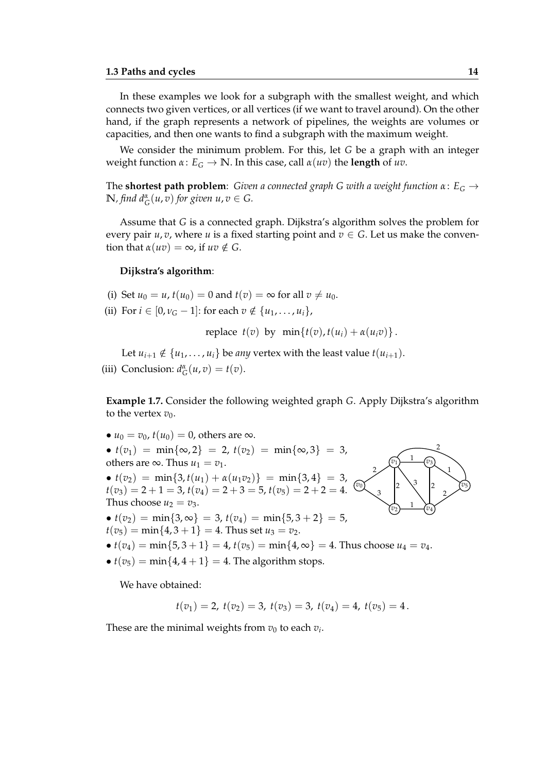In these examples we look for a subgraph with the smallest weight, and which connects two given vertices, or all vertices (if we want to travel around). On the other hand, if the graph represents a network of pipelines, the weights are volumes or capacities, and then one wants to find a subgraph with the maximum weight.

We consider the minimum problem. For this, let *G* be a graph with an integer weight function *α*: *E<sup>G</sup>* → **N**. In this case, call *α*(*uv*) the **length** of *uv*.

The **shortest path problem**: *Given a connected graph G with a weight function*  $\alpha$ :  $E_G \rightarrow$  $\mathbb{N}$ *, find*  $d_G^{\alpha}(u, v)$  *for given*  $u, v \in G$ *.* 

Assume that *G* is a connected graph. Dijkstra's algorithm solves the problem for every pair  $u, v$ , where  $u$  is a fixed starting point and  $v \in G$ . Let us make the convention that  $\alpha(uv) = \infty$ , if  $uv \notin G$ .

#### **Dijkstra's algorithm**:

(i) Set 
$$
u_0 = u
$$
,  $t(u_0) = 0$  and  $t(v) = \infty$  for all  $v \neq u_0$ .

(ii) For  $i \in [0, \nu_G - 1]$ : for each  $v \notin \{u_1, \dots, u_i\}$ ,

replace  $t(v)$  by  $\min\{t(v), t(u_i) + \alpha(u_iv)\}$ .

Let  $u_{i+1} \notin \{u_1, \ldots, u_i\}$  be any vertex with the least value  $t(u_{i+1})$ .

(iii) Conclusion:  $d_G^{\alpha}(u, v) = t(v)$ .

**Example 1.7.** Consider the following weighted graph *G*. Apply Dijkstra's algorithm to the vertex  $v_0$ .

•  $u_0 = v_0$ ,  $t(u_0) = 0$ , others are  $\infty$ .  $\bullet$  *t*(*v*<sub>1</sub>) = min{∞, 2} = 2, *t*(*v*<sub>2</sub>) = min{∞, 3} = 3, others are  $\infty$ . Thus  $u_1 = v_1$ .  $\bullet$   $t(v_2) = \min\{3, t(u_1) + \alpha(u_1v_2)\} = \min\{3, 4\} = 3,$  $t(v_3) = 2 + 1 = 3$ ,  $t(v_4) = 2 + 3 = 5$ ,  $t(v_5) = 2 + 2 = 4$ . Thus choose  $u_2 = v_3$ . •  $t(v_2) = \min\{3, \infty\} = 3$ ,  $t(v_4) = \min\{5, 3 + 2\} = 5$ ,  $t(v_5) = min\{4, 3 + 1\} = 4$ . Thus set  $u_3 = v_2$ . *v*0 *v*1 *v*2 *v*3 *v*4 *v*5 2 3 1 3 2 1 2 1 2 2 •  $t(v_4) = \min\{5, 3 + 1\} = 4$ ,  $t(v_5) = \min\{4, \infty\} = 4$ . Thus choose  $u_4 = v_4$ . •  $t(v_5) = \min\{4, 4 + 1\} = 4$ . The algorithm stops.

We have obtained:

$$
t(v_1) = 2, t(v_2) = 3, t(v_3) = 3, t(v_4) = 4, t(v_5) = 4.
$$

These are the minimal weights from  $v_0$  to each  $v_i$ .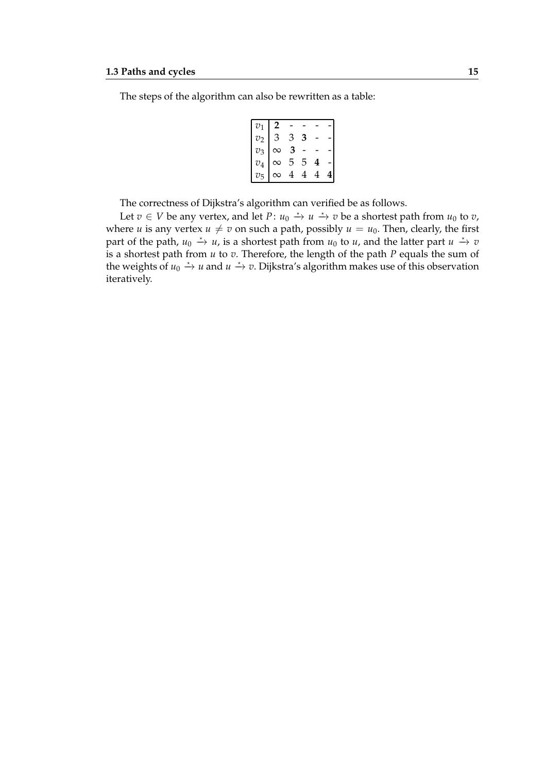The steps of the algorithm can also be rewritten as a table:

| $v_2$ |  |  |  |
|-------|--|--|--|
| $v_3$ |  |  |  |
| $v_4$ |  |  |  |
|       |  |  |  |

The correctness of Dijkstra's algorithm can verified be as follows.

Let  $v \in V$  be any vertex, and let  $P: u_0 \stackrel{*}{\to} u \stackrel{*}{\to} v$  be a shortest path from  $u_0$  to  $v$ , where *u* is any vertex  $u \neq v$  on such a path, possibly  $u = u_0$ . Then, clearly, the first part of the path,  $u_0 \rightarrow u$ , is a shortest path from  $u_0$  to  $u$ , and the latter part  $u \rightarrow v$ is a shortest path from *u* to *v*. Therefore, the length of the path *P* equals the sum of the weights of  $u_0 \stackrel{*}{\rightarrow} u$  and  $u \stackrel{*}{\rightarrow} v$ . Dijkstra's algorithm makes use of this observation iteratively.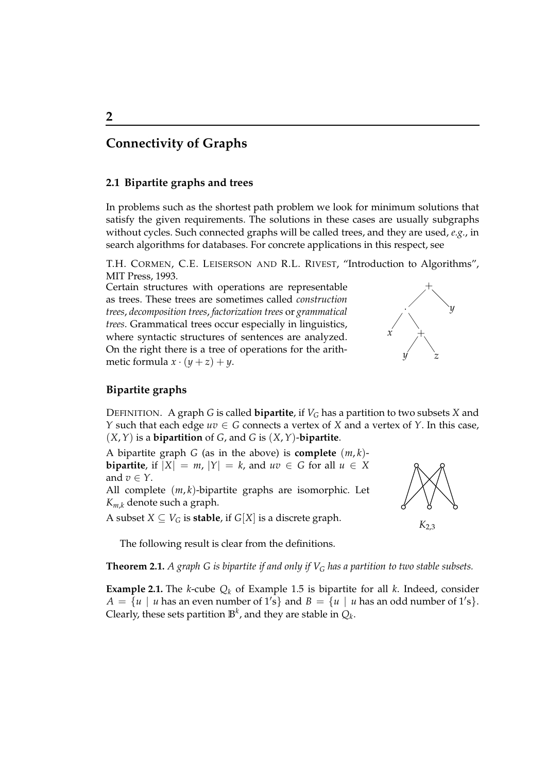## **Connectivity of Graphs**

## **2.1 Bipartite graphs and trees**

In problems such as the shortest path problem we look for minimum solutions that satisfy the given requirements. The solutions in these cases are usually subgraphs without cycles. Such connected graphs will be called trees, and they are used, *e.g.*, in search algorithms for databases. For concrete applications in this respect, see

T.H. CORMEN, C.E. LEISERSON AND R.L. RIVEST, "Introduction to Algorithms", MIT Press, 1993.

Certain structures with operations are representable as trees. These trees are sometimes called *construction trees*, *decomposition trees*, *factorization trees* or *grammatical trees*. Grammatical trees occur especially in linguistics, where syntactic structures of sentences are analyzed. On the right there is a tree of operations for the arithmetic formula  $x \cdot (y + z) + y$ .



## **Bipartite graphs**

DEFINITION. A graph *G* is called **bipartite**, if *V<sup>G</sup>* has a partition to two subsets *X* and *Y* such that each edge  $uv ∈ G$  connects a vertex of *X* and a vertex of *Y*. In this case, (*X*,*Y*) is a **bipartition** of *G*, and *G* is (*X*,*Y*)-**bipartite**.

A bipartite graph *G* (as in the above) is **complete** (*m*, *k*) **bipartite**, if  $|X| = m$ ,  $|Y| = k$ , and  $uv \in G$  for all  $u \in X$ and  $v \in Y$ .

All complete (*m*, *k*)-bipartite graphs are isomorphic. Let *Km*,*<sup>k</sup>* denote such a graph.

A subset *X*  $\subseteq$  *V<sub>G</sub>* is **stable**, if *G*[*X*] is a discrete graph. *K*<sub>2.3</sub>

The following result is clear from the definitions.

**Theorem 2.1.** *A graph G is bipartite if and only if V<sup>G</sup> has a partition to two stable subsets.*

**Example 2.1.** The *k*-cube  $Q_k$  of Example 1.5 is bipartite for all *k*. Indeed, consider  $A = \{u \mid u \text{ has an even number of } 1's\}$  and  $B = \{u \mid u \text{ has an odd number of } 1's\}.$ Clearly, these sets partition  $\mathbb{B}^k$ , and they are stable in  $Q_k$ .



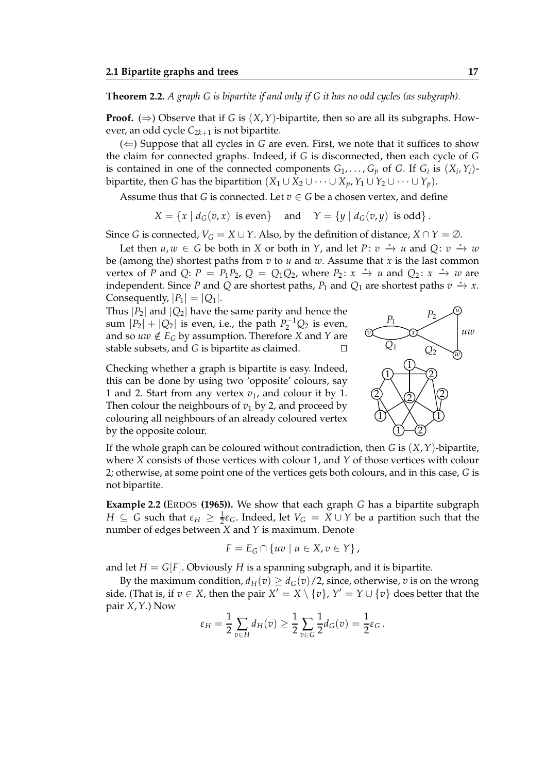**Theorem 2.2.** *A graph G is bipartite if and only if G it has no odd cycles (as subgraph).*

**Proof.** ( $\Rightarrow$ ) Observe that if *G* is  $(X, Y)$ -bipartite, then so are all its subgraphs. However, an odd cycle *C*2*k*+<sup>1</sup> is not bipartite.

 $(\Leftarrow)$  Suppose that all cycles in *G* are even. First, we note that it suffices to show the claim for connected graphs. Indeed, if *G* is disconnected, then each cycle of *G* is contained in one of the connected components  $G_1, \ldots, G_p$  of  $G$ . If  $G_i$  is  $(X_i, Y_i)$ bipartite, then *G* has the bipartition  $(X_1 \cup X_2 \cup \cdots \cup X_p, Y_1 \cup Y_2 \cup \cdots \cup Y_p)$ .

Assume thus that *G* is connected. Let  $v \in G$  be a chosen vertex, and define

 $X = \{x \mid d_G(v, x) \text{ is even} \}$  and  $Y = \{y \mid d_G(v, y) \text{ is odd} \}.$ 

Since *G* is connected,  $V_G = X \cup Y$ . Also, by the definition of distance,  $X \cap Y = \emptyset$ .

Let then  $u, w \in G$  be both in *X* or both in *Y*, and let  $P: v \rightarrow u$  and  $Q: v \rightarrow w$ be (among the) shortest paths from *v* to *u* and *w*. Assume that *x* is the last common vertex of *P* and *Q*:  $P = P_1P_2$ ,  $Q = Q_1Q_2$ , where  $P_2: x \rightarrow u$  and  $Q_2: x \rightarrow w$  are independent. Since *P* and *Q* are shortest paths,  $P_1$  and  $Q_1$  are shortest paths  $v \stackrel{*}{\rightarrow} x$ . Consequently,  $|P_1| = |Q_1|$ .

Thus  $|P_2|$  and  $|Q_2|$  have the same parity and hence the sum  $|P_2| + |Q_2|$  is even, i.e., the path  $P_2^{-1}Q_2$  is even, and so  $uw \notin E_G$  by assumption. Therefore *X* and *Y* are stable subsets, and *G* is bipartite as claimed. □

Checking whether a graph is bipartite is easy. Indeed, this can be done by using two 'opposite' colours, say 1 and 2. Start from any vertex *v*1, and colour it by 1. Then colour the neighbours of  $v_1$  by 2, and proceed by colouring all neighbours of an already coloured vertex by the opposite colour.



If the whole graph can be coloured without contradiction, then *G* is (*X*,*Y*)-bipartite, where *X* consists of those vertices with colour 1, and *Y* of those vertices with colour 2; otherwise, at some point one of the vertices gets both colours, and in this case, *G* is not bipartite.

**Example 2.2 (**ERDÖS **(1965)).** We show that each graph *G* has a bipartite subgraph *H*  $\subseteq$  *G* such that  $\varepsilon_H \geq \frac{1}{2}\varepsilon_G$ . Indeed, let  $V_G = X \cup Y$  be a partition such that the number of edges between *X* and *Y* is maximum. Denote

$$
F = E_G \cap \{uv \mid u \in X, v \in Y\},\
$$

and let  $H = G[F]$ . Obviously *H* is a spanning subgraph, and it is bipartite.

By the maximum condition,  $d_H(v) \geq d_G(v)/2$ , since, otherwise, *v* is on the wrong side. (That is, if  $v \in X$ , then the pair  $X' = X \setminus \{v\}$ ,  $Y' = Y \cup \{v\}$  does better that the pair *X*,*Y*.) Now

$$
\varepsilon_H = \frac{1}{2} \sum_{v \in H} d_H(v) \ge \frac{1}{2} \sum_{v \in G} \frac{1}{2} d_G(v) = \frac{1}{2} \varepsilon_G.
$$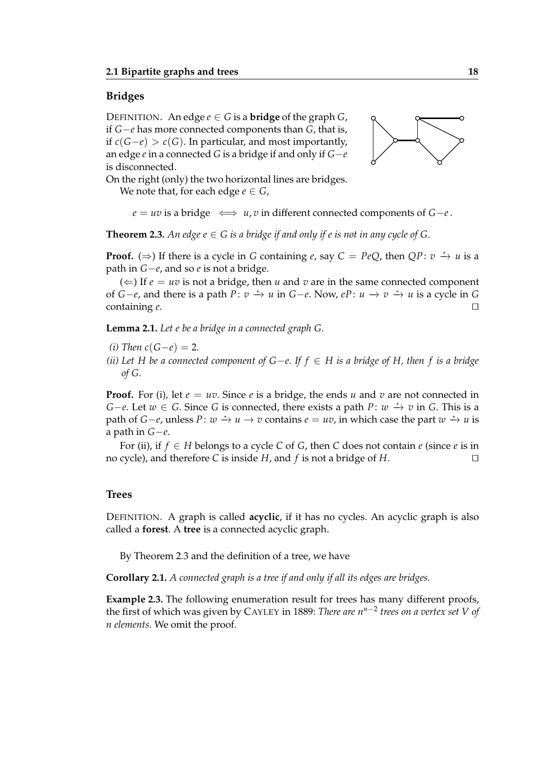## **Bridges**

DEFINITION. An edge  $e \in G$  is a **bridge** of the graph  $G$ , if *G*−*e* has more connected components than *G*, that is, if *c*( $G−e$ ) > *c*( $G$ ). In particular, and most importantly, an edge *e* in a connected *G* is a bridge if and only if *G*−*e* is disconnected.

On the right (only) the two horizontal lines are bridges.

We note that, for each edge  $e \in G$ ,



 $e = uv$  is a bridge  $\iff u, v$  in different connected components of  $G-e$ .

**Theorem 2.3.** An edge  $e \in G$  is a bridge if and only if e is not in any cycle of G.

**Proof.** ( $\Rightarrow$ ) If there is a cycle in *G* containing *e*, say  $C = PeQ$ , then  $QP: v \rightarrow u$  is a path in *G*−*e*, and so *e* is not a bridge.

 $(\Leftarrow)$  If  $e = uv$  is not a bridge, then *u* and *v* are in the same connected component of *G*−*e*, and there is a path  $P: v \to u$  in *G*−*e*. Now, *eP*:  $u \to v \to u$  is a cycle in *G* containing *e*. □

**Lemma 2.1.** *Let e be a bridge in a connected graph G.*

- *(i) Then*  $c(G-e) = 2$ *.*
- *(ii) Let H be a connected component of G*−*e. If f* ∈ *H is a bridge of H, then f is a bridge of G.*

**Proof.** For (i), let  $e = uv$ . Since  $e$  is a bridge, the ends  $u$  and  $v$  are not connected in *G*−*e*. Let *w* ∈ *G*. Since *G* is connected, there exists a path *P*: *w*  $\stackrel{*}{\rightarrow} v$  in *G*. This is a path of *G−e*, unless  $P: w \stackrel{*}{\to} u \to v$  contains  $e = uv$ , in which case the part  $w \stackrel{*}{\to} u$  is a path in *G*−*e*.

For (ii), if  $f \in H$  belongs to a cycle *C* of *G*, then *C* does not contain *e* (since *e* is in no cycle), and therefore *C* is inside *H*, and *f* is not a bridge of *H*. ⊓⊔

#### **Trees**

DEFINITION. A graph is called **acyclic**, if it has no cycles. An acyclic graph is also called a **forest**. A **tree** is a connected acyclic graph.

By Theorem 2.3 and the definition of a tree, we have

**Corollary 2.1.** *A connected graph is a tree if and only if all its edges are bridges.*

**Example 2.3.** The following enumeration result for trees has many different proofs, the first of which was given by CAYLEY in 1889: *There are nn*−<sup>2</sup> *trees on a vertex set V of n elements.* We omit the proof.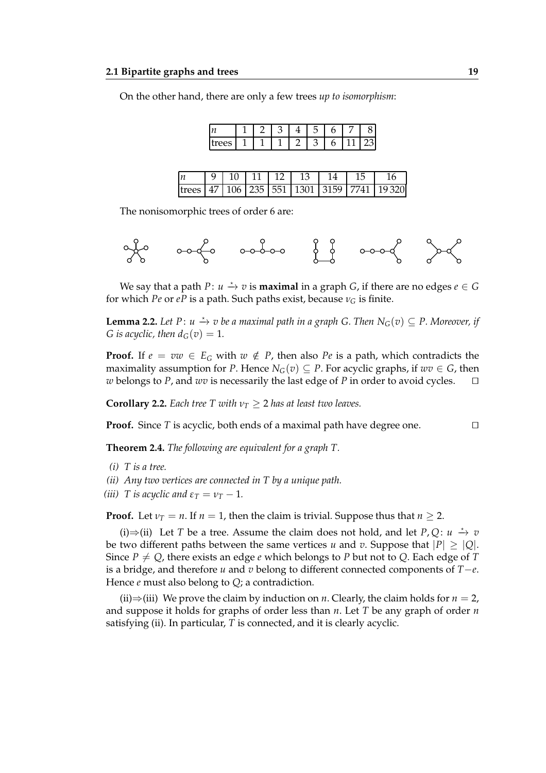On the other hand, there are only a few trees *up to isomorphism*:

| UU |  |  |  |  |
|----|--|--|--|--|

| n |  |  | 9 10 11 12 13 14 15 |  |                                                           |
|---|--|--|---------------------|--|-----------------------------------------------------------|
|   |  |  |                     |  | trees   47   106   235   551   1301   3159   7741   19320 |

The nonisomorphic trees of order 6 are:



We say that a path  $P: u \stackrel{*}{\to} v$  is **maximal** in a graph *G*, if there are no edges  $e \in G$ for which *Pe* or *eP* is a path. Such paths exist, because  $\nu_G$  is finite.

**Lemma 2.2.** Let P:  $u \stackrel{*}{\to} v$  be a maximal path in a graph G. Then  $N_G(v) ⊆ P$ . Moreover, if *G* is acyclic, then  $d_G(v) = 1$ .

**Proof.** If  $e = vw \in E_G$  with  $w \notin P$ , then also  $Pe$  is a path, which contradicts the maximality assumption for *P*. Hence  $N_G(v) \subseteq P$ . For acyclic graphs, if  $wv \in G$ , then *w* belongs to *P*, and *wv* is necessarily the last edge of *P* in order to avoid cycles. □

**Corollary 2.2.** *Each tree T with*  $v_T \geq 2$  *has at least two leaves.* 

**Proof.** Since *T* is acyclic, both ends of a maximal path have degree one. □

**Theorem 2.4.** *The following are equivalent for a graph T.*

- *(i) T is a tree.*
- *(ii) Any two vertices are connected in T by a unique path.*
- *(iii)* T *is acyclic and*  $\varepsilon_T = v_T 1$ *.*

**Proof.** Let  $\nu_T = n$ . If  $n = 1$ , then the claim is trivial. Suppose thus that  $n \geq 2$ .

(i)  $\Rightarrow$  (ii) Let *T* be a tree. Assume the claim does not hold, and let *P*, *Q*: *u*  $\stackrel{\star}{\rightarrow} v$ be two different paths between the same vertices *u* and *v*. Suppose that  $|P| \geq |Q|$ . Since  $P \neq Q$ , there exists an edge *e* which belongs to *P* but not to *Q*. Each edge of *T* is a bridge, and therefore *u* and *v* belong to different connected components of *T*−*e*. Hence *e* must also belong to *Q*; a contradiction.

(ii) $\Rightarrow$ (iii) We prove the claim by induction on *n*. Clearly, the claim holds for *n* = 2, and suppose it holds for graphs of order less than *n*. Let *T* be any graph of order *n* satisfying (ii). In particular, *T* is connected, and it is clearly acyclic.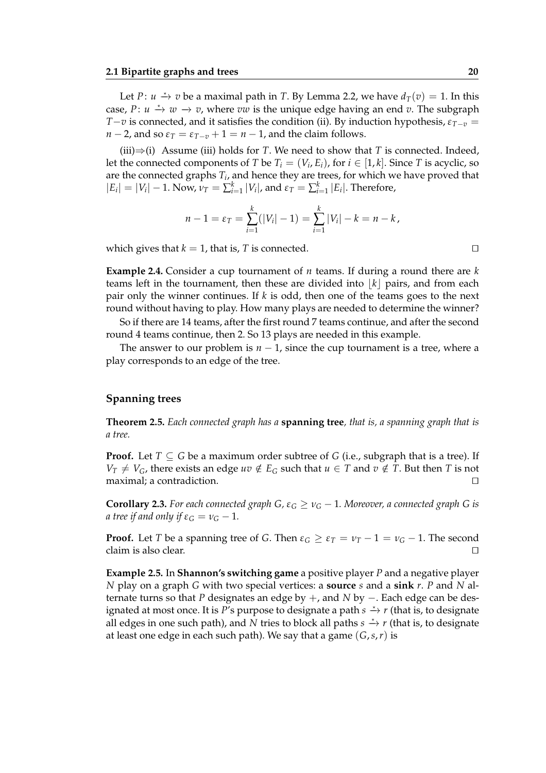Let *P*: *u*  $\stackrel{*}{\to} v$  be a maximal path in *T*. By Lemma 2.2, we have  $d_T(v) = 1$ . In this case, *P*: *u*  $\stackrel{\star}{\rightarrow} w$  → *v*, where *vw* is the unique edge having an end *v*. The subgraph *T*−*v* is connected, and it satisfies the condition (ii). By induction hypothesis, *εT*−*<sup>v</sup>* = *n* − 2, and so  $\varepsilon_T = \varepsilon_{T-\nu} + 1 = n - 1$ , and the claim follows.

(iii)⇒(i) Assume (iii) holds for *T*. We need to show that *T* is connected. Indeed, let the connected components of *T* be  $T_i = (V_i, E_i)$ , for  $i \in [1, k]$ . Since *T* is acyclic, so are the connected graphs *T<sup>i</sup>* , and hence they are trees, for which we have proved that  $|E_i| = |V_i| - 1$ . Now,  $v_T = \sum_{i=1}^k |V_i|$ , and  $\varepsilon_T = \sum_{i=1}^k |E_i|$ . Therefore,

$$
n-1 = \varepsilon_T = \sum_{i=1}^k (|V_i| - 1) = \sum_{i=1}^k |V_i| - k = n - k,
$$

which gives that  $k = 1$ , that is, *T* is connected. □

**Example 2.4.** Consider a cup tournament of *n* teams. If during a round there are *k* teams left in the tournament, then these are divided into  $\vert k \vert$  pairs, and from each pair only the winner continues. If *k* is odd, then one of the teams goes to the next round without having to play. How many plays are needed to determine the winner?

So if there are 14 teams, after the first round 7 teams continue, and after the second round 4 teams continue, then 2. So 13 plays are needed in this example.

The answer to our problem is  $n - 1$ , since the cup tournament is a tree, where a play corresponds to an edge of the tree.

#### **Spanning trees**

**Theorem 2.5.** *Each connected graph has a* **spanning tree***, that is, a spanning graph that is a tree.*

**Proof.** Let  $T \subseteq G$  be a maximum order subtree of  $G$  (i.e., subgraph that is a tree). If  $V_T \neq V_G$ , there exists an edge  $uv \notin E_G$  such that  $u \in T$  and  $v \notin T$ . But then *T* is not maximal; a contradiction. ⊓⊔

**Corollary 2.3.** *For each connected graph G,*  $\varepsilon$ <sub>*G*</sub>  $\geq v$ <sub>*G*</sub>  $-$  1*. Moreover, a connected graph G is a tree if and only if*  $\varepsilon_G = v_G - 1$ .

**Proof.** Let *T* be a spanning tree of *G*. Then  $\varepsilon_G \geq \varepsilon_T = v_T - 1 = v_G - 1$ . The second claim is also clear. □

**Example 2.5.** In **Shannon's switching game** a positive player *P* and a negative player *N* play on a graph *G* with two special vertices: a **source** *s* and a **sink** *r*. *P* and *N* alternate turns so that *P* designates an edge by +, and *N* by −. Each edge can be designated at most once. It is *P*'s purpose to designate a path *s* <sup>⋆</sup>−→ *r* (that is, to designate all edges in one such path), and *N* tries to block all paths *s*  $\stackrel{\star}{\rightarrow} r$  (that is, to designate at least one edge in each such path). We say that a game (*G*,*s*,*r*) is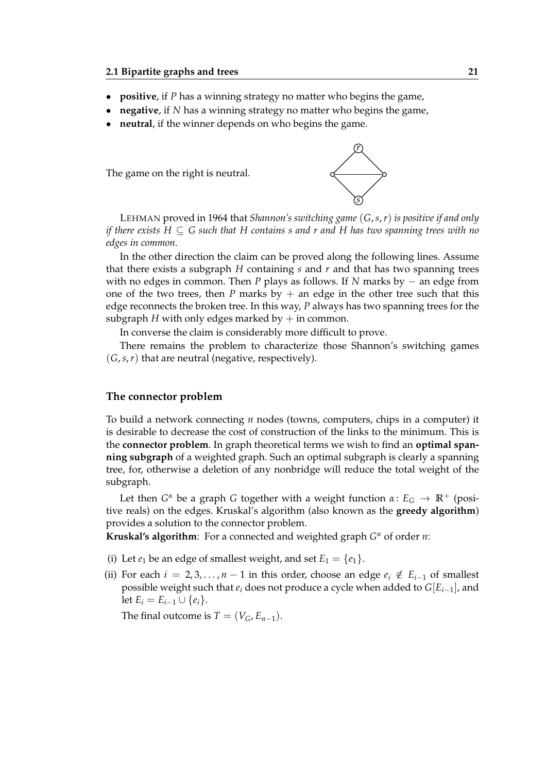- **positive**, if *P* has a winning strategy no matter who begins the game,
- **negative**, if *N* has a winning strategy no matter who begins the game,
- **neutral**, if the winner depends on who begins the game.

The game on the right is neutral.



LEHMAN proved in 1964 that *Shannon's switching game* (*G*,*s*,*r*) *is positive if and only if there exists H* ⊆ *G such that H contains s and r and H has two spanning trees with no edges in common.*

In the other direction the claim can be proved along the following lines. Assume that there exists a subgraph *H* containing *s* and *r* and that has two spanning trees with no edges in common. Then *P* plays as follows. If *N* marks by − an edge from one of the two trees, then *P* marks by  $+$  an edge in the other tree such that this edge reconnects the broken tree. In this way, *P* always has two spanning trees for the subgraph *H* with only edges marked by  $+$  in common.

In converse the claim is considerably more difficult to prove.

There remains the problem to characterize those Shannon's switching games  $(G, s, r)$  that are neutral (negative, respectively).

#### **The connector problem**

To build a network connecting *n* nodes (towns, computers, chips in a computer) it is desirable to decrease the cost of construction of the links to the minimum. This is the **connector problem**. In graph theoretical terms we wish to find an **optimal spanning subgraph** of a weighted graph. Such an optimal subgraph is clearly a spanning tree, for, otherwise a deletion of any nonbridge will reduce the total weight of the subgraph.

Let then  $G^{\alpha}$  be a graph  $G$  together with a weight function  $\alpha\colon E_G\,\to\,\mathbb{R}^+$  (positive reals) on the edges. Kruskal's algorithm (also known as the **greedy algorithm**) provides a solution to the connector problem.

**Kruskal's algorithm**: For a connected and weighted graph *G <sup>α</sup>* of order *n*:

- (i) Let  $e_1$  be an edge of smallest weight, and set  $E_1 = \{e_1\}.$
- (ii) For each  $i = 2, 3, \ldots, n 1$  in this order, choose an edge  $e_i \notin E_{i-1}$  of smallest possible weight such that  $e_i$  does not produce a cycle when added to  $G[E_{i-1}]$ , and let  $E_i = E_{i-1} ∪ {e_i}.$

The final outcome is  $T = (V_G, E_{n-1})$ .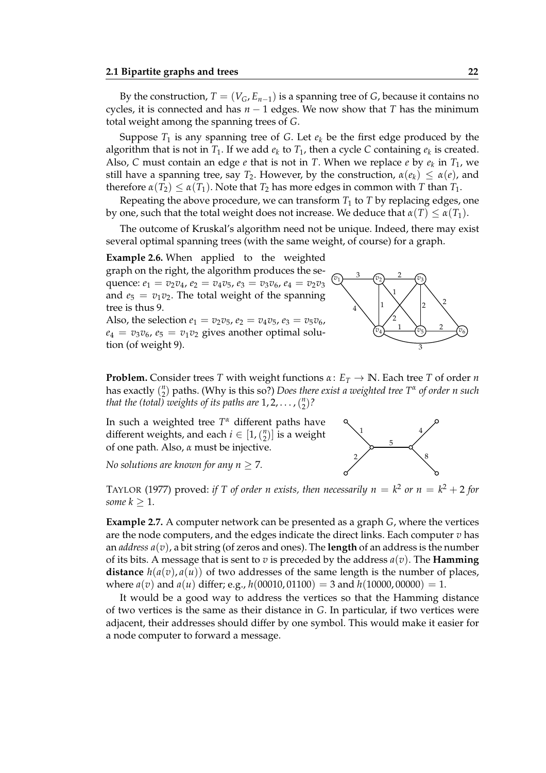By the construction,  $T = (V_G, E_{n-1})$  is a spanning tree of *G*, because it contains no cycles, it is connected and has  $n - 1$  edges. We now show that *T* has the minimum total weight among the spanning trees of *G*.

Suppose  $T_1$  is any spanning tree of *G*. Let  $e_k$  be the first edge produced by the algorithm that is not in  $T_1$ . If we add  $e_k$  to  $T_1$ , then a cycle C containing  $e_k$  is created. Also, *C* must contain an edge *e* that is not in *T*. When we replace *e* by *e<sup>k</sup>* in *T*1, we still have a spanning tree, say *T*<sub>2</sub>. However, by the construction,  $\alpha(e_k) \leq \alpha(e)$ , and therefore  $\alpha(T_2) \leq \alpha(T_1)$ . Note that  $T_2$  has more edges in common with  $T$  than  $T_1$ .

Repeating the above procedure, we can transform  $T_1$  to  $T$  by replacing edges, one by one, such that the total weight does not increase. We deduce that  $\alpha(T) \leq \alpha(T_1)$ .

The outcome of Kruskal's algorithm need not be unique. Indeed, there may exist several optimal spanning trees (with the same weight, of course) for a graph.

**Example 2.6.** When applied to the weighted graph on the right, the algorithm produces the sequence:  $e_1 = v_2v_4$ ,  $e_2 = v_4v_5$ ,  $e_3 = v_3v_6$ ,  $e_4 = v_2v_3$ and  $e_5 = v_1v_2$ . The total weight of the spanning tree is thus 9.

Also, the selection  $e_1 = v_2v_5$ ,  $e_2 = v_4v_5$ ,  $e_3 = v_5v_6$ ,  $e_4 = v_3v_6$ ,  $e_5 = v_1v_2$  gives another optimal solution (of weight 9).



**Problem.** Consider trees *T* with weight functions  $\alpha: E_T \to \mathbb{N}$ . Each tree *T* of order *n* has exactly ( *n* 2 ) paths. (Why is this so?) *Does there exist a weighted tree T<sup>α</sup> of order n such that the (total) weights of its paths are* 1, 2, . . . ,( *n* 2 )*?*

In such a weighted tree *T <sup>α</sup>* different paths have different weights, and each  $i \in [1, \binom{n}{2}]$  $\binom{n}{2}$ ] is a weight of one path. Also, *α* must be injective.

*No solutions are known for any*  $n \geq 7$ *.* 



TAYLOR (1977) proved: *if* T of order n exists, then necessarily  $n = k^2$  or  $n = k^2 + 2$  for *some*  $k > 1$ .

**Example 2.7.** A computer network can be presented as a graph *G*, where the vertices are the node computers, and the edges indicate the direct links. Each computer *v* has an *address a*(*v*), a bit string (of zeros and ones). The **length** of an address is the number of its bits. A message that is sent to *v* is preceded by the address  $a(v)$ . The **Hamming distance**  $h(a(v), a(u))$  of two addresses of the same length is the number of places, where  $a(v)$  and  $a(u)$  differ; e.g.,  $h(00010, 01100) = 3$  and  $h(10000, 00000) = 1$ .

It would be a good way to address the vertices so that the Hamming distance of two vertices is the same as their distance in *G*. In particular, if two vertices were adjacent, their addresses should differ by one symbol. This would make it easier for a node computer to forward a message.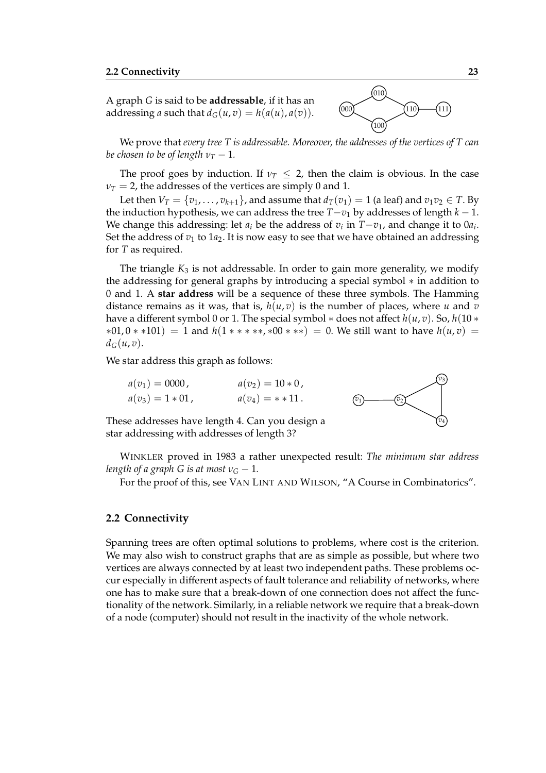A graph *G* is said to be **addressable**, if it has an addressing *a* such that  $d_G(u, v) = h(a(u), a(v))$ .



We prove that *every tree T is addressable. Moreover, the addresses of the vertices of T can be chosen to be of length*  $\nu_T - 1$ *.* 

The proof goes by induction. If  $\nu$ <sup>*T*</sup>  $\leq$  2, then the claim is obvious. In the case  $\nu_T = 2$ , the addresses of the vertices are simply 0 and 1.

Let then  $V_T = \{v_1, \ldots, v_{k+1}\}\$ , and assume that  $d_T(v_1) = 1$  (a leaf) and  $v_1v_2 \in T$ . By the induction hypothesis, we can address the tree  $T - v_1$  by addresses of length  $k - 1$ . We change this addressing: let  $a_i$  be the address of  $v_i$  in  $T-v_1$ , and change it to  $0a_i$ . Set the address of  $v_1$  to  $1a_2$ . It is now easy to see that we have obtained an addressing for *T* as required.

The triangle  $K_3$  is not addressable. In order to gain more generality, we modify the addressing for general graphs by introducing a special symbol ∗ in addition to 0 and 1. A **star address** will be a sequence of these three symbols. The Hamming distance remains as it was, that is,  $h(u, v)$  is the number of places, where *u* and *v* have a different symbol 0 or 1. The special symbol  $*$  does not affect  $h(u, v)$ . So,  $h(10 *$ ∗01, 0 ∗ ∗101) = 1 and *h*(1 ∗ ∗ ∗ ∗∗, ∗00 ∗ ∗∗) = 0. We still want to have *h*(*u*, *v*) =  $d_G(u,v)$ .

We star address this graph as follows:

 $a(v_1) = 0000$ ,  $a(v_2) = 10 * 0$ ,  $a(v_3) = 1 * 01$ ,  $a(v_4) = * 11$ .



These addresses have length 4. Can you design a star addressing with addresses of length 3?

WINKLER proved in 1983 a rather unexpected result: *The minimum star address length of a graph G is at most*  $v_G - 1$ *.* 

For the proof of this, see VAN LINT AND WILSON, "A Course in Combinatorics".

#### **2.2 Connectivity**

Spanning trees are often optimal solutions to problems, where cost is the criterion. We may also wish to construct graphs that are as simple as possible, but where two vertices are always connected by at least two independent paths. These problems occur especially in different aspects of fault tolerance and reliability of networks, where one has to make sure that a break-down of one connection does not affect the functionality of the network. Similarly, in a reliable network we require that a break-down of a node (computer) should not result in the inactivity of the whole network.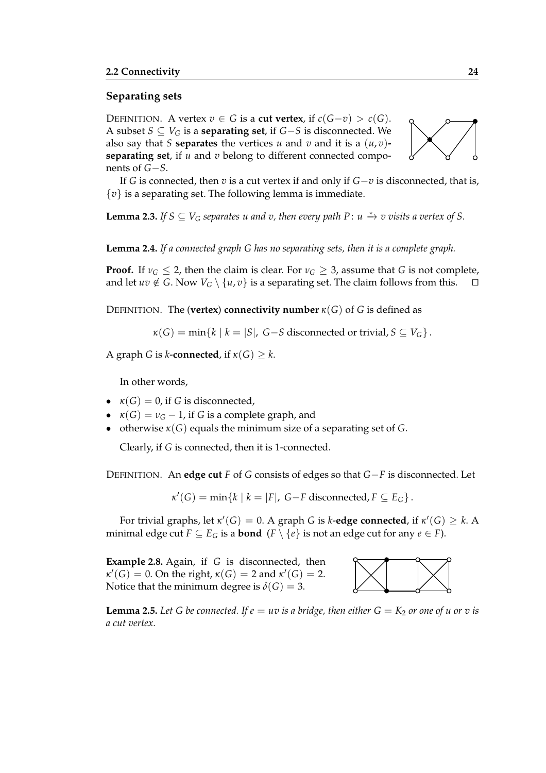## **Separating sets**

DEFINITION. A vertex  $v \in G$  is a **cut vertex**, if  $c(G-v) > c(G)$ . A subset *S* ⊆ *V<sup>G</sup>* is a **separating set**, if *G*−*S* is disconnected. We also say that *S* **separates** the vertices *u* and *v* and it is a  $(u, v)$ **separating set**, if *u* and *v* belong to different connected components of *G*−*S*.

If *G* is connected, then *v* is a cut vertex if and only if *G*−*v* is disconnected, that is,  $\{v\}$  is a separating set. The following lemma is immediate.

**Lemma 2.3.** *If*  $S \subseteq V_G$  *separates u and v, then every path P*:  $u \stackrel{*}{\rightarrow} v$  *visits a vertex of* S.

**Lemma 2.4.** *If a connected graph G has no separating sets, then it is a complete graph.*

**Proof.** If  $\nu_G \leq 2$ , then the claim is clear. For  $\nu_G \geq 3$ , assume that *G* is not complete, and let *uv* ∉ *G*. Now  $V_G \setminus \{u, v\}$  is a separating set. The claim follows from this.  $□$ 

DEFINITION. The (**vertex**) **connectivity number**  $\kappa(G)$  of *G* is defined as

 $\kappa(G) = \min\{k \mid k = |S|, G - S \text{ disconnected or trivial}, S \subseteq V_G\}.$ 

*A* graph *G* is *k*-**connected**, if  $\kappa(G) \geq k$ .

In other words,

- $\kappa(G) = 0$ , if *G* is disconnected,
- $\kappa(G) = \nu_G 1$ , if *G* is a complete graph, and
- otherwise  $\kappa(G)$  equals the minimum size of a separating set of *G*.

Clearly, if *G* is connected, then it is 1-connected.

DEFINITION. An **edge cut** *F* of *G* consists of edges so that *G*−*F* is disconnected. Let

 $\kappa'(G) = \min\{k \mid k = |F|, G - F \text{ disconnected}, F \subseteq E_G\}.$ 

For trivial graphs, let  $\kappa'(G) = 0$ . A graph *G* is *k*-edge connected, if  $\kappa'(G) \geq k$ . A minimal edge cut *F*  $\subseteq$  *E<sub>G</sub>* is a **bond** (*F*  $\setminus$  {*e*} is not an edge cut for any *e*  $\in$  *F*).

**Example 2.8.** Again, if *G* is disconnected, then *κ*<sup> $\ell$ </sup>(*G*) = 0. On the right, *κ*(*G*) = 2 and *κ*<sup> $\ell$ </sup>(*G*) = 2. Notice that the minimum degree is  $\delta(G) = 3$ .



**Lemma 2.5.** Let G be connected. If  $e = uv$  is a bridge, then either  $G = K<sub>2</sub>$  or one of u or v is *a cut vertex.*

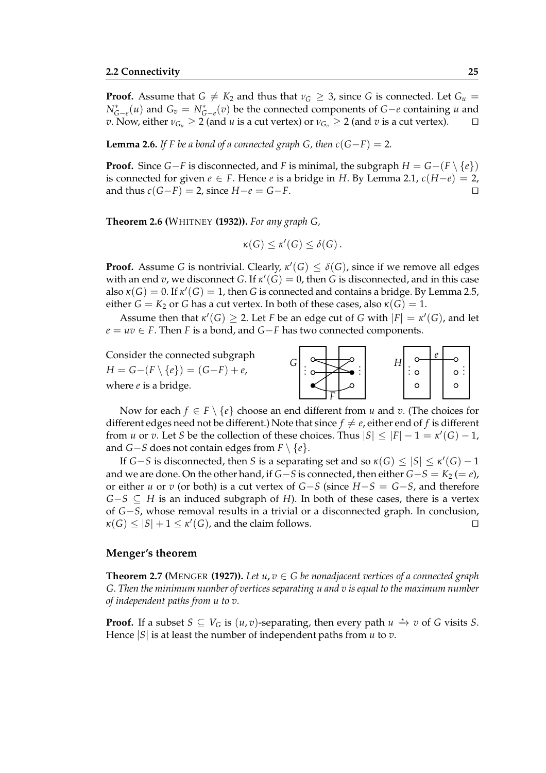**Proof.** Assume that  $G \neq K_2$  and thus that  $v_G \geq 3$ , since *G* is connected. Let  $G_u$  = *N*<sup>∗</sup><sub>*G*−*e*</sub>(*u*) and *G*<sup>*v*</sup> = *N*<sup>∗</sup><sub>*G*−*e*</sub>(*v*) be the connected components of *G*−*e* containing *u* and *v*. Now, either  $\nu_{G_u} \geq 2$  (and *u* is a cut vertex) or  $\nu_{G_v} \geq 2$  (and *v* is a cut vertex). □

**Lemma 2.6.** *If F be a bond of a connected graph G, then*  $c(G-F) = 2$ *.* 

**Proof.** Since *G*−*F* is disconnected, and *F* is minimal, the subgraph  $H = G - (F \setminus \{e\})$ is connected for given *e* ∈ *F*. Hence *e* is a bridge in *H*. By Lemma 2.1,  $c(H−e) = 2$ , and thus  $c(G-F) = 2$ , since  $H-e = G-F$ . □

**Theorem 2.6 (**WHITNEY **(1932)).** *For any graph G,*

$$
\kappa(G)\leq \kappa'(G)\leq \delta(G).
$$

**Proof.** Assume *G* is nontrivial. Clearly,  $\kappa'(G) \leq \delta(G)$ , since if we remove all edges with an end  $v$ , we disconnect  $G$ . If  $\kappa'(G) = 0$ , then  $G$  is disconnected, and in this case also  $\kappa(G) = 0$ . If  $\kappa'(G) = 1$ , then *G* is connected and contains a bridge. By Lemma 2.5, either  $G = K_2$  or *G* has a cut vertex. In both of these cases, also  $\kappa(G) = 1$ .

Assume then that  $\kappa'(G) \geq 2$ . Let *F* be an edge cut of *G* with  $|F| = \kappa'(G)$ , and let *e* = *uv* ∈ *F*. Then *F* is a bond, and *G*−*F* has two connected components.

Consider the connected subgraph *H* =  $G-(F \setminus \{e\}) = (G-F) + e$ ,

where *e* is a bridge.



Now for each  $f \in F \setminus \{e\}$  choose an end different from *u* and *v*. (The choices for different edges need not be different.) Note that since  $f \neq e$ , either end of f is different from *u* or *v*. Let *S* be the collection of these choices. Thus  $|S| \leq |F| - 1 = \kappa'(G) - 1$ , and *G*−*S* does not contain edges from *F* \ {*e*}.

If *G*−*S* is disconnected, then *S* is a separating set and so  $\kappa$ (*G*)  $\leq$  |*S*|  $\leq \kappa$ '(*G*) − 1 and we are done. On the other hand, if *G*−*S* is connected, then either *G*−*S* = *K*<sup>2</sup> (= *e*), or either *u* or *v* (or both) is a cut vertex of *G*−*S* (since *H*−*S* = *G*−*S*, and therefore *G*−*S* ⊆ *H* is an induced subgraph of *H*). In both of these cases, there is a vertex of *G*−*S*, whose removal results in a trivial or a disconnected graph. In conclusion,  $\kappa(G) \leq |S| + 1 \leq \kappa'(G)$ , and the claim follows. □

#### **Menger's theorem**

**Theorem 2.7 (MENGER (1927)).** Let  $u, v \in G$  be nonadjacent vertices of a connected graph *G. Then the minimum number of vertices separating u and v is equal to the maximum number of independent paths from u to v.*

**Proof.** If a subset  $S \subseteq V_G$  is  $(u, v)$ -separating, then every path  $u \stackrel{*}{\rightarrow} v$  of *G* visits *S*. Hence |*S*| is at least the number of independent paths from *u* to *v*.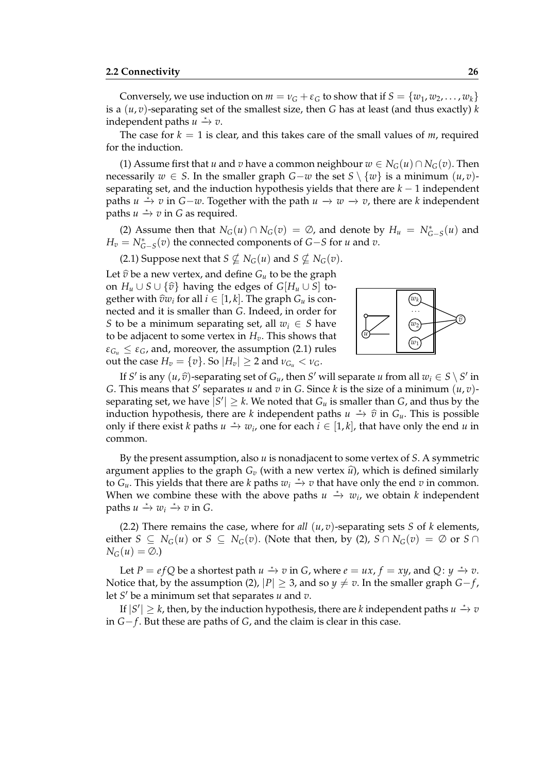Conversely, we use induction on  $m = v_G + \varepsilon_G$  to show that if  $S = \{w_1, w_2, \dots, w_k\}$ is a  $(u, v)$ -separating set of the smallest size, then *G* has at least (and thus exactly) *k* independent paths *u* <sup>⋆</sup>−→ *v*.

The case for  $k = 1$  is clear, and this takes care of the small values of  $m$ , required for the induction.

(1) Assume first that *u* and *v* have a common neighbour  $w \in N_G(u) \cap N_G(v)$ . Then necessarily *w* ∈ *S*. In the smaller graph *G*−*w* the set *S* \ {*w*} is a minimum  $(u, v)$ separating set, and the induction hypothesis yields that there are *k* − 1 independent paths *u*  $\stackrel{\ast}{\to} v$  in *G*−*w*. Together with the path *u* → *w* → *v*, there are *k* independent paths *u* <sup>⋆</sup>−→ *v* in *G* as required.

(2) Assume then that  $N_G(u) \cap N_G(v) = \emptyset$ , and denote by  $H_u = N_{G-S}^*(u)$  and  $H_v = N_{G-S}^*(v)$  the connected components of *G*−*S* for *u* and *v*.

(2.1) Suppose next that  $S \nsubseteq N_G(u)$  and  $S \nsubseteq N_G(v)$ .

Let  $\hat{v}$  be a new vertex, and define  $G_u$  to be the graph on *H*<sup>*u*</sup> ∪ *S* ∪ { $\hat{v}$ } having the edges of *G*[*H*<sub>*u*</sub> ∪ *S*] together with  $\hat{v}w_i$  for all  $i \in [1, k]$ . The graph  $G_u$  is connected and it is smaller than *G*. Indeed, in order for *S* to be a minimum separating set, all  $w_i \in S$  have to be adjacent to some vertex in  $H<sub>v</sub>$ . This shows that  $\varepsilon_{G_u} \leq \varepsilon_G$ , and, moreover, the assumption (2.1) rules out the case  $H_v = \{v\}$ . So  $|H_v| \geq 2$  and  $\nu_{G_u} < \nu_G$ .



If *S'* is any  $(u, \hat{v})$ -separating set of  $G_u$ , then *S'* will separate *u* from all  $w_i \in S \setminus S'$  in *G*. This means that *S'* separates *u* and *v* in *G*. Since *k* is the size of a minimum  $(u, v)$ separating set, we have  $|S'| \geq k$ . We noted that  $G_u$  is smaller than  $G$ , and thus by the induction hypothesis, there are *k* independent paths  $u \stackrel{*}{\to} \hat{v}$  in  $G_u$ . This is possible paths *if* there are *k* in the *u*-hand paths in the *u*-hand paths in the *u*-hand paths in the *u*-hand paths in the *u*only if there exist *k* paths *u*  $\stackrel{*}{\rightarrow} w_i$ , one for each  $\overline{i}$  ∈ [1, *k*], that have only the end *u* in common.

By the present assumption, also *u* is nonadjacent to some vertex of *S*. A symmetric argument applies to the graph  $G<sub>v</sub>$  (with a new vertex  $\hat{u}$ ), which is defined similarly to  $G_u$ . This yields that there are *k* paths  $w_i \stackrel{*}{\to} v$  that have only the end  $v$  in common. When we combine these with the above paths  $u \rightarrow w_i$ , we obtain *k* independent paths  $u \stackrel{*}{\to} w_i \stackrel{*}{\to} v$  in *G*.

(2.2) There remains the case, where for *all*  $(u, v)$ -separating sets *S* of *k* elements, either  $S \subseteq N_G(u)$  or  $S \subseteq N_G(v)$ . (Note that then, by (2),  $S \cap N_G(v) = \emptyset$  or  $S \cap$  $N_G(u) = \emptyset$ .)

Let *P* = *ef Q* be a shortest path *u*  $\rightarrow \infty$  *in G*, where *e* = *ux*, *f* = *xy*, and *Q*: *y*  $\rightarrow \infty$ . Notice that, by the assumption (2),  $|P| \geq 3$ , and so  $y \neq v$ . In the smaller graph *G−f*, let *S* ′ be a minimum set that separates *u* and *v*.

If  $|S'| \geq k$ , then, by the induction hypothesis, there are *k* independent paths  $u \stackrel{*}{\rightarrow} v$ in *G*−*f* . But these are paths of *G*, and the claim is clear in this case.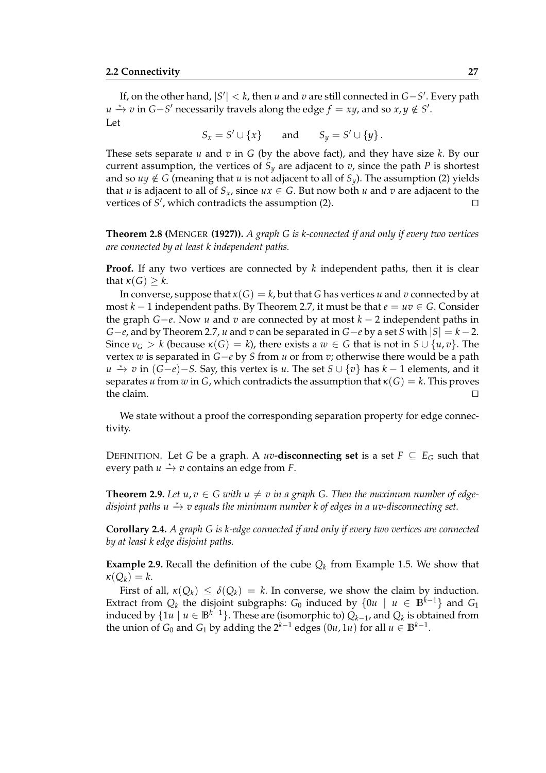If, on the other hand, |*S* ′ | < *k*, then *u* and *v* are still connected in *G*−*S* ′ . Every path *u*  $\rightarrow$  *v* in *G*−*S*<sup>*'*</sup> necessarily travels along the edge *f* = *xy*, and so *x*, *y* ∉ *S*<sup>*'*</sup>. Let

$$
S_x = S' \cup \{x\} \qquad \text{and} \qquad S_y = S' \cup \{y\}.
$$

These sets separate *u* and *v* in *G* (by the above fact), and they have size *k*. By our current assumption, the vertices of  $S_y$  are adjacent to *v*, since the path *P* is shortest and so  $uy \notin G$  (meaning that *u* is not adjacent to all of  $S_y$ ). The assumption (2) yields that *u* is adjacent to all of  $S_x$ , since  $ux \in G$ . But now both *u* and *v* are adjacent to the vertices of *S'*, which contradicts the assumption (2). □

**Theorem 2.8 (**MENGER **(1927)).** *A graph G is k-connected if and only if every two vertices are connected by at least k independent paths.*

**Proof.** If any two vertices are connected by *k* independent paths, then it is clear that  $\kappa(G) \geq k$ .

In converse, suppose that  $\kappa(G) = k$ , but that *G* has vertices *u* and *v* connected by at most  $k - 1$  independent paths. By Theorem 2.7, it must be that  $e = uv \in G$ . Consider the graph *G*−*e*. Now *u* and *v* are connected by at most *k* − 2 independent paths in *G*−*e*, and by Theorem 2.7, *u* and *v* can be separated in *G*−*e* by a set *S* with |*S*| = *k* − 2. Since  $\nu_G > k$  (because  $\kappa(G) = k$ ), there exists a  $w \in G$  that is not in  $S \cup \{u, v\}$ . The vertex *w* is separated in *G*−*e* by *S* from *u* or from *v*; otherwise there would be a path *u*  $\rightarrow$  *v* in (*G*−*e*)−*S*. Say, this vertex is *u*. The set *S* ∪ {*v*} has *k* − 1 elements, and it separates *u* from *w* in *G*, which contradicts the assumption that  $\kappa(G) = k$ . This proves the claim. ⊓⊔

We state without a proof the corresponding separation property for edge connectivity.

DEFINITION. Let *G* be a graph. A *uv*-disconnecting set is a set  $F \subseteq E_G$  such that every path *u* <sup>⋆</sup>−→ *v* contains an edge from *F*.

**Theorem 2.9.** Let  $u, v \in G$  with  $u \neq v$  in a graph G. Then the maximum number of edge*disjoint paths u*  $\rightarrow \infty$  *equals the minimum number k of edges in a uv-disconnecting set.* 

**Corollary 2.4.** *A graph G is k-edge connected if and only if every two vertices are connected by at least k edge disjoint paths.*

**Example 2.9.** Recall the definition of the cube  $Q_k$  from Example 1.5. We show that  $\kappa(Q_k) = k$ .

First of all,  $\kappa(Q_k) \leq \delta(Q_k) = k$ . In converse, we show the claim by induction. Extract from  $Q_k$  the disjoint subgraphs:  $G_0$  induced by  $\{0u \mid u \in \mathbb{B}^{k-1}\}$  and  $G_1$ induced by  $\{1u \mid u \in \mathbb{B}^{k-1}\}.$  These are (isomorphic to)  $Q_{k-1}$ , and  $Q_k$  is obtained from the union of  $G_0$  and  $G_1$  by adding the  $2^{k-1}$  edges  $(0u, 1u)$  for all  $u \in \mathbb{B}^{k-1}$ .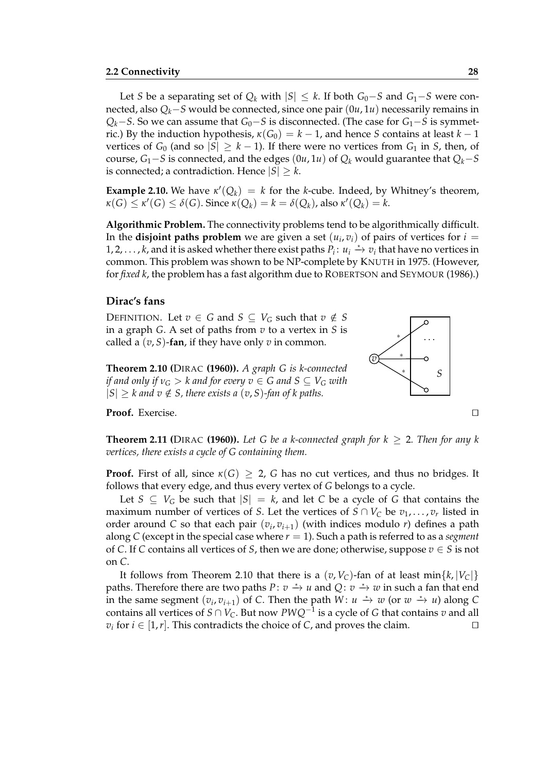Let *S* be a separating set of  $Q_k$  with  $|S|$  ≤ *k*. If both  $G_0$ −*S* and  $G_1$ −*S* were connected, also *Qk*−*S* would be connected, since one pair (0*u*, 1*u*) necessarily remains in *Q*<sup>*k*−*S*. So we can assume that *G*<sup>0−</sup>*S* is disconnected. (The case for *G*<sup>1−</sup>*S* is symmet-</sup> ric.) By the induction hypothesis,  $\kappa(G_0) = k - 1$ , and hence *S* contains at least  $k - 1$ vertices of  $G_0$  (and so  $|S| \geq k - 1$ ). If there were no vertices from  $G_1$  in *S*, then, of course, *G*1−*S* is connected, and the edges (0*u*, 1*u*) of *Q<sup>k</sup>* would guarantee that *Qk*−*S* is connected; a contradiction. Hence  $|S| \geq k$ .

**Example 2.10.** We have  $\kappa'(Q_k) = k$  for the *k*-cube. Indeed, by Whitney's theorem,  $\kappa(G) \leq \kappa'(G) \leq \delta(G)$ . Since  $\kappa(Q_k) = k = \delta(Q_k)$ , also  $\kappa'(Q_k) = k$ .

**Algorithmic Problem.** The connectivity problems tend to be algorithmically difficult. In the **disjoint paths problem** we are given a set  $(u_i, v_i)$  of pairs of vertices for  $i =$ 1, 2, . . . , *k*, and it is asked whether there exist paths  $P_i: u_i \stackrel{*}{\to} v_i$  that have no vertices in common. This problem was shown to be NP-complete by KNUTH in 1975. (However, for *fixed k*, the problem has a fast algorithm due to ROBERTSON and SEYMOUR (1986).)

#### **Dirac's fans**

DEFINITION. Let  $v \in G$  and  $S \subseteq V_G$  such that  $v \notin S$ in a graph *G*. A set of paths from *v* to a vertex in *S* is called a  $(v, S)$ -fan, if they have only  $v$  in common.

**Theorem 2.10 (**DIRAC **(1960)).** *A graph G is k-connected if and only if*  $v_G > k$  *and for every*  $v \in G$  *and*  $S \subseteq V_G$  *with*  $|S| \geq k$  and  $v \notin S$ , there exists a  $(v, S)$ -fan of k paths.



**Proof.** Exercise. ⊓⊔

**Theorem 2.11 (**DIRAC **(1960)).** Let G be a k-connected graph for  $k \geq 2$ . Then for any k *vertices, there exists a cycle of G containing them.*

**Proof.** First of all, since  $\kappa(G) \geq 2$ , G has no cut vertices, and thus no bridges. It follows that every edge, and thus every vertex of *G* belongs to a cycle.

Let  $S \subseteq V_G$  be such that  $|S| = k$ , and let C be a cycle of G that contains the maximum number of vertices of *S*. Let the vertices of  $S \cap V_C$  be  $v_1, \ldots, v_r$  listed in order around C so that each pair  $(v_i, v_{i+1})$  (with indices modulo *r*) defines a path along *C* (except in the special case where *r* = 1). Such a path is referred to as a *segment* of *C*. If *C* contains all vertices of *S*, then we are done; otherwise, suppose  $v \in S$  is not on *C*.

It follows from Theorem 2.10 that there is a  $(v, V_C)$ -fan of at least min{ $k$ ,  $|V_C|$ } paths. Therefore there are two paths *P*: *v*  $\stackrel{*}{\rightarrow} u$  and *Q*: *v*  $\stackrel{*}{\rightarrow} w$  in such a fan that end in the same segment  $(v_i, v_{i+1})$  of *C*. Then the path  $W: u \rightarrow w$  (or  $w \rightarrow u$ ) along *C* contains all vertices of *S* ∩ *VC*. But now *PWQ*−<sup>1</sup> is a cycle of *G* that contains *v* and all *v*<sub>*i*</sub> for *i* ∈ [1,*r*]. This contradicts the choice of *C*, and proves the claim. □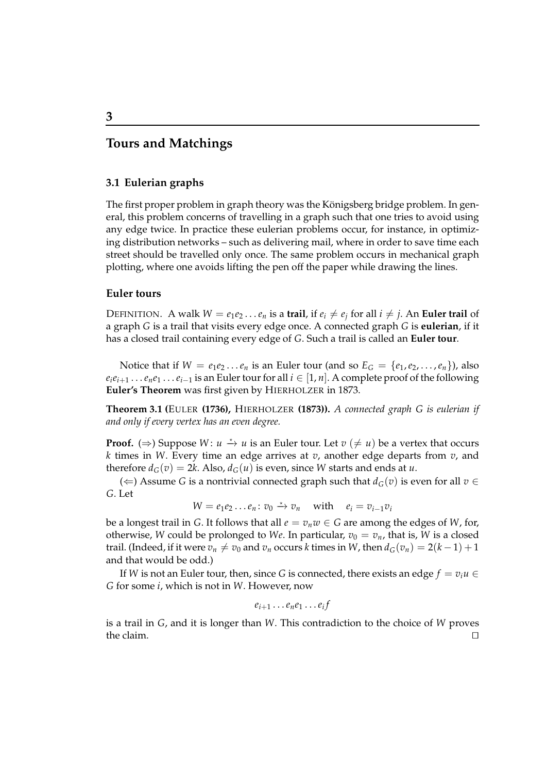## **Tours and Matchings**

#### **3.1 Eulerian graphs**

The first proper problem in graph theory was the Königsberg bridge problem. In general, this problem concerns of travelling in a graph such that one tries to avoid using any edge twice. In practice these eulerian problems occur, for instance, in optimizing distribution networks – such as delivering mail, where in order to save time each street should be travelled only once. The same problem occurs in mechanical graph plotting, where one avoids lifting the pen off the paper while drawing the lines.

#### **Euler tours**

DEFINITION. A walk  $W = e_1 e_2 \dots e_n$  is a trail, if  $e_i \neq e_j$  for all  $i \neq j$ . An **Euler trail** of a graph *G* is a trail that visits every edge once. A connected graph *G* is **eulerian**, if it has a closed trail containing every edge of *G*. Such a trail is called an **Euler tour**.

Notice that if  $W = e_1e_2...e_n$  is an Euler tour (and so  $E_G = \{e_1,e_2,...,e_n\}$ ), also  $e_i e_{i+1} \ldots e_n e_1 \ldots e_{i-1}$  is an Euler tour for all  $i \in [1, n]$ . A complete proof of the following **Euler's Theorem** was first given by HIERHOLZER in 1873.

**Theorem 3.1 (**EULER **(1736),** HIERHOLZER **(1873)).** *A connected graph G is eulerian if and only if every vertex has an even degree.*

**Proof.** ( $\Rightarrow$ ) Suppose *W*: *u*  $\stackrel{*}{\rightarrow} u$  is an Euler tour. Let *v* ( $\neq u$ ) be a vertex that occurs *k* times in *W*. Every time an edge arrives at *v*, another edge departs from *v*, and therefore  $d_G(v) = 2k$ . Also,  $d_G(u)$  is even, since *W* starts and ends at *u*.

(∈) Assume *G* is a nontrivial connected graph such that  $d_G(v)$  is even for all  $v \in$ *G*. Let

 $W = e_1 e_2 \dots e_n$ :  $v_0 \stackrel{*}{\rightarrow} v_n$  with  $e_i = v_{i-1} v_i$ 

be a longest trail in *G*. It follows that all  $e = v_n w \in G$  are among the edges of *W*, for, otherwise, *W* could be prolonged to *We*. In particular,  $v_0 = v_n$ , that is, *W* is a closed trail. (Indeed, if it were  $v_n \neq v_0$  and  $v_n$  occurs  $k$  times in  $W$ , then  $d_G(v_n) = 2(k-1) + 1$ and that would be odd.)

If *W* is not an Euler tour, then, since *G* is connected, there exists an edge  $f = v_i u \in$ *G* for some *i*, which is not in *W*. However, now

$$
e_{i+1}\dots e_ne_1\dots e_i f
$$

is a trail in *G*, and it is longer than *W*. This contradiction to the choice of *W* proves the claim. ⊓⊔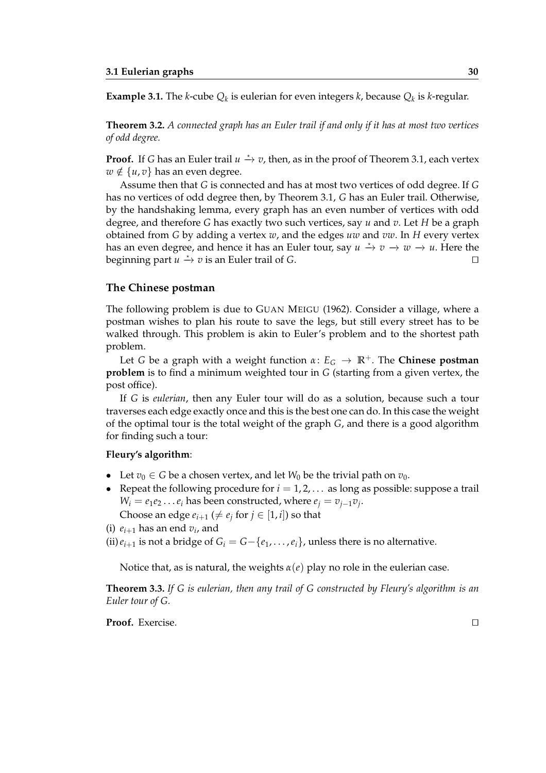**Example 3.1.** The *k*-cube  $Q_k$  is eulerian for even integers *k*, because  $Q_k$  is *k*-regular.

**Theorem 3.2.** *A connected graph has an Euler trail if and only if it has at most two vertices of odd degree.*

**Proof.** If *G* has an Euler trail *u*  $\stackrel{*}{\rightarrow} v$ , then, as in the proof of Theorem 3.1, each vertex  $w \notin \{u, v\}$  has an even degree.

Assume then that *G* is connected and has at most two vertices of odd degree. If *G* has no vertices of odd degree then, by Theorem 3.1, *G* has an Euler trail. Otherwise, by the handshaking lemma, every graph has an even number of vertices with odd degree, and therefore *G* has exactly two such vertices, say *u* and *v*. Let *H* be a graph obtained from *G* by adding a vertex *w*, and the edges *uw* and *vw*. In *H* every vertex has an even degree, and hence it has an Euler tour, say  $u \stackrel{*}{\to} v \to w \to u$ . Here the **beginning part**  $u \stackrel{*}{\rightarrow} v$  is an Euler trail of *G*. □

#### **The Chinese postman**

The following problem is due to GUAN MEIGU (1962). Consider a village, where a postman wishes to plan his route to save the legs, but still every street has to be walked through. This problem is akin to Euler's problem and to the shortest path problem.

Let *G* be a graph with a weight function  $\alpha: E_G \to \mathbb{R}^+$ . The **Chinese postman problem** is to find a minimum weighted tour in *G* (starting from a given vertex, the post office).

If *G* is *eulerian*, then any Euler tour will do as a solution, because such a tour traverses each edge exactly once and this is the best one can do. In this case the weight of the optimal tour is the total weight of the graph *G*, and there is a good algorithm for finding such a tour:

#### **Fleury's algorithm**:

- Let  $v_0 \in G$  be a chosen vertex, and let  $W_0$  be the trivial path on  $v_0$ .
- Repeat the following procedure for  $i = 1, 2, \ldots$  as long as possible: suppose a trail  $W_i = e_1e_2 \dots e_i$  has been constructed, where  $e_j = v_{j-1}v_j$ . Choose an edge  $e_{i+1}$  ( $\neq e_j$  for  $j \in [1, i]$ ) so that

(i)  $e_{i+1}$  has an end  $v_i$ , and

(ii)  $e_{i+1}$  is not a bridge of  $G_i = G - \{e_1, \ldots, e_i\}$ , unless there is no alternative.

Notice that, as is natural, the weights  $\alpha(e)$  play no role in the eulerian case.

**Theorem 3.3.** *If G is eulerian, then any trail of G constructed by Fleury's algorithm is an Euler tour of G.*

**Proof.** Exercise. ⊓⊔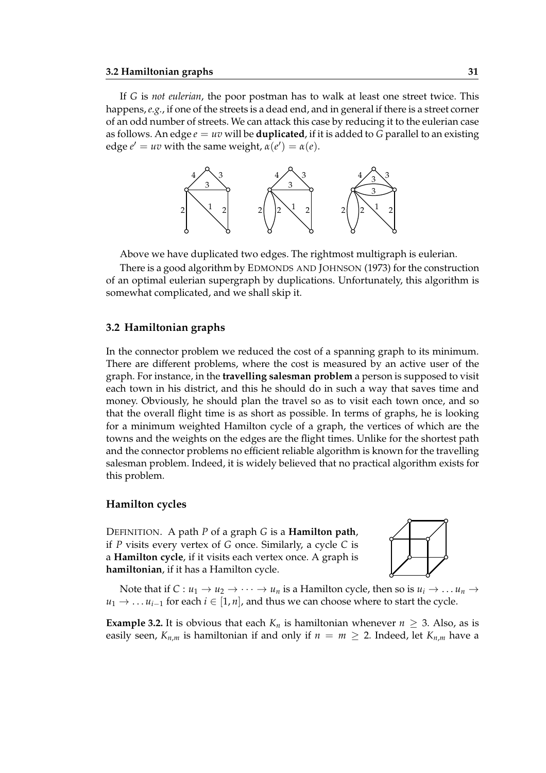If *G* is *not eulerian*, the poor postman has to walk at least one street twice. This happens, *e.g.*, if one of the streets is a dead end, and in general if there is a street corner of an odd number of streets. We can attack this case by reducing it to the eulerian case as follows. An edge  $e = uv$  will be **duplicated**, if it is added to G parallel to an existing edge  $e' = uv$  with the same weight,  $\alpha(e') = \alpha(e)$ .



Above we have duplicated two edges. The rightmost multigraph is eulerian.

There is a good algorithm by EDMONDS AND JOHNSON (1973) for the construction of an optimal eulerian supergraph by duplications. Unfortunately, this algorithm is somewhat complicated, and we shall skip it.

#### **3.2 Hamiltonian graphs**

In the connector problem we reduced the cost of a spanning graph to its minimum. There are different problems, where the cost is measured by an active user of the graph. For instance, in the **travelling salesman problem** a person is supposed to visit each town in his district, and this he should do in such a way that saves time and money. Obviously, he should plan the travel so as to visit each town once, and so that the overall flight time is as short as possible. In terms of graphs, he is looking for a minimum weighted Hamilton cycle of a graph, the vertices of which are the towns and the weights on the edges are the flight times. Unlike for the shortest path and the connector problems no efficient reliable algorithm is known for the travelling salesman problem. Indeed, it is widely believed that no practical algorithm exists for this problem.

#### **Hamilton cycles**

DEFINITION. A path *P* of a graph *G* is a **Hamilton path**, if *P* visits every vertex of *G* once. Similarly, a cycle *C* is a **Hamilton cycle**, if it visits each vertex once. A graph is **hamiltonian**, if it has a Hamilton cycle.



Note that if  $C: u_1 \to u_2 \to \cdots \to u_n$  is a Hamilton cycle, then so is  $u_i \to \ldots u_n \to u_n$ *u*<sub>1</sub> → ... *u*<sub>*i*-1</sub> for each *i* ∈ [1, *n*], and thus we can choose where to start the cycle.

**Example 3.2.** It is obvious that each  $K_n$  is hamiltonian whenever  $n \geq 3$ . Also, as is easily seen,  $K_{n,m}$  is hamiltonian if and only if  $n = m \geq 2$ . Indeed, let  $K_{n,m}$  have a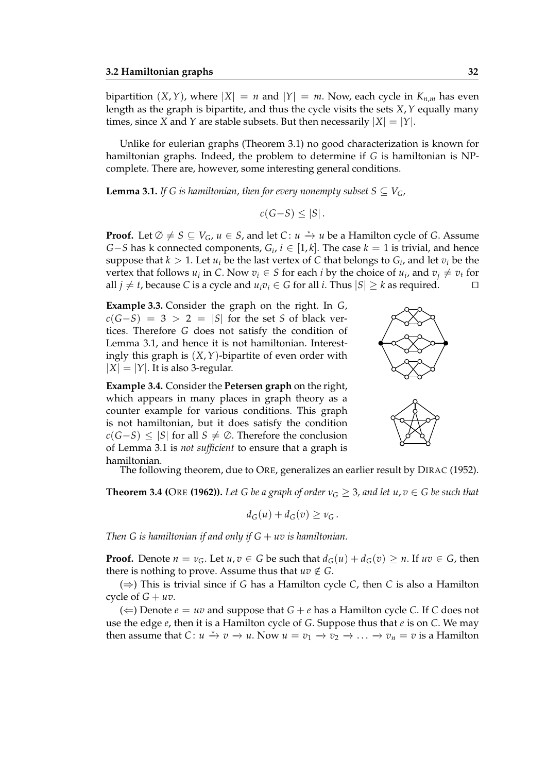bipartition  $(X, Y)$ , where  $|X| = n$  and  $|Y| = m$ . Now, each cycle in  $K_{n,m}$  has even length as the graph is bipartite, and thus the cycle visits the sets *X*,*Y* equally many times, since *X* and *Y* are stable subsets. But then necessarily  $|X| = |Y|$ .

Unlike for eulerian graphs (Theorem 3.1) no good characterization is known for hamiltonian graphs. Indeed, the problem to determine if *G* is hamiltonian is NPcomplete. There are, however, some interesting general conditions.

**Lemma 3.1.** *If G is hamiltonian, then for every nonempty subset*  $S \subseteq V_G$ *,* 

$$
c(G-S)\leq |S|.
$$

**Proof.** Let  $\emptyset \neq S \subseteq V_G$ ,  $u \in S$ , and let  $C: u \stackrel{*}{\to} u$  be a Hamilton cycle of *G*. Assume *G*−*S* has k connected components, *G<sup>i</sup>* , *i* ∈ [1, *k*]. The case *k* = 1 is trivial, and hence suppose that  $k > 1$ . Let  $u_i$  be the last vertex of C that belongs to  $G_i$ , and let  $v_i$  be the vertex that follows  $u_i$  in C. Now  $v_i \in S$  for each *i* by the choice of  $u_i$ , and  $v_j \neq v_t$  for all *j*  $\neq$  *t*, because *C* is a cycle and *u*<sub>*i*</sub><sup>*v*</sup>*i* ∈ *G* for all *i*. Thus  $|S| \geq k$  as required. □

**Example 3.3.** Consider the graph on the right. In *G*,  $c(G-S) = 3 > 2 = |S|$  for the set *S* of black vertices. Therefore *G* does not satisfy the condition of Lemma 3.1, and hence it is not hamiltonian. Interestingly this graph is (*X*,*Y*)-bipartite of even order with  $|X| = |Y|$ . It is also 3-regular.

**Example 3.4.** Consider the **Petersen graph** on the right, which appears in many places in graph theory as a counter example for various conditions. This graph is not hamiltonian, but it does satisfy the condition *c*(*G*−*S*) ≤ |*S*| for all *S*  $\neq$  ∅. Therefore the conclusion of Lemma 3.1 is *not sufficient* to ensure that a graph is hamiltonian.



The following theorem, due to ORE, generalizes an earlier result by DIRAC (1952).

**Theorem 3.4 (ORE (1962)).** Let G be a graph of order  $v_G \geq 3$ , and let  $u, v \in G$  be such that

$$
d_G(u)+d_G(v)\geq v_G.
$$

*Then G is hamiltonian if and only if*  $G + uv$  *is hamiltonian.* 

**Proof.** Denote  $n = v_G$ . Let  $u, v \in G$  be such that  $d_G(u) + d_G(v) \geq n$ . If  $uv \in G$ , then there is nothing to prove. Assume thus that  $uv \notin G$ .

(⇒) This is trivial since if *G* has a Hamilton cycle *C*, then *C* is also a Hamilton cycle of  $G + uv$ .

 $(\Leftarrow)$  Denote  $e = uv$  and suppose that  $G + e$  has a Hamilton cycle C. If C does not use the edge *e*, then it is a Hamilton cycle of *G*. Suppose thus that *e* is on *C*. We may then assume that  $C: u \stackrel{*}{\to} v \to u$ . Now  $u = v_1 \to v_2 \to \ldots \to v_n = v$  is a Hamilton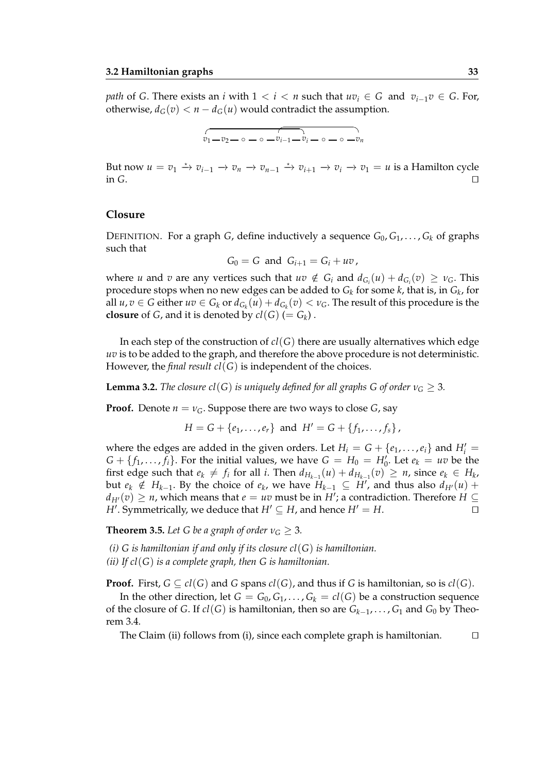*path* of *G*. There exists an *i* with  $1 < i < n$  such that  $uv_i \in G$  and  $v_{i-1}v \in G$ . For, otherwise,  $d_G(v) < n - d_G(u)$  would contradict the assumption.

$$
\overbrace{v_1-v_2-\circ-\circ-v_{i-1}-v_i-\circ-\circ-v_n}^{\qquad \qquad \text{or} \qquad \qquad }
$$

But now  $u = v_1 \stackrel{*}{\to} v_{i-1} \to v_n \to v_{n-1} \stackrel{*}{\to} v_{i+1} \to v_i \to v_1 = u$  is a Hamilton cycle in *G*.  $□$ 

#### **Closure**

DEFINITION. For a graph *G*, define inductively a sequence  $G_0, G_1, \ldots, G_k$  of graphs such that

$$
G_0 = G \text{ and } G_{i+1} = G_i + uv,
$$

where *u* and *v* are any vertices such that  $uv \notin G_i$  and  $d_{G_i}(u) + d_{G_i}(v) \geq v_G$ . This procedure stops when no new edges can be added to *G<sup>k</sup>* for some *k*, that is, in *G<sup>k</sup>* , for all  $u, v \in G$  either  $uv \in G_k$  or  $d_{G_k}(u) + d_{G_k}(v) < v_G$ . The result of this procedure is the **closure** of *G*, and it is denoted by  $cl(G) (= G_k)$ .

In each step of the construction of  $cl(G)$  there are usually alternatives which edge *uv* is to be added to the graph, and therefore the above procedure is not deterministic. However, the *final result*  $cl(G)$  is independent of the choices.

**Lemma 3.2.** *The closure cl*(*G*) *is uniquely defined for all graphs G of order*  $v_G > 3$ *.* 

**Proof.** Denote  $n = v_G$ . Suppose there are two ways to close *G*, say

$$
H = G + \{e_1, \ldots, e_r\}
$$
 and  $H' = G + \{f_1, \ldots, f_s\}$ ,

where the edges are added in the given orders. Let  $H_i = G + \{e_1, \ldots, e_i\}$  and  $H'_i =$  $G + \{f_1, \ldots, f_i\}$ . For the initial values, we have  $G = H_0 = H'_0$ . Let  $e_k = uv$  be the first edge such that  $e_k \neq f_i$  for all *i*. Then  $d_{H_{k-1}}(u) + d_{H_{k-1}}(v) \geq n$ , since  $e_k \in H_k$ , but  $e_k \notin H_{k-1}$ . By the choice of  $e_k$ , we have  $H_{k-1} \subseteq H'$ , and thus also  $d_{H'}(u)$  +  $d_{H'}(v) \geq n$ , which means that  $e = uv$  must be in  $H'$ ; a contradiction. Therefore  $H \subseteq$ *H'*. Symmetrically, we deduce that  $H' \subseteq H$ , and hence  $H' = H$ . □

**Theorem 3.5.** Let G be a graph of order  $v_G \geq 3$ .

*(i) G is hamiltonian if and only if its closure cl*(*G*) *is hamiltonian. (ii) If cl*(*G*) *is a complete graph, then G is hamiltonian.*

**Proof.** First,  $G \subseteq cl(G)$  and  $G$  spans  $cl(G)$ , and thus if  $G$  is hamiltonian, so is  $cl(G)$ .

In the other direction, let  $G = G_0, G_1, \ldots, G_k = cl(G)$  be a construction sequence of the closure of *G*. If *cl*(*G*) is hamiltonian, then so are *Gk*−<sup>1</sup> , . . . , *G*<sup>1</sup> and *G*<sup>0</sup> by Theorem 3.4.

The Claim (ii) follows from (i), since each complete graph is hamiltonian. ⊓⊔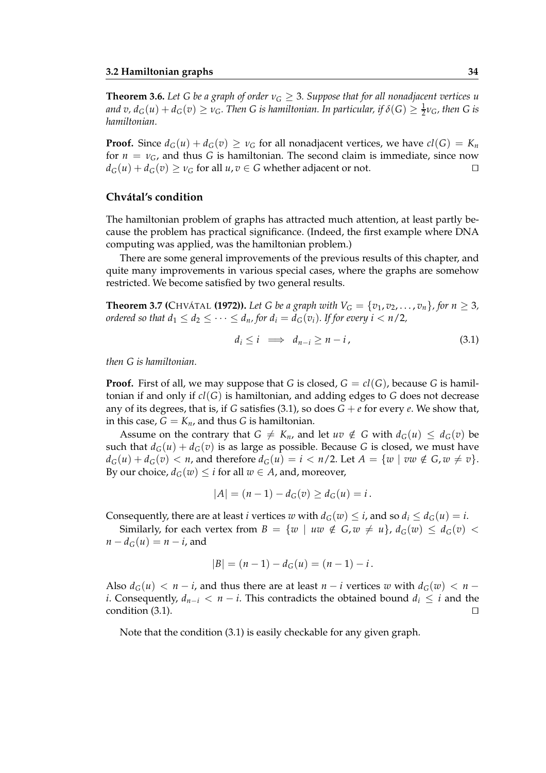**Theorem 3.6.** Let G be a graph of order  $v_G \geq 3$ . Suppose that for all nonadjacent vertices u and  $v$ ,  $d_G(u) + d_G(v) \ge v_G$ . Then G is hamiltonian. In particular, if  $\delta(G) \ge \frac{1}{2}v_G$ , then G is *hamiltonian.*

**Proof.** Since  $d_G(u) + d_G(v) \geq v_G$  for all nonadjacent vertices, we have  $cl(G) = K_n$ for  $n = v_G$ , and thus *G* is hamiltonian. The second claim is immediate, since now  $d_G(u) + d_G(v) \ge v_G$  for all *u*, *v* ∈ *G* whether adjacent or not. □

## **Chvátal's condition**

The hamiltonian problem of graphs has attracted much attention, at least partly because the problem has practical significance. (Indeed, the first example where DNA computing was applied, was the hamiltonian problem.)

There are some general improvements of the previous results of this chapter, and quite many improvements in various special cases, where the graphs are somehow restricted. We become satisfied by two general results.

**Theorem 3.7 (CHVÁTAL (1972)).** Let G be a graph with  $V_G = \{v_1, v_2, ..., v_n\}$ , for  $n \geq 3$ , *ordered so that*  $d_1 \leq d_2 \leq \cdots \leq d_n$ , for  $d_i = d_G(v_i)$ . If for every  $i < n/2$ ,

$$
d_i \leq i \implies d_{n-i} \geq n-i, \tag{3.1}
$$

*then G is hamiltonian.*

**Proof.** First of all, we may suppose that *G* is closed,  $G = cl(G)$ , because *G* is hamiltonian if and only if *cl*(*G*) is hamiltonian, and adding edges to *G* does not decrease any of its degrees, that is, if *G* satisfies (3.1), so does  $G + e$  for every *e*. We show that, in this case,  $G = K_n$ , and thus *G* is hamiltonian.

Assume on the contrary that  $G \neq K_n$ , and let  $uv \notin G$  with  $d_G(u) \leq d_G(v)$  be such that  $d_G(u) + d_G(v)$  is as large as possible. Because *G* is closed, we must have  $d_G(u) + d_G(v) < n$ , and therefore  $d_G(u) = i < n/2$ . Let  $A = \{w \mid vw \notin G, w \neq v\}$ . By our choice,  $d_G(w) \leq i$  for all  $w \in A$ , and, moreover,

$$
|A| = (n-1) - d_G(v) \ge d_G(u) = i.
$$

Consequently, there are at least *i* vertices *w* with  $d_G(w) \le i$ , and so  $d_i \le d_G(u) = i$ .

Similarly, for each vertex from  $B = \{w \mid uw \notin G, w \neq u\}$ ,  $d_G(w) \leq d_G(v)$  $n - d_G(u) = n - i$ , and

$$
|B| = (n-1) - d_G(u) = (n-1) - i.
$$

Also  $d_G(u) < n - i$ , and thus there are at least  $n - i$  vertices *w* with  $d_G(w) < n - i$ *i*. Consequently,  $d_{n-i} < n-i$ . This contradicts the obtained bound  $d_i \leq i$  and the condition (3.1).  $□$ 

Note that the condition (3.1) is easily checkable for any given graph.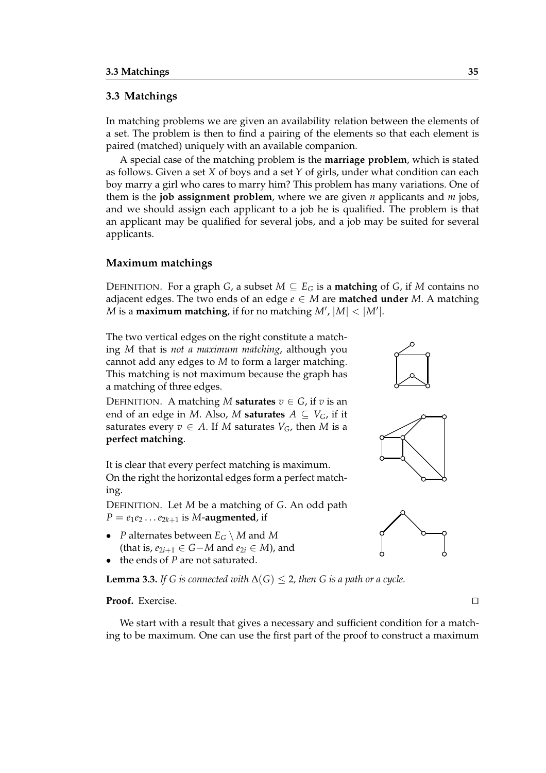#### **3.3 Matchings**

In matching problems we are given an availability relation between the elements of a set. The problem is then to find a pairing of the elements so that each element is paired (matched) uniquely with an available companion.

A special case of the matching problem is the **marriage problem**, which is stated as follows. Given a set *X* of boys and a set *Y* of girls, under what condition can each boy marry a girl who cares to marry him? This problem has many variations. One of them is the **job assignment problem**, where we are given *n* applicants and *m* jobs, and we should assign each applicant to a job he is qualified. The problem is that an applicant may be qualified for several jobs, and a job may be suited for several applicants.

#### **Maximum matchings**

DEFINITION. For a graph *G*, a subset  $M \subseteq E_G$  is a **matching** of *G*, if *M* contains no adjacent edges. The two ends of an edge  $e \in M$  are **matched under** *M*. A matching *M* is a **maximum matching**, if for no matching  $M'$ ,  $|M| < |M'|$ .

The two vertical edges on the right constitute a matching *M* that is *not a maximum matching*, although you cannot add any edges to *M* to form a larger matching. This matching is not maximum because the graph has a matching of three edges.

DEFINITION. A matching *M* **saturates**  $v \in G$ , if *v* is an end of an edge in *M*. Also, *M* **saturates**  $A \subseteq V_G$ , if it saturates every  $v \in A$ . If *M* saturates  $V_G$ , then *M* is a **perfect matching**.

It is clear that every perfect matching is maximum. On the right the horizontal edges form a perfect matching.

DEFINITION. Let *M* be a matching of *G*. An odd path  $P = e_1 e_2 \dots e_{2k+1}$  is M-**augmented**, if

- *P* alternates between  $E_G \setminus M$  and *M* (that is,  $e_{2i+1} \in G-M$  and  $e_{2i} \in M$ ), and
- the ends of *P* are not saturated.

**Lemma 3.3.** If G is connected with  $\Delta(G) \leq 2$ , then G is a path or a cycle.

## **Proof.** Exercise. ⊓⊔

We start with a result that gives a necessary and sufficient condition for a matching to be maximum. One can use the first part of the proof to construct a maximum





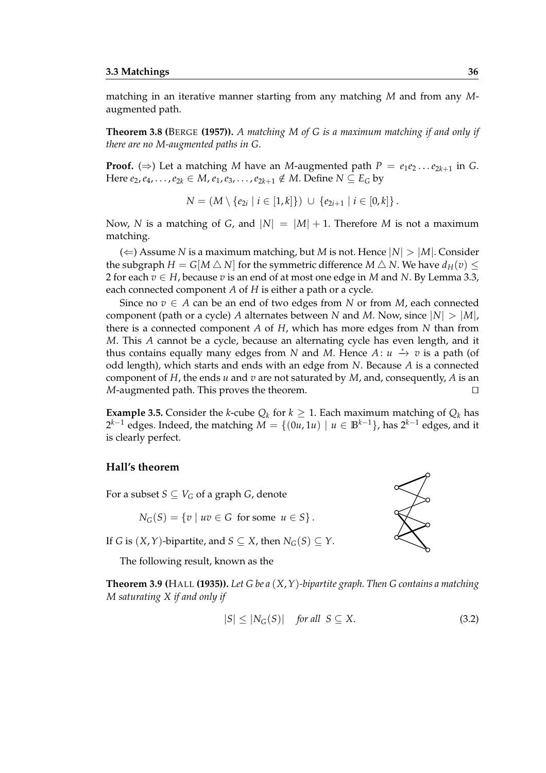matching in an iterative manner starting from any matching *M* and from any *M*augmented path.

**Theorem 3.8 (**BERGE **(1957)).** *A matching M of G is a maximum matching if and only if there are no M-augmented paths in G.*

**Proof.** ( $\Rightarrow$ ) Let a matching M have an M-augmented path  $P = e_1e_2 \dots e_{2k+1}$  in G. Here  $e_2, e_4, \ldots, e_{2k} \in M$ ,  $e_1, e_3, \ldots, e_{2k+1} \notin M$ . Define  $N \subseteq E_G$  by

 $N = (M \setminus \{e_{2i} \mid i \in [1, k]\}) \cup \{e_{2i+1} \mid i \in [0, k]\}.$ 

Now, *N* is a matching of *G*, and  $|N| = |M| + 1$ . Therefore *M* is not a maximum matching.

(⇐) Assume *N* is a maximum matching, but *M* is not. Hence |*N*| > |*M*|. Consider the subgraph  $H = G[M \triangle N]$  for the symmetric difference  $M \triangle N$ . We have  $d_H(v) \le$ 2 for each  $v \in H$ , because *v* is an end of at most one edge in *M* and *N*. By Lemma 3.3, each connected component *A* of *H* is either a path or a cycle.

Since no  $v \in A$  can be an end of two edges from N or from M, each connected component (path or a cycle) *A* alternates between *N* and *M*. Now, since  $|N| > |M|$ , there is a connected component *A* of *H*, which has more edges from *N* than from *M*. This *A* cannot be a cycle, because an alternating cycle has even length, and it thus contains equally many edges from *N* and *M*. Hence  $A: u \rightarrow v$  is a path (of odd length), which starts and ends with an edge from *N*. Because *A* is a connected component of *H*, the ends *u* and *v* are not saturated by *M*, and, consequently, *A* is an *M*-augmented path. This proves the theorem. □

**Example 3.5.** Consider the *k*-cube  $Q_k$  for  $k \geq 1$ . Each maximum matching of  $Q_k$  has 2 *k*−1 edges. Indeed, the matching *M* = {(0*u*, 1*u*) | *u* ∈ **B***k*−1}, has 2*k*−<sup>1</sup> edges, and it is clearly perfect.

# **Hall's theorem**

For a subset  $S \subseteq V_G$  of a graph *G*, denote

$$
N_G(S) = \{v \mid uv \in G \text{ for some } u \in S\}.
$$

If *G* is  $(X, Y)$ -bipartite, and  $S \subseteq X$ , then  $N_G(S) \subseteq Y$ .

The following result, known as the

**Theorem 3.9 (**HALL **(1935)).** *Let G be a* (*X*,*Y*)*-bipartite graph. Then G contains a matching M saturating X if and only if*

$$
|S| \le |N_G(S)| \quad \text{for all} \ \ S \subseteq X. \tag{3.2}
$$

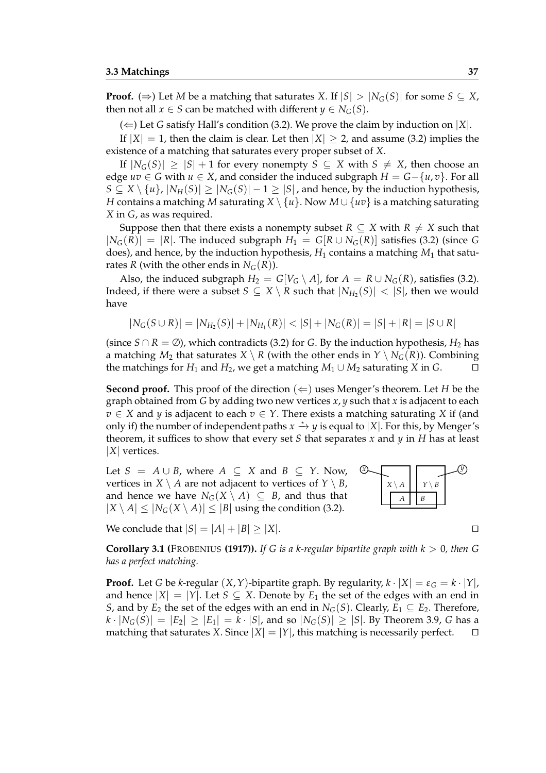**Proof.** ( $\Rightarrow$ ) Let *M* be a matching that saturates *X*. If  $|S| > |N_G(S)|$  for some  $S \subseteq X$ , then not all  $x \in S$  can be matched with different  $y \in N_G(S)$ .

(⇐) Let *G* satisfy Hall's condition (3.2). We prove the claim by induction on |*X*|.

If  $|X| = 1$ , then the claim is clear. Let then  $|X| > 2$ , and assume (3.2) implies the existence of a matching that saturates every proper subset of *X*.

If  $|N_G(S)| \ge |S| + 1$  for every nonempty  $S \subseteq X$  with  $S \ne X$ , then choose an edge  $uv \in G$  with  $u \in X$ , and consider the induced subgraph  $H = G - \{u, v\}$ . For all  $S \subseteq X \setminus \{u\}$ ,  $|N_H(S)| \geq |N_G(S)| - 1 \geq |S|$ , and hence, by the induction hypothesis, *H* contains a matching *M* saturating *X* \ {*u*}. Now *M* ∪ {*uv*} is a matching saturating *X* in *G*, as was required.

Suppose then that there exists a nonempty subset  $R \subseteq X$  with  $R \neq X$  such that  $|N_G(R)| = |R|$ . The induced subgraph  $H_1 = G[R \cup N_G(R)]$  satisfies (3.2) (since G does), and hence, by the induction hypothesis,  $H_1$  contains a matching  $M_1$  that saturates *R* (with the other ends in  $N_G(R)$ ).

Also, the induced subgraph  $H_2 = G[V_G \setminus A]$ , for  $A = R \cup N_G(R)$ , satisfies (3.2). Indeed, if there were a subset  $S \subseteq X \setminus R$  such that  $|N_{H_2}(S)| < |S|$ , then we would have

 $|N_G(S \cup R)| = |N_{H_2}(S)| + |N_{H_1}(R)| < |S| + |N_G(R)| = |S| + |R| = |S \cup R|$ 

(since  $S \cap R = \emptyset$ ), which contradicts (3.2) for *G*. By the induction hypothesis, *H*<sub>2</sub> has a matching  $M_2$  that saturates  $X \setminus R$  (with the other ends in  $Y \setminus N_G(R)$ ). Combining the matchings for *H*<sub>1</sub> and *H*<sub>2</sub>, we get a matching *M*<sub>1</sub> ∪ *M*<sub>2</sub> saturating *X* in *G*. □

**Second proof.** This proof of the direction  $(\Leftarrow)$  uses Menger's theorem. Let *H* be the graph obtained from *G* by adding two new vertices *x*, *y* such that *x* is adjacent to each  $v \in X$  and *y* is adjacent to each  $v \in Y$ . There exists a matching saturating *X* if (and only if) the number of independent paths  $x \stackrel{*}{\rightarrow} y$  is equal to |X|. For this, by Menger's theorem, it suffices to show that every set *S* that separates *x* and *y* in *H* has at least |*X*| vertices.

Let *S* = *A* ∪ *B*, where *A*  $\subseteq$  *X* and *B*  $\subseteq$  *Y*. Now, vertices in *X* \ *A* are not adjacent to vertices of *Y* \ *B*, and hence we have  $N_G(X \setminus A) \subseteq B$ , and thus that  $|X \setminus A| \leq |N_G(X \setminus A)| \leq |B|$  using the condition (3.2).

We conclude that  $|S| = |A| + |B| \ge |X|$ . □

*x y y y*  $X \setminus A$ *A B*

**Corollary 3.1 (**FROBENIUS **(1917)).** *If G is a k-regular bipartite graph with k* > 0*, then G has a perfect matching.*

**Proof.** Let *G* be *k*-regular  $(X, Y)$ -bipartite graph. By regularity,  $k \cdot |X| = \varepsilon_G = k \cdot |Y|$ , and hence  $|X| = |Y|$ . Let  $S \subseteq X$ . Denote by  $E_1$  the set of the edges with an end in *S*, and by  $E_2$  the set of the edges with an end in  $N_G(S)$ . Clearly,  $E_1 \subseteq E_2$ . Therefore,  $k \cdot |N_G(S)| = |E_2| \geq |E_1| = k \cdot |S|$ , and so  $|N_G(S)| \geq |S|$ . By Theorem 3.9, *G* has a matching that saturates *X*. Since  $|X| = |Y|$ , this matching is necessarily perfect.  $□$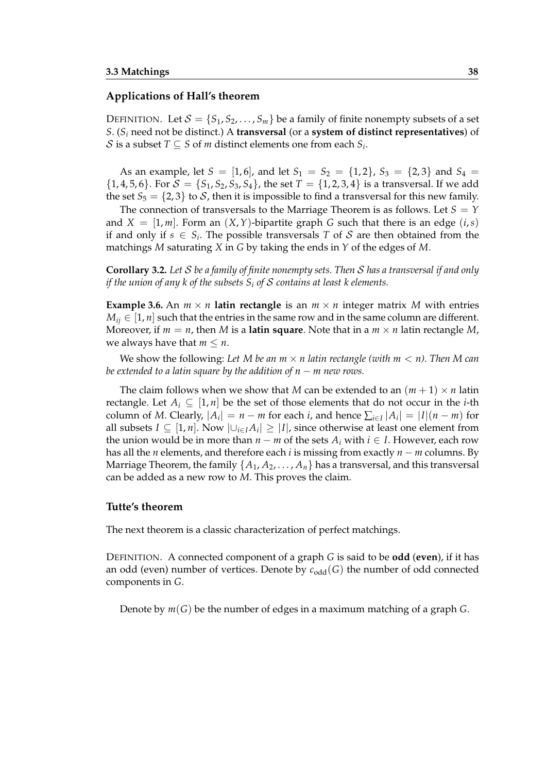# **Applications of Hall's theorem**

DEFINITION. Let  $S = \{S_1, S_2, \ldots, S_m\}$  be a family of finite nonempty subsets of a set *S*. (*S<sup>i</sup>* need not be distinct.) A **transversal** (or a **system of distinct representatives**) of  $\mathcal S$  is a subset  $T \subseteq \mathcal S$  of  $m$  distinct elements one from each  $\mathcal S_i$ .

As an example, let  $S = [1, 6]$ , and let  $S_1 = S_2 = \{1, 2\}$ ,  $S_3 = \{2, 3\}$  and  $S_4 =$  $\{1, 4, 5, 6\}$ . For  $S = \{S_1, S_2, S_3, S_4\}$ , the set  $T = \{1, 2, 3, 4\}$  is a transversal. If we add the set  $S_5 = \{2,3\}$  to S, then it is impossible to find a transversal for this new family.

The connection of transversals to the Marriage Theorem is as follows. Let  $S = Y$ and  $X = [1, m]$ . Form an  $(X, Y)$ -bipartite graph *G* such that there is an edge  $(i, s)$ if and only if  $s \in S_i$ . The possible transversals T of S are then obtained from the matchings *M* saturating *X* in *G* by taking the ends in *Y* of the edges of *M*.

**Corollary 3.2.** *Let* S *be a family of finite nonempty sets. Then* S *has a transversal if and only if the union of any k of the subsets S<sup>i</sup> of* S *contains at least k elements.*

**Example 3.6.** An  $m \times n$  **latin rectangle** is an  $m \times n$  integer matrix *M* with entries  $M_{ii} \in [1, n]$  such that the entries in the same row and in the same column are different. Moreover, if  $m = n$ , then *M* is a **latin square**. Note that in a  $m \times n$  latin rectangle *M*, we always have that  $m < n$ .

We show the following: Let M be an  $m \times n$  latin rectangle (with  $m \lt n$ ). Then M can *be extended to a latin square by the addition of*  $n - m$  *new rows.* 

The claim follows when we show that *M* can be extended to an  $(m+1) \times n$  latin rectangle. Let  $A_i \subseteq [1, n]$  be the set of those elements that do not occur in the *i*-th column of *M*. Clearly,  $|A_i| = n - m$  for each *i*, and hence  $\sum_{i \in I} |A_i| = |I|(n - m)$  for all subsets *I* ⊆ [1, *n*]. Now  $\bigcup_{i \in I} A_i \big| \geq |I|$ , since otherwise at least one element from the union would be in more than  $n - m$  of the sets  $A_i$  with  $i \in I$ . However, each row has all the *n* elements, and therefore each *i* is missing from exactly *n* − *m* columns. By Marriage Theorem, the family  $\{A_1, A_2, \ldots, A_n\}$  has a transversal, and this transversal can be added as a new row to *M*. This proves the claim.

#### **Tutte's theorem**

The next theorem is a classic characterization of perfect matchings.

DEFINITION. A connected component of a graph *G* is said to be **odd** (**even**), if it has an odd (even) number of vertices. Denote by  $c_{odd}(G)$  the number of odd connected components in *G*.

Denote by *m*(*G*) be the number of edges in a maximum matching of a graph *G*.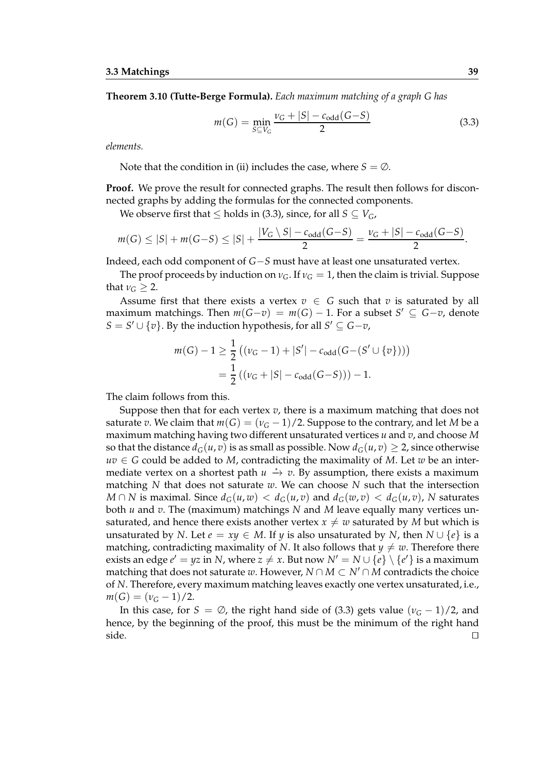**Theorem 3.10 (Tutte-Berge Formula).** *Each maximum matching of a graph G has*

$$
m(G) = \min_{S \subseteq V_G} \frac{\nu_G + |S| - c_{\text{odd}}(G - S)}{2} \tag{3.3}
$$

*elements.*

Note that the condition in (ii) includes the case, where  $S = \emptyset$ .

**Proof.** We prove the result for connected graphs. The result then follows for disconnected graphs by adding the formulas for the connected components.

We observe first that  $\leq$  holds in (3.3), since, for all  $S \subseteq V_G$ ,

$$
m(G) \le |S| + m(G-S) \le |S| + \frac{|V_G \setminus S| - c_{\text{odd}}(G-S)}{2} = \frac{\nu_G + |S| - c_{\text{odd}}(G-S)}{2}
$$

Indeed, each odd component of *G*−*S* must have at least one unsaturated vertex.

The proof proceeds by induction on  $\nu_G$ . If  $\nu_G = 1$ , then the claim is trivial. Suppose that  $\nu_G \geq 2$ .

Assume first that there exists a vertex  $v \in G$  such that *v* is saturated by all maximum matchings. Then  $m(G-v) = m(G) - 1$ . For a subset  $S' \subseteq G-v$ , denote  $S = S' \cup \{v\}$ . By the induction hypothesis, for all  $S' \subseteq G - v$ ,

$$
m(G) - 1 \ge \frac{1}{2} ((v_G - 1) + |S'| - c_{odd}(G - (S' \cup \{v\})))
$$
  
=  $\frac{1}{2} ((v_G + |S| - c_{odd}(G - S))) - 1.$ 

The claim follows from this.

Suppose then that for each vertex *v*, there is a maximum matching that does not saturate *v*. We claim that  $m(G) = (\nu_G - 1)/2$ . Suppose to the contrary, and let *M* be a maximum matching having two different unsaturated vertices *u* and *v*, and choose *M* so that the distance  $d_G(u, v)$  is as small as possible. Now  $d_G(u, v) \geq 2$ , since otherwise  $uv \in G$  could be added to *M*, contradicting the maximality of *M*. Let *w* be an intermediate vertex on a shortest path *u*  $\stackrel{*}{\rightarrow} v$ . By assumption, there exists a maximum matching *N* that does not saturate *w*. We can choose *N* such that the intersection *M* ∩ *N* is maximal. Since  $d_G(u, w) < d_G(u, v)$  and  $d_G(w, v) < d_G(u, v)$ , *N* saturates both *u* and *v*. The (maximum) matchings *N* and *M* leave equally many vertices unsaturated, and hence there exists another vertex  $x \neq w$  saturated by *M* but which is unsaturated by *N*. Let  $e = xy \in M$ . If *y* is also unsaturated by *N*, then  $N \cup \{e\}$  is a matching, contradicting maximality of *N*. It also follows that  $y \neq w$ . Therefore there exists an edge  $e' = yz$  in  $N$ , where  $z \neq x$ . But now  $N' = N \cup \{e\} \setminus \{e'\}$  is a maximum matching that does not saturate *w*. However,  $N \cap M \subset N' \cap M$  contradicts the choice of *N*. Therefore, every maximum matching leaves exactly one vertex unsaturated, i.e.,  $m(G) = (\nu_G - 1)/2.$ 

In this case, for *S* =  $\emptyset$ , the right hand side of (3.3) gets value ( $\nu$ <sup>*G*</sup> − 1)/2, and hence, by the beginning of the proof, this must be the minimum of the right hand side. ⊓⊔

.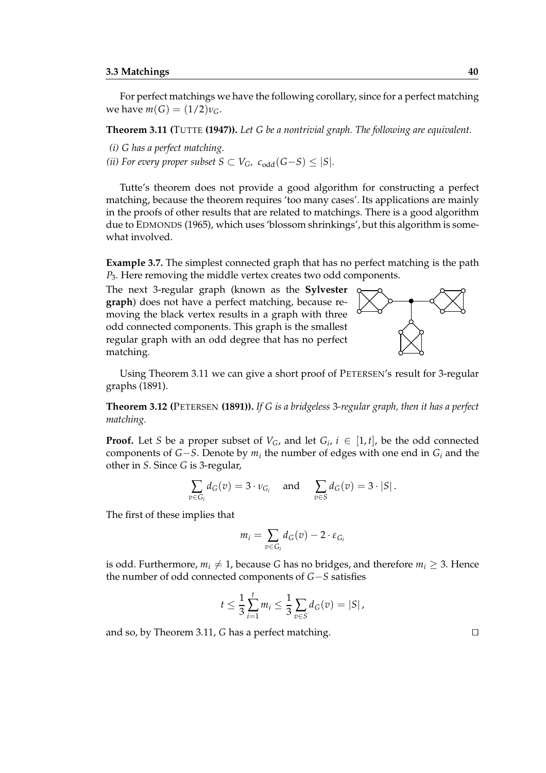For perfect matchings we have the following corollary, since for a perfect matching *we have*  $m(G) = (1/2)v_G$ *.* 

**Theorem 3.11 (**TUTTE **(1947)).** *Let G be a nontrivial graph. The following are equivalent.*

*(i) G has a perfect matching.*

*(ii)* For every proper subset  $S \subset V_G$ ,  $c_{\text{odd}}(G-S) \leq |S|$ .

Tutte's theorem does not provide a good algorithm for constructing a perfect matching, because the theorem requires 'too many cases'. Its applications are mainly in the proofs of other results that are related to matchings. There is a good algorithm due to EDMONDS (1965), which uses 'blossom shrinkings', but this algorithm is somewhat involved.

**Example 3.7.** The simplest connected graph that has no perfect matching is the path *P*3. Here removing the middle vertex creates two odd components.

The next 3-regular graph (known as the **Sylvester graph**) does not have a perfect matching, because removing the black vertex results in a graph with three odd connected components. This graph is the smallest regular graph with an odd degree that has no perfect matching.



Using Theorem 3.11 we can give a short proof of PETERSEN's result for 3-regular graphs (1891).

**Theorem 3.12 (**PETERSEN **(1891)).** *If G is a bridgeless* 3*-regular graph, then it has a perfect matching.*

**Proof.** Let *S* be a proper subset of  $V_G$ , and let  $G_i$ ,  $i \in [1, t]$ , be the odd connected components of *G*−*S*. Denote by *m<sup>i</sup>* the number of edges with one end in *G<sup>i</sup>* and the other in *S*. Since *G* is 3-regular,

$$
\sum_{v \in G_i} d_G(v) = 3 \cdot \nu_{G_i} \quad \text{and} \quad \sum_{v \in S} d_G(v) = 3 \cdot |S|.
$$

The first of these implies that

$$
m_i = \sum_{v \in G_i} d_G(v) - 2 \cdot \varepsilon_{G_i}
$$

is odd. Furthermore,  $m_i \neq 1$ , because *G* has no bridges, and therefore  $m_i \geq 3$ . Hence the number of odd connected components of *G*−*S* satisfies

$$
t \leq \frac{1}{3} \sum_{i=1}^{t} m_i \leq \frac{1}{3} \sum_{v \in S} d_G(v) = |S|,
$$

and so, by Theorem 3.11, *G* has a perfect matching. ⊓⊔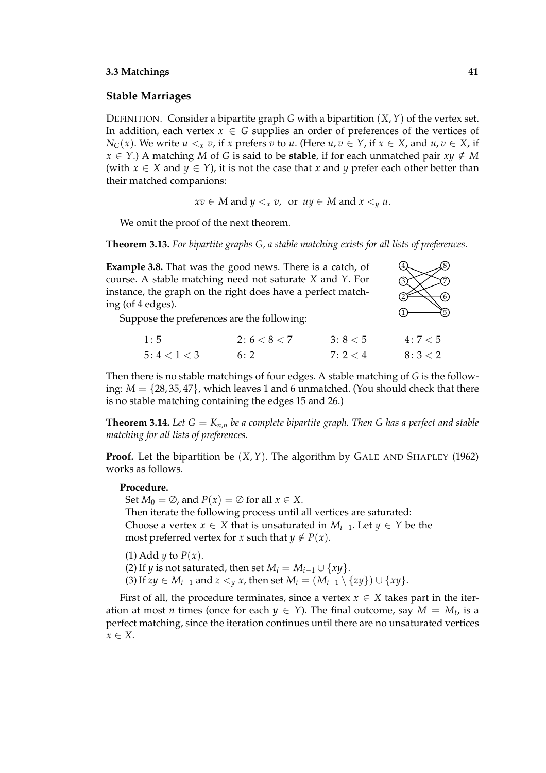## **Stable Marriages**

DEFINITION. Consider a bipartite graph *G* with a bipartition  $(X, Y)$  of the vertex set. In addition, each vertex  $x \in G$  supplies an order of preferences of the vertices of *N*<sub>*G*</sub>(*x*). We write  $u <sub>x</sub> v$ , if *x* prefers *v* to *u*. (Here  $u, v \in Y$ , if  $x \in X$ , and  $u, v \in X$ , if  $x \in Y$ .) A matching *M* of *G* is said to be **stable**, if for each unmatched pair  $xy \notin M$ (with  $x \in X$  and  $y \in Y$ ), it is not the case that x and y prefer each other better than their matched companions:

*xv*  $\in$  *M* and *y*  $\lt_x v$ , or  $uy \in M$  and  $x \lt_y u$ .

We omit the proof of the next theorem.

**Theorem 3.13.** *For bipartite graphs G, a stable matching exists for all lists of preferences.*

| <b>Example 3.8.</b> That was the good news. There is a catch, of |
|------------------------------------------------------------------|
| course. A stable matching need not saturate X and Y. For         |
| instance, the graph on the right does have a perfect match-      |
| ing (of 4 edges).                                                |

Suppose the preferences are the following:



| 1:5     | 2:6 < 8 < 7 | 3:8<5   | 4:7<5   |
|---------|-------------|---------|---------|
| 5:4<1<3 | 6:2         | 7:2 < 4 | 8:3 < 2 |

Then there is no stable matchings of four edges. A stable matching of *G* is the following:  $M = \{28, 35, 47\}$ , which leaves 1 and 6 unmatched. (You should check that there is no stable matching containing the edges 15 and 26.)

**Theorem 3.14.** Let  $G = K_{n,n}$  be a complete bipartite graph. Then G has a perfect and stable *matching for all lists of preferences.*

**Proof.** Let the bipartition be  $(X, Y)$ . The algorithm by GALE AND SHAPLEY (1962) works as follows.

## **Procedure.**

Set  $M_0 = \emptyset$ , and  $P(x) = \emptyset$  for all  $x \in X$ . Then iterate the following process until all vertices are saturated: Choose a vertex  $x \in X$  that is unsaturated in  $M_{i-1}$ . Let  $y \in Y$  be the most preferred vertex for *x* such that  $y \notin P(x)$ .

(1) Add *y* to *P*(*x*).

(2) If *y* is not saturated, then set  $M_i = M_{i-1} \cup \{xy\}$ . (3) If *zy* ∈ *M*<sub>*i*−1</sub> and *z* <<sub>*y*</sub> *x*, then set *M*<sub>*i*</sub> = (*M*<sub>*i*−1</sub> \{*zy*}) ∪ {*xy*}.

First of all, the procedure terminates, since a vertex  $x \in X$  takes part in the iteration at most *n* times (once for each  $y \in Y$ ). The final outcome, say  $M = M_t$ , is a perfect matching, since the iteration continues until there are no unsaturated vertices *x* ∈ *X*.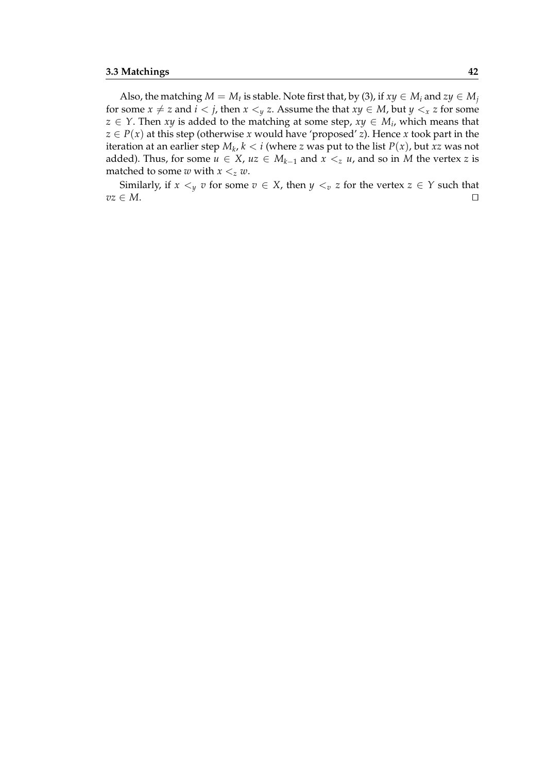Also, the matching  $M = M_t$  is stable. Note first that, by (3), if  $xy \in M_i$  and  $zy \in M_j$ for some  $x \neq z$  and  $i < j$ , then  $x < y$  *z*. Assume the that  $xy \in M$ , but  $y < x$  *z* for some  $z \in Y$ . Then *xy* is added to the matching at some step,  $xy \in M_i$ , which means that  $z \in P(x)$  at this step (otherwise *x* would have 'proposed' *z*). Hence *x* took part in the iteration at an earlier step  $M_k$ ,  $k < i$  (where  $z$  was put to the list  $P(x)$ , but  $xz$  was not added). Thus, for some  $u \in X$ ,  $uz \in M_{k-1}$  and  $x \leq z$  *u*, and so in *M* the vertex *z* is matched to some *w* with  $x < z w$ .

Similarly, if *x*  $\lt_y$  *v* for some  $v \in X$ , then  $y \lt_v z$  for the vertex  $z \in Y$  such that  $vz \in M$ . *vz* ∈ *M*.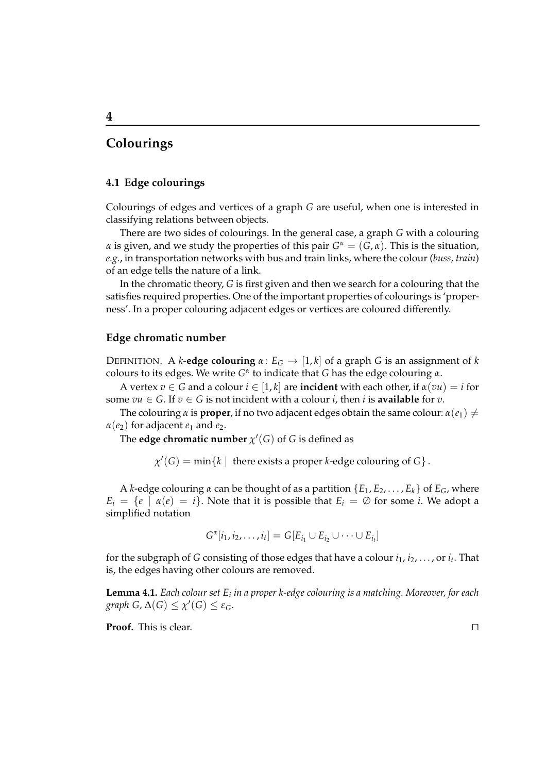# **Colourings**

# **4.1 Edge colourings**

Colourings of edges and vertices of a graph *G* are useful, when one is interested in classifying relations between objects.

There are two sides of colourings. In the general case, a graph *G* with a colouring *α* is given, and we study the properties of this pair  $G^{\alpha} = (G, \alpha)$ . This is the situation, *e.g.*, in transportation networks with bus and train links, where the colour (*buss, train*) of an edge tells the nature of a link.

In the chromatic theory, *G* is first given and then we search for a colouring that the satisfies required properties. One of the important properties of colourings is 'properness'. In a proper colouring adjacent edges or vertices are coloured differently.

# **Edge chromatic number**

DEFINITION. A *k*-**edge colouring**  $α: E<sub>G</sub> → [1, k]$  of a graph *G* is an assignment of *k* colours to its edges. We write *G α* to indicate that *G* has the edge colouring *α*.

A vertex  $v \in G$  and a colour  $i \in [1, k]$  are **incident** with each other, if  $\alpha(vu) = i$  for some  $vu \in G$ . If  $v \in G$  is not incident with a colour *i*, then *i* is **available** for *v*.

The colouring  $\alpha$  is **proper**, if no two adjacent edges obtain the same colour:  $\alpha(e_1) \neq 0$  $\alpha(e_2)$  for adjacent  $e_1$  and  $e_2$ .

The **edge chromatic number**  $\chi'(G)$  of G is defined as

 $\chi'(G) = \min\{k \mid \text{there exists a proper } k\text{-edge colouring of } G\}.$ 

A *k*-edge colouring *α* can be thought of as a partition {*E*1, *E*2, . . . , *Ek*} of *EG*, where  $E_i = \{e \mid \alpha(e) = i\}$ . Note that it is possible that  $E_i = \emptyset$  for some *i*. We adopt a simplified notation

$$
G^{\alpha}[i_1,i_2,\ldots,i_t]=G[E_{i_1}\cup E_{i_2}\cup\cdots\cup E_{i_t}]
$$

for the subgraph of *G* consisting of those edges that have a colour *i*1, *i*2, . . . , or *i<sup>t</sup>* . That is, the edges having other colours are removed.

**Lemma 4.1.** *Each colour set E<sup>i</sup> in a proper k-edge colouring is a matching. Moreover, for each*  $graph G, \Delta(G) \leq \chi'(G) \leq \varepsilon_G.$ 

**Proof.** This is clear. □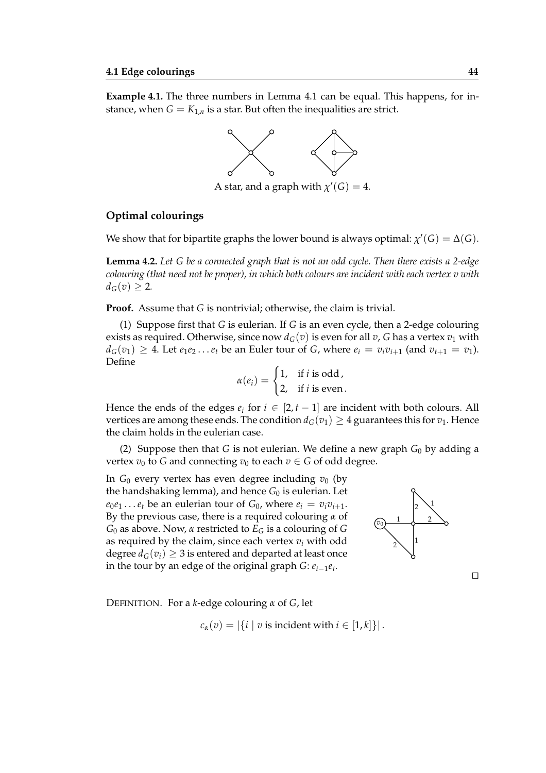**Example 4.1.** The three numbers in Lemma 4.1 can be equal. This happens, for instance, when  $G = K_{1,n}$  is a star. But often the inequalities are strict.



A star, and a graph with  $\chi'(G) = 4$ .

#### **Optimal colourings**

We show that for bipartite graphs the lower bound is always optimal:  $\chi'(G) = \Delta(G)$ .

**Lemma 4.2.** *Let G be a connected graph that is not an odd cycle. Then there exists a 2-edge colouring (that need not be proper), in which both colours are incident with each vertex v with*  $d_G(v) \geq 2$ .

**Proof.** Assume that *G* is nontrivial; otherwise, the claim is trivial.

(1) Suppose first that *G* is eulerian. If *G* is an even cycle, then a 2-edge colouring exists as required. Otherwise, since now  $d_G(v)$  is even for all *v*, *G* has a vertex  $v_1$  with  $d_G(v_1) \geq 4$ . Let  $e_1e_2 \ldots e_t$  be an Euler tour of *G*, where  $e_i = v_i v_{i+1}$  (and  $v_{t+1} = v_1$ ). Define

$$
\alpha(e_i) = \begin{cases} 1, & \text{if } i \text{ is odd,} \\ 2, & \text{if } i \text{ is even.} \end{cases}
$$

Hence the ends of the edges  $e_i$  for  $i \in [2, t-1]$  are incident with both colours. All vertices are among these ends. The condition  $d_G(v_1) \geq 4$  guarantees this for  $v_1$ . Hence the claim holds in the eulerian case.

(2) Suppose then that *G* is not eulerian. We define a new graph  $G_0$  by adding a vertex  $v_0$  to *G* and connecting  $v_0$  to each  $v \in G$  of odd degree.

In  $G_0$  every vertex has even degree including  $v_0$  (by the handshaking lemma), and hence  $G_0$  is eulerian. Let  $e_0e_1 \ldots e_t$  be an eulerian tour of  $G_0$ , where  $e_i = v_iv_{i+1}$ . By the previous case, there is a required colouring *α* of *G*<sup>0</sup> as above. Now, *α* restricted to *E<sup>G</sup>* is a colouring of *G* as required by the claim, since each vertex  $v_i$  with odd degree  $d_G(v_i) \geq 3$  is entered and departed at least once in the tour by an edge of the original graph *G*: *ei*−1*e<sup>i</sup>* .



⊓⊔

DEFINITION. For a *k*-edge colouring *α* of *G*, let

$$
c_{\alpha}(v) = |\{i \mid v \text{ is incident with } i \in [1, k]\}|.
$$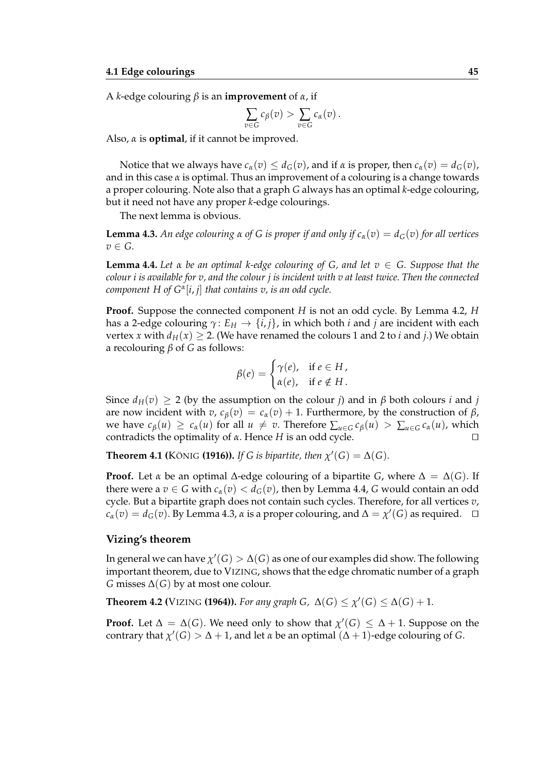A *k*-edge colouring *β* is an **improvement** of *α*, if

$$
\sum_{v \in G} c_{\beta}(v) > \sum_{v \in G} c_{\alpha}(v).
$$

Also,  $\alpha$  is **optimal**, if it cannot be improved.

Notice that we always have  $c_{\alpha}(v) \leq d_{G}(v)$ , and if  $\alpha$  is proper, then  $c_{\alpha}(v) = d_{G}(v)$ , and in this case *α* is optimal. Thus an improvement of a colouring is a change towards a proper colouring. Note also that a graph *G* always has an optimal *k*-edge colouring, but it need not have any proper *k*-edge colourings.

The next lemma is obvious.

**Lemma 4.3.** *An edge colouring α of G is proper if and only if*  $c<sub>a</sub>(v) = d<sub>G</sub>(v)$  *for all vertices*  $v \in G$ .

**Lemma 4.4.** Let  $\alpha$  be an optimal k-edge colouring of G, and let  $v \in G$ . Suppose that the *colour i is available for v, and the colour j is incident with v at least twice. Then the connected component H of G<sup>α</sup>* [*i*, *j*] *that contains v, is an odd cycle.*

**Proof.** Suppose the connected component *H* is not an odd cycle. By Lemma 4.2, *H* has a 2-edge colouring  $\gamma: E_H \to \{i, j\}$ , in which both *i* and *j* are incident with each vertex *x* with  $d_H(x) \geq 2$ . (We have renamed the colours 1 and 2 to *i* and *j*.) We obtain a recolouring *β* of *G* as follows:

$$
\beta(e) = \begin{cases} \gamma(e), & \text{if } e \in H, \\ \alpha(e), & \text{if } e \notin H. \end{cases}
$$

Since  $d_H(v) \geq 2$  (by the assumption on the colour *j*) and in *β* both colours *i* and *j* are now incident with *v*,  $c<sub>β</sub>(v) = c<sub>α</sub>(v) + 1$ . Furthermore, by the construction of *β*, we have  $c_{\beta}(u) \geq c_{\alpha}(u)$  for all  $u \neq v$ . Therefore  $\sum_{u \in G} c_{\beta}(u) > \sum_{u \in G} c_{\alpha}(u)$ , which contradicts the optimality of *α*. Hence *H* is an odd cycle.

**Theorem 4.1 (**KÖNIG **(1916)).** *If G is bipartite, then*  $\chi'(G) = \Delta(G)$ *.* 

**Proof.** Let *α* be an optimal  $\Delta$ -edge colouring of a bipartite *G*, where  $\Delta = \Delta(G)$ . If there were a  $v \in G$  with  $c_{\alpha}(v) < d_{G}(v)$ , then by Lemma 4.4, G would contain an odd cycle. But a bipartite graph does not contain such cycles. Therefore, for all vertices *v*,  $c_\alpha(v) = d_G(v)$ . By Lemma 4.3,  $\alpha$  is a proper colouring, and  $\Delta = \chi'(G)$  as required.  $\Box$ 

#### **Vizing's theorem**

In general we can have  $\chi'(G) > \Delta(G)$  as one of our examples did show. The following important theorem, due to VIZING, shows that the edge chromatic number of a graph *G* misses  $\Delta(G)$  by at most one colour.

**Theorem 4.2 (**VIZING **(1964)).** *For any graph G,*  $\Delta(G) \leq \chi'(G) \leq \Delta(G) + 1$ *.* 

**Proof.** Let  $\Delta = \Delta(G)$ . We need only to show that  $\chi'(G) \leq \Delta + 1$ . Suppose on the contrary that  $\chi'(G) > \Delta + 1$ , and let *α* be an optimal  $(Δ + 1)$ -edge colouring of *G*.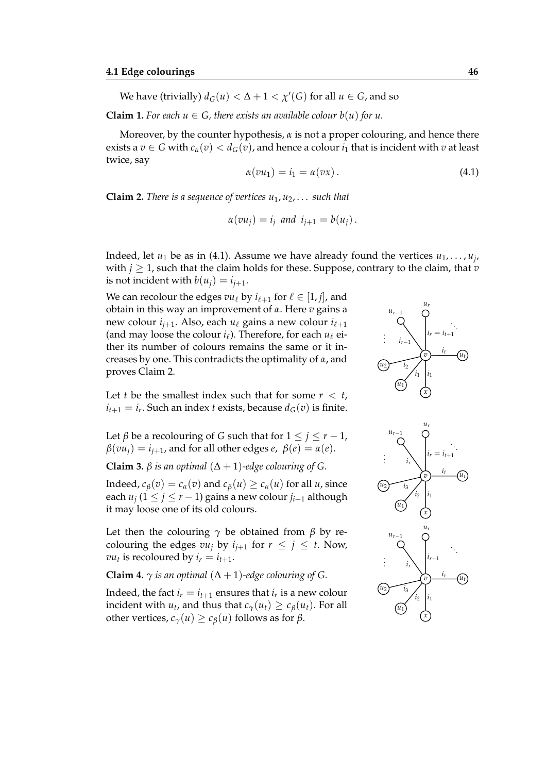We have (trivially)  $d_G(u) < \Delta + 1 < \chi'(G)$  for all  $u \in G$ , and so

**Claim 1.** For each  $u \in G$ , there exists an available colour  $b(u)$  for  $u$ .

Moreover, by the counter hypothesis, *α* is not a proper colouring, and hence there exists a  $v \in G$  with  $c_{\alpha}(v) < d_{G}(v)$ , and hence a colour  $i_1$  that is incident with  $v$  at least twice, say

$$
\alpha(vu_1) = i_1 = \alpha(vx). \tag{4.1}
$$

**Claim 2.** There is a sequence of vertices  $u_1, u_2, \ldots$  such that

$$
\alpha(vu_j) = i_j \text{ and } i_{j+1} = b(u_j).
$$

Indeed, let  $u_1$  be as in (4.1). Assume we have already found the vertices  $u_1, \ldots, u_j$ , with  $j \geq 1$ , such that the claim holds for these. Suppose, contrary to the claim, that *v* is not incident with  $b(u_i) = i_{i+1}$ .

We can recolour the edges  $vu_{\ell}$  by  $i_{\ell+1}$  for  $\ell \in [1,j]$ , and obtain in this way an improvement of *α*. Here *v* gains a new colour  $i_{i+1}$ . Also, each  $u_\ell$  gains a new colour  $i_{\ell+1}$ (and may loose the colour *i*ℓ ). Therefore, for each *u*ℓ either its number of colours remains the same or it increases by one. This contradicts the optimality of *α*, and proves Claim 2.

Let *t* be the smallest index such that for some  $r < t$ ,  $i_{t+1} = i_r$ . Such an index *t* exists, because  $d_G(v)$  is finite.

Let *β* be a recolouring of *G* such that for  $1 \leq j \leq r-1$ ,  $\beta(vu_i) = i_{i+1}$ , and for all other edges *e*,  $\beta(e) = \alpha(e)$ .

**Claim 3.**  $\beta$  *is an optimal*  $(\Delta + 1)$ *-edge colouring of G.* 

Indeed,  $c_{\beta}(v) = c_{\alpha}(v)$  and  $c_{\beta}(u) \geq c_{\alpha}(u)$  for all *u*, since each  $u_j$  (1  $\leq j \leq r-1$ ) gains a new colour  $j_{i+1}$  although it may loose one of its old colours.

Let then the colouring  $\gamma$  be obtained from  $\beta$  by recolouring the edges  $vu_j$  by  $i_{j+1}$  for  $r \leq j \leq t$ . Now,  $vu_t$  is recoloured by  $i_r = i_{t+1}$ .

**Claim 4.**  $\gamma$  *is an optimal*  $(\Delta + 1)$ *-edge colouring of G.* 

Indeed, the fact  $i_r = i_{t+1}$  ensures that  $i_r$  is a new colour incident with  $u_t$ , and thus that  $c_\gamma(u_t) \geq c_\beta(u_t)$ . For all other vertices,  $c_\gamma(u) \geq c_\beta(u)$  follows as for  $\beta$ .



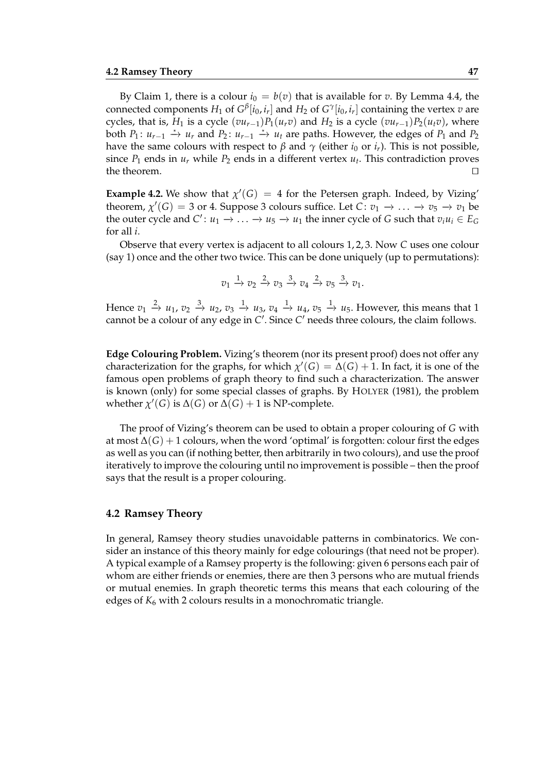By Claim 1, there is a colour  $i_0 = b(v)$  that is available for *v*. By Lemma 4.4, the connected components  $H_1$  of  $G^\beta[i_0,i_r]$  and  $H_2$  of  $G^\gamma[i_0,i_r]$  containing the vertex  $v$  are cycles, that is,  $H_1$  is a cycle  $(vu_{r-1})P_1(u_rv)$  and  $H_2$  is a cycle  $(vu_{r-1})P_2(u_tv)$ , where both  $P_1: u_{r-1} \stackrel{*}{\rightarrow} u_r$  and  $P_2: u_{r-1} \stackrel{*}{\rightarrow} u_t$  are paths. However, the edges of  $P_1$  and  $P_2$ have the same colours with respect to *β* and  $\gamma$  (either *i*<sub>0</sub> or *i*<sub>*r*</sub>). This is not possible, since  $P_1$  ends in  $u_r$  while  $P_2$  ends in a different vertex  $u_t$ . This contradiction proves the theorem. □

**Example 4.2.** We show that  $\chi'(G) = 4$  for the Petersen graph. Indeed, by Vizing' theorem,  $\chi'(G) = 3$  or 4. Suppose 3 colours suffice. Let  $C: v_1 \to \ldots \to v_5 \to v_1$  be the outer cycle and  $C' : u_1 \to \ldots \to u_5 \to u_1$  the inner cycle of *G* such that  $v_iu_i \in E_G$ for all *i*.

Observe that every vertex is adjacent to all colours 1, 2, 3. Now *C* uses one colour (say 1) once and the other two twice. This can be done uniquely (up to permutations):

$$
v_1 \xrightarrow{1} v_2 \xrightarrow{2} v_3 \xrightarrow{3} v_4 \xrightarrow{2} v_5 \xrightarrow{3} v_1.
$$

Hence  $v_1 \stackrel{2}{\rightarrow} u_1$ ,  $v_2 \stackrel{3}{\rightarrow} u_2$ ,  $v_3 \stackrel{1}{\rightarrow} u_3$ ,  $v_4 \stackrel{1}{\rightarrow} u_4$ ,  $v_5 \stackrel{1}{\rightarrow} u_5$ . However, this means that 1 cannot be a colour of any edge in C'. Since C' needs three colours, the claim follows.

**Edge Colouring Problem.** Vizing's theorem (nor its present proof) does not offer any characterization for the graphs, for which  $\chi'(G) = \Delta(G) + 1$ . In fact, it is one of the famous open problems of graph theory to find such a characterization. The answer is known (only) for some special classes of graphs. By HOLYER (1981), the problem whether  $\chi'(G)$  is  $\Delta(G)$  or  $\Delta(G) + 1$  is NP-complete.

The proof of Vizing's theorem can be used to obtain a proper colouring of *G* with at most  $\Delta(G) + 1$  colours, when the word 'optimal' is forgotten: colour first the edges as well as you can (if nothing better, then arbitrarily in two colours), and use the proof iteratively to improve the colouring until no improvement is possible – then the proof says that the result is a proper colouring.

# **4.2 Ramsey Theory**

In general, Ramsey theory studies unavoidable patterns in combinatorics. We consider an instance of this theory mainly for edge colourings (that need not be proper). A typical example of a Ramsey property is the following: given 6 persons each pair of whom are either friends or enemies, there are then 3 persons who are mutual friends or mutual enemies. In graph theoretic terms this means that each colouring of the edges of  $K_6$  with 2 colours results in a monochromatic triangle.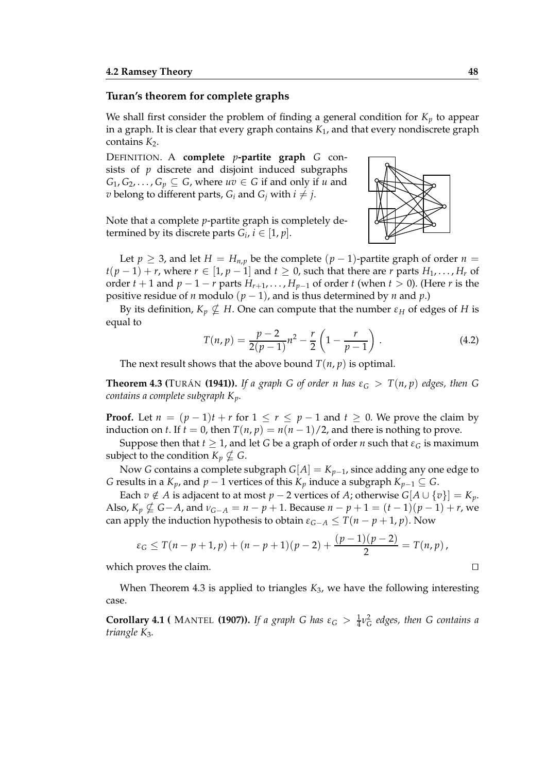# **Turan's theorem for complete graphs**

We shall first consider the problem of finding a general condition for  $K_p$  to appear in a graph. It is clear that every graph contains *K*1, and that every nondiscrete graph contains *K*2.

DEFINITION. A **complete** *p***-partite graph** *G* consists of *p* discrete and disjoint induced subgraphs  $G_1, G_2, \ldots, G_p \subseteq G$ , where  $uv \in G$  if and only if *u* and *v* belong to different parts,  $G_i$  and  $G_j$  with  $i \neq j$ .



Note that a complete *p*-partite graph is completely determined by its discrete parts  $G_i$ ,  $i \in [1, p]$ .

Let  $p \ge 3$ , and let  $H = H_{n,p}$  be the complete  $(p-1)$ -partite graph of order  $n =$ *t*(*p* − 1) + *r*, where *r* ∈ [1, *p* − 1] and *t* ≥ 0, such that there are *r* parts *H*<sub>1</sub>, ..., *H<sub>r</sub>* of order *t* + 1 and *p* − 1 − *r* parts *H*<sub>*r*+1</sub>, . . . , *H*<sub>*p*−1</sub> of order *t* (when *t* > 0). (Here *r* is the positive residue of *n* modulo ( $p - 1$ ), and is thus determined by *n* and *p*.)

By its definition,  $K_p \nsubseteq H$ . One can compute that the number  $\varepsilon_H$  of edges of *H* is equal to

$$
T(n,p) = \frac{p-2}{2(p-1)}n^2 - \frac{r}{2}\left(1 - \frac{r}{p-1}\right).
$$
 (4.2)

The next result shows that the above bound  $T(n, p)$  is optimal.

**Theorem 4.3 (**TURÁN **(1941)).** *If a graph G of order n has*  $\varepsilon_G$  >  $T(n,p)$  *edges, then G contains a complete subgraph Kp.*

**Proof.** Let  $n = (p-1)t + r$  for  $1 \le r \le p-1$  and  $t \ge 0$ . We prove the claim by induction on *t*. If  $t = 0$ , then  $T(n, p) = n(n - 1)/2$ , and there is nothing to prove.

Suppose then that  $t \geq 1$ , and let *G* be a graph of order *n* such that  $\varepsilon_G$  is maximum subject to the condition  $K_p \nsubseteq G$ .

Now *G* contains a complete subgraph  $G[A] = K_{p-1}$ , since adding any one edge to *G* results in a *K*<sub>*p*</sub>, and *p* − 1 vertices of this *K*<sub>*p*</sub> induce a subgraph *K*<sub>*p*−1</sub> ⊆ *G*.

Each *v* ∉ *A* is adjacent to at most *p* − 2 vertices of *A*; otherwise  $G[A \cup \{v\}] = K_p$ . Also,  $K_p \nsubseteq G - A$ , and  $\nu_{G−A} = n - p + 1$ . Because  $n - p + 1 = (t - 1)(p - 1) + r$ , we can apply the induction hypothesis to obtain  $\varepsilon_{G-A} \leq T(n-p+1, p)$ . Now

$$
\varepsilon_G \leq T(n-p+1,p) + (n-p+1)(p-2) + \frac{(p-1)(p-2)}{2} = T(n,p),
$$

which proves the claim.

When Theorem 4.3 is applied to triangles *K*3, we have the following interesting case.

**Corollary 4.1 (** MANTEL **(1907)).** *If a graph G has*  $\varepsilon_G > \frac{1}{4} \nu_G^2$  edges, then G contains a *triangle K*3*.*

$$
\qquad \qquad \Box
$$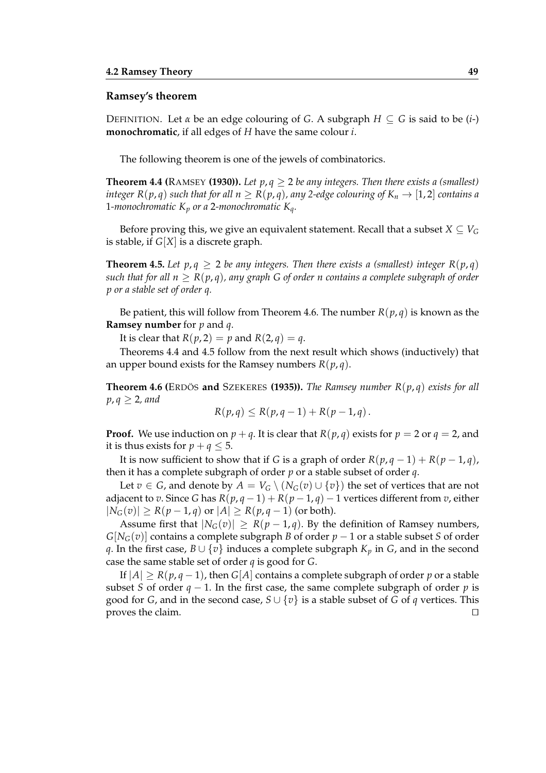## **Ramsey's theorem**

DEFINITION. Let *α* be an edge colouring of *G*. A subgraph  $H \subset G$  is said to be (*i*-) **monochromatic**, if all edges of *H* have the same colour *i*.

The following theorem is one of the jewels of combinatorics.

**Theorem 4.4 (RAMSEY (1930)).** Let  $p, q > 2$  be any integers. Then there exists a (smallest) *integer*  $R(p,q)$  *such that for all*  $n \geq R(p,q)$ *, any 2-edge colouring of*  $K_n \rightarrow [1,2]$  *contains a* 1-monochromatic  $K_p$  or a 2-monochromatic  $K_q$ .

Before proving this, we give an equivalent statement. Recall that a subset  $X \subseteq V_G$ is stable, if *G*[*X*] is a discrete graph.

**Theorem 4.5.** Let  $p, q > 2$  be any integers. Then there exists a (smallest) integer  $R(p,q)$ *such that for all n* ≥ *R*(*p*, *q*)*, any graph G of order n contains a complete subgraph of order p or a stable set of order q.*

Be patient, this will follow from Theorem 4.6. The number  $R(p,q)$  is known as the **Ramsey number** for *p* and *q*.

It is clear that  $R(p, 2) = p$  and  $R(2, q) = q$ .

Theorems 4.4 and 4.5 follow from the next result which shows (inductively) that an upper bound exists for the Ramsey numbers  $R(p,q)$ .

**Theorem 4.6 (**ERDÖS **and** SZEKERES **(1935)).** *The Ramsey number R*(*p*, *q*) *exists for all*  $p, q \geq 2$ , and

$$
R(p,q) \le R(p,q-1) + R(p-1,q).
$$

**Proof.** We use induction on  $p + q$ . It is clear that  $R(p,q)$  exists for  $p = 2$  or  $q = 2$ , and it is thus exists for  $p + q \leq 5$ .

It is now sufficient to show that if *G* is a graph of order  $R(p,q-1) + R(p-1,q)$ , then it has a complete subgraph of order *p* or a stable subset of order *q*.

Let *v*  $\in$  *G*, and denote by *A* = *V<sub>G</sub>* \ (*N<sub>G</sub>*(*v*) ∪ {*v*}) the set of vertices that are not adjacent to *v*. Since *G* has  $R(p, q - 1) + R(p - 1, q) - 1$  vertices different from *v*, either  $|N_G(v)|$  ≥  $R(p-1,q)$  or  $|A|$  ≥  $R(p,q-1)$  (or both).

Assume first that  $|N_G(v)| \ge R(p-1,q)$ . By the definition of Ramsey numbers, *G*[ $N$ <sup>*G*</sup>( $v$ )] contains a complete subgraph *B* of order *p* − 1 or a stable subset *S* of order *q*. In the first case, *B* ∪ {*v*} induces a complete subgraph  $K_p$  in *G*, and in the second case the same stable set of order *q* is good for *G*.

If  $|A| \ge R(p,q-1)$ , then  $G[A]$  contains a complete subgraph of order p or a stable subset *S* of order  $q - 1$ . In the first case, the same complete subgraph of order *p* is good for *G*, and in the second case, *S* ∪ {*v*} is a stable subset of *G* of *q* vertices. This proves the claim. □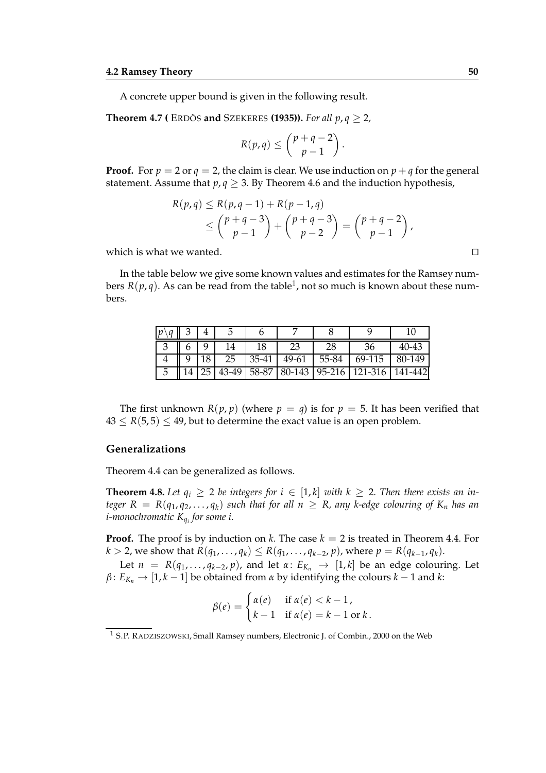A concrete upper bound is given in the following result.

**Theorem 4.7 (** ERDÖS and SZEKERES **(1935)).** *For all p,*  $q \ge 2$ *,* 

$$
R(p,q) \leq {p+q-2 \choose p-1}.
$$

**Proof.** For  $p = 2$  or  $q = 2$ , the claim is clear. We use induction on  $p + q$  for the general statement. Assume that  $p, q \geq 3$ . By Theorem 4.6 and the induction hypothesis,

$$
R(p,q) \le R(p,q-1) + R(p-1,q)
$$
  
 
$$
\le {p+q-3 \choose p-1} + {p+q-3 \choose p-2} = {p+q-2 \choose p-1},
$$

which is what we wanted. ⊓⊔

In the table below we give some known values and estimates for the Ramsey numbers  $R(p,q)$ . As can be read from the table<sup>1</sup>, not so much is known about these numbers.

| $p \setminus q$ |    |       |       |        |       |                  | 10      |
|-----------------|----|-------|-------|--------|-------|------------------|---------|
|                 |    | 14    | 18    | 23     | 28    | 36               | 40-43   |
|                 | 18 | 25    | 35-41 | 49-61  | 55-84 | 69-115           | 80-149  |
|                 |    | 43-49 | 58-87 | 80-143 |       | $95-216$ 121-316 | 141-442 |

The first unknown  $R(p, p)$  (where  $p = q$ ) is for  $p = 5$ . It has been verified that  $43 \le R(5, 5) \le 49$ , but to determine the exact value is an open problem.

# **Generalizations**

Theorem 4.4 can be generalized as follows.

**Theorem 4.8.** Let  $q_i \geq 2$  be integers for  $i \in [1, k]$  with  $k \geq 2$ . Then there exists an in*teger*  $R = R(q_1, q_2, \ldots, q_k)$  *such that for all*  $n \geq R$ *, any k-edge colouring of*  $K_n$  *has an i-monochromatic Kq<sup>i</sup> for some i.*

**Proof.** The proof is by induction on *k*. The case  $k = 2$  is treated in Theorem 4.4. For *k* > 2, we show that  $R(q_1, ..., q_k)$  ≤  $R(q_1, ..., q_{k-2}, p)$ , where  $p = R(q_{k-1}, q_k)$ .

Let  $n = R(q_1, \ldots, q_{k-2}, p)$ , and let  $\alpha: E_{K_n} \rightarrow [1, k]$  be an edge colouring. Let  $\beta$ :  $E_{K_n} \rightarrow [1, k-1]$  be obtained from  $\alpha$  by identifying the colours  $k-1$  and  $k$ :

$$
\beta(e) = \begin{cases} \alpha(e) & \text{if } \alpha(e) < k - 1, \\ k - 1 & \text{if } \alpha(e) = k - 1 \text{ or } k. \end{cases}
$$

<sup>1</sup> S.P. RADZISZOWSKI, Small Ramsey numbers, Electronic J. of Combin., 2000 on the Web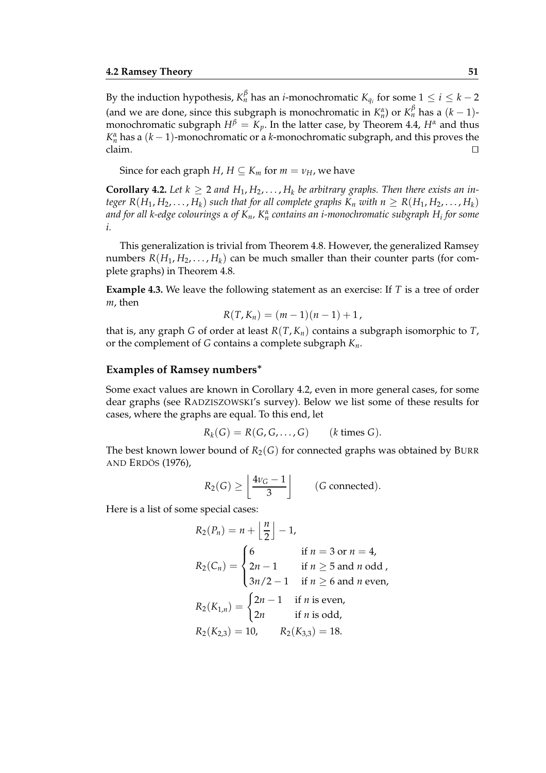By the induction hypothesis,  $K_n^{\beta}$  has an *i*-monochromatic  $K_{q_i}$  for some  $1 \leq i \leq k-2$ (and we are done, since this subgraph is monochromatic in  $K_n^{\alpha}$ ) or  $K_n^{\beta}$  has a  $(k-1)$ monochromatic subgraph  $H^{\beta} = K_p$ . In the latter case, by Theorem 4.4,  $H^{\alpha}$  and thus  $K_n^{\alpha}$  has a  $(k-1)$ -monochromatic or a *k*-monochromatic subgraph, and this proves the claim. ⊓⊔

Since for each graph *H*,  $H \subset K_m$  for  $m = \nu_H$ , we have

**Corollary 4.2.** Let  $k \geq 2$  and  $H_1, H_2, \ldots, H_k$  be arbitrary graphs. Then there exists an in*teger*  $R(H_1, H_2, \ldots, H_k)$  *such that for all complete graphs*  $K_n$  *with*  $n \ge R(H_1, H_2, \ldots, H_k)$ *and for all k-edge colourings α of Kn, K<sup>α</sup> n contains an i-monochromatic subgraph H<sup>i</sup> for some i.*

This generalization is trivial from Theorem 4.8. However, the generalized Ramsey numbers  $R(H_1, H_2, \ldots, H_k)$  can be much smaller than their counter parts (for complete graphs) in Theorem 4.8.

**Example 4.3.** We leave the following statement as an exercise: If *T* is a tree of order *m*, then

$$
R(T, K_n) = (m-1)(n-1) + 1,
$$

that is, any graph *G* of order at least *R*(*T*, *Kn*) contains a subgraph isomorphic to *T*, or the complement of *G* contains a complete subgraph *Kn*.

# **Examples of Ramsey numbers**<sup>∗</sup>

Some exact values are known in Corollary 4.2, even in more general cases, for some dear graphs (see RADZISZOWSKI's survey). Below we list some of these results for cases, where the graphs are equal. To this end, let

$$
R_k(G) = R(G, G, \ldots, G) \qquad (k \text{ times } G).
$$

The best known lower bound of  $R_2(G)$  for connected graphs was obtained by BURR AND ERDÖS (1976),

$$
R_2(G) \ge \left\lfloor \frac{4\nu_G - 1}{3} \right\rfloor \qquad (G \text{ connected}).
$$

Here is a list of some special cases:

$$
R_2(P_n) = n + \left\lfloor \frac{n}{2} \right\rfloor - 1,
$$
  
\n
$$
R_2(C_n) = \begin{cases} 6 & \text{if } n = 3 \text{ or } n = 4, \\ 2n - 1 & \text{if } n \ge 5 \text{ and } n \text{ odd,} \\ 3n/2 - 1 & \text{if } n \ge 6 \text{ and } n \text{ even,} \end{cases}
$$
  
\n
$$
R_2(K_{1,n}) = \begin{cases} 2n - 1 & \text{if } n \text{ is even,} \\ 2n & \text{if } n \text{ is odd,} \\ 2n & \text{if } n \text{ is odd,} \end{cases}
$$
  
\n
$$
R_2(K_{2,3}) = 10, \qquad R_2(K_{3,3}) = 18.
$$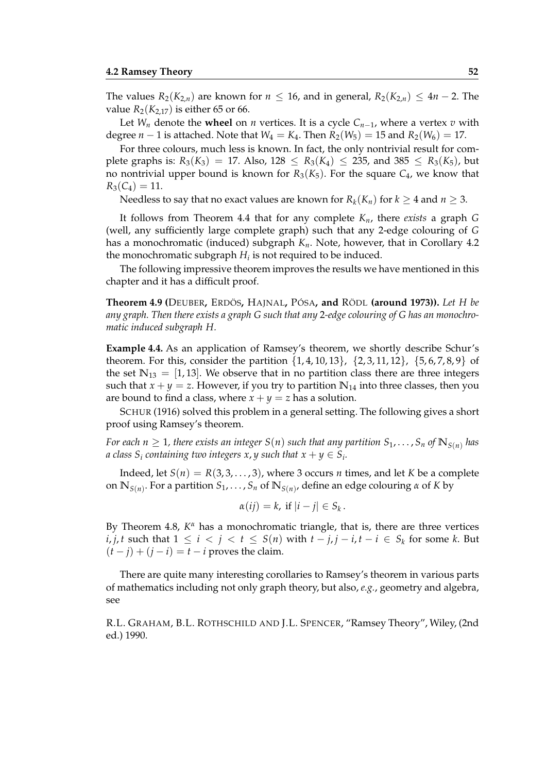The values  $R_2(K_{2,n})$  are known for  $n \leq 16$ , and in general,  $R_2(K_{2,n}) \leq 4n-2$ . The value  $R_2(K_{2,17})$  is either 65 or 66.

Let  $W_n$  denote the **wheel** on *n* vertices. It is a cycle  $C_{n-1}$ , where a vertex *v* with degree  $n - 1$  is attached. Note that  $W_4 = K_4$ . Then  $R_2(W_5) = 15$  and  $R_2(W_6) = 17$ .

For three colours, much less is known. In fact, the only nontrivial result for complete graphs is:  $R_3(K_3) = 17$ . Also,  $128 \le R_3(K_4) \le 235$ , and  $385 \le R_3(K_5)$ , but no nontrivial upper bound is known for  $R_3(K_5)$ . For the square  $C_4$ , we know that  $R_3(C_4) = 11.$ 

Needless to say that no exact values are known for  $R_k(K_n)$  for  $k \geq 4$  and  $n \geq 3$ .

It follows from Theorem 4.4 that for any complete *Kn*, there *exists* a graph *G* (well, any sufficiently large complete graph) such that any 2-edge colouring of *G* has a monochromatic (induced) subgraph *Kn*. Note, however, that in Corollary 4.2 the monochromatic subgraph *H<sup>i</sup>* is not required to be induced.

The following impressive theorem improves the results we have mentioned in this chapter and it has a difficult proof.

**Theorem 4.9 (**DEUBER**,** ERDÖS**,** HAJNAL**,** PÓSA**, and** RÖDL **(around 1973)).** *Let H be any graph. Then there exists a graph G such that any* 2*-edge colouring of G has an monochromatic induced subgraph H.*

**Example 4.4.** As an application of Ramsey's theorem, we shortly describe Schur's theorem. For this, consider the partition  $\{1, 4, 10, 13\}$ ,  $\{2, 3, 11, 12\}$ ,  $\{5, 6, 7, 8, 9\}$  of the set  $\mathbb{N}_{13} = [1, 13]$ . We observe that in no partition class there are three integers such that  $x + y = z$ . However, if you try to partition  $\mathbb{N}_{14}$  into three classes, then you are bound to find a class, where  $x + y = z$  has a solution.

SCHUR (1916) solved this problem in a general setting. The following gives a short proof using Ramsey's theorem.

*For each n*  $\geq$  1, *there exists an integer*  $S(n)$  *such that any partition*  $S_1, \ldots, S_n$  *of*  $\mathbb{N}_{S(n)}$  *has a class*  $S_i$  *containing two integers*  $x$ *,*  $y$  *such that*  $x + y \in S_i$ *.* 

Indeed, let  $S(n) = R(3, 3, ..., 3)$ , where 3 occurs *n* times, and let *K* be a complete on **N***S*(*n*) . For a partition *S*1, . . . , *S<sup>n</sup>* of **N***S*(*n*) , define an edge colouring *α* of *K* by

$$
\alpha(ij) = k, \text{ if } |i - j| \in S_k.
$$

By Theorem 4.8,  $K^{\alpha}$  has a monochromatic triangle, that is, there are three vertices *i*, *j*, *t* such that  $1 ≤ i < j < t ≤ S(n)$  with  $t - j$ ,  $j - i$ ,  $t - i ∈ S_k$  for some *k*. But  $(t - j) + (j - i) = t - i$  proves the claim.

There are quite many interesting corollaries to Ramsey's theorem in various parts of mathematics including not only graph theory, but also, *e.g.*, geometry and algebra, see

R.L. GRAHAM, B.L. ROTHSCHILD AND J.L. SPENCER, "Ramsey Theory", Wiley, (2nd ed.) 1990.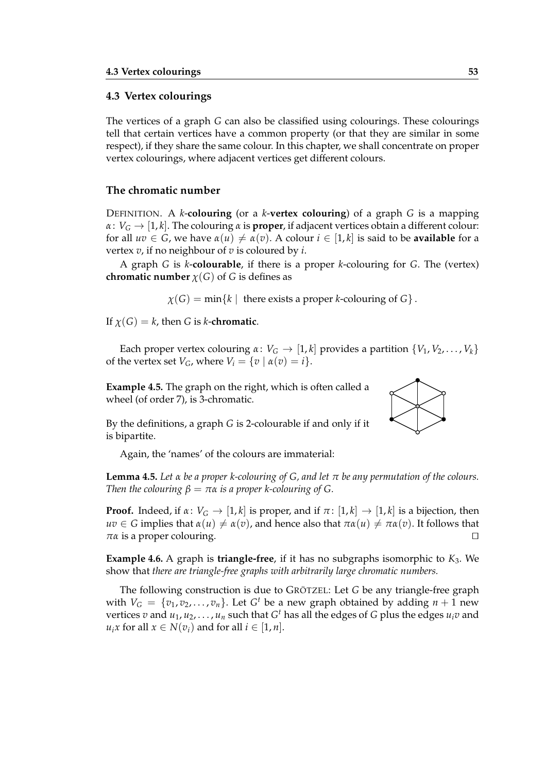#### **4.3 Vertex colourings**

The vertices of a graph *G* can also be classified using colourings. These colourings tell that certain vertices have a common property (or that they are similar in some respect), if they share the same colour. In this chapter, we shall concentrate on proper vertex colourings, where adjacent vertices get different colours.

#### **The chromatic number**

DEFINITION. A *k*-**colouring** (or a *k*-**vertex colouring**) of a graph *G* is a mapping  $\alpha: V_G \to [1, k]$ . The colouring  $\alpha$  is **proper**, if adjacent vertices obtain a different colour: for all  $uv \in G$ , we have  $\alpha(u) \neq \alpha(v)$ . A colour  $i \in [1, k]$  is said to be **available** for a vertex *v*, if no neighbour of *v* is coloured by *i*.

A graph *G* is *k*-**colourable**, if there is a proper *k*-colouring for *G*. The (vertex) **chromatic number**  $\chi(G)$  of *G* is defines as

 $\chi(G) = \min\{k \mid \text{there exists a proper } k\text{-colouring of } G\}.$ 

If  $\chi(G) = k$ , then *G* is *k*-**chromatic**.

Each proper vertex colouring  $\alpha: V_G \to [1, k]$  provides a partition  $\{V_1, V_2, \ldots, V_k\}$ of the vertex set  $V_G$ , where  $V_i = \{v \mid \alpha(v) = i\}.$ 

**Example 4.5.** The graph on the right, which is often called a wheel (of order 7), is 3-chromatic.

By the definitions, a graph *G* is 2-colourable if and only if it is bipartite.

Again, the 'names' of the colours are immaterial:

**Lemma 4.5.** *Let*  $\alpha$  *be a proper k-colouring of G, and let*  $\pi$  *be any permutation of the colours. Then the colouring*  $\beta = \pi \alpha$  *is a proper k-colouring of G.* 

**Proof.** Indeed, if  $\alpha: V_G \to [1, k]$  is proper, and if  $\pi: [1, k] \to [1, k]$  is a bijection, then *uv*  $\in$  *G* implies that  $\alpha(u) \neq \alpha(v)$ , and hence also that  $\pi \alpha(u) \neq \pi \alpha(v)$ . It follows that *πα* is a proper colouring. ⊓⊔

**Example 4.6.** A graph is **triangle-free**, if it has no subgraphs isomorphic to *K*3. We show that *there are triangle-free graphs with arbitrarily large chromatic numbers.*

The following construction is due to GRÖTZEL: Let *G* be any triangle-free graph with  $V_G = \{v_1, v_2, \ldots, v_n\}$ . Let  $G^t$  be a new graph obtained by adding  $n + 1$  new vertices  $v$  and  $u_1, u_2, \ldots, u_n$  such that  $G^t$  has all the edges of  $G$  plus the edges  $u_iv$  and  $u_i x$  for all  $x \in N(v_i)$  and for all  $i \in [1, n]$ .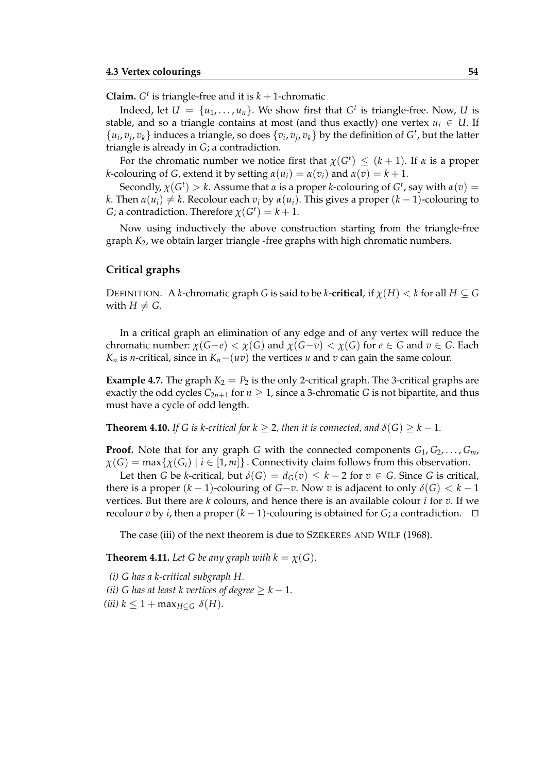**Claim.**  $G^t$  is triangle-free and it is  $k + 1$ -chromatic

Indeed, let  $U = \{u_1, \ldots, u_n\}$ . We show first that  $G^t$  is triangle-free. Now,  $U$  is stable, and so a triangle contains at most (and thus exactly) one vertex  $u_i \in U$ . If  $\{u_i, v_j, v_k\}$  induces a triangle, so does  $\{v_i, v_j, v_k\}$  by the definition of  $G^t$ , but the latter triangle is already in *G*; a contradiction.

For the chromatic number we notice first that  $\chi(G^t) \leq (k+1)$ . If  $\alpha$  is a proper *k*-colouring of *G*, extend it by setting  $\alpha(u_i) = \alpha(v_i)$  and  $\alpha(v) = k + 1$ .

Secondly,  $\chi(G^t) > k$ . Assume that  $\alpha$  is a proper *k*-colouring of  $G^t$ , say with  $\alpha(v) =$ *k*. Then  $\alpha(u_i) \neq k$ . Recolour each  $v_i$  by  $\alpha(u_i)$ . This gives a proper  $(k-1)$ -colouring to *G*; a contradiction. Therefore  $\chi(G^t) = k + 1$ .

Now using inductively the above construction starting from the triangle-free graph *K*2, we obtain larger triangle -free graphs with high chromatic numbers.

## **Critical graphs**

DEFINITION. A *k*-chromatic graph *G* is said to be *k*-**critical**, if  $\chi(H) < k$  for all  $H \subseteq G$ with  $H \neq G$ .

In a critical graph an elimination of any edge and of any vertex will reduce the chromatic number:  $\chi(G-e) < \chi(G)$  and  $\chi(G-v) < \chi(G)$  for  $e \in G$  and  $v \in G$ . Each *K<sub>n</sub>* is *n*-critical, since in  $K_n$ −(*uv*) the vertices *u* and *v* can gain the same colour.

**Example 4.7.** The graph  $K_2 = P_2$  is the only 2-critical graph. The 3-critical graphs are exactly the odd cycles  $C_{2n+1}$  for  $n \geq 1$ , since a 3-chromatic *G* is not bipartite, and thus must have a cycle of odd length.

**Theorem 4.10.** *If G is k-critical for*  $k \geq 2$ *, then it is connected, and*  $\delta(G) \geq k - 1$ *.* 

**Proof.** Note that for any graph *G* with the connected components  $G_1, G_2, \ldots, G_m$ ,  $\chi(G) = \max\{\chi(G_i) \mid i \in [1, m]\}\$ . Connectivity claim follows from this observation.

Let then *G* be *k*-critical, but  $\delta(G) = d_G(v) \leq k - 2$  for  $v \in G$ . Since *G* is critical, there is a proper  $(k-1)$ -colouring of  $G-v$ . Now *v* is adjacent to only  $\delta(G) < k-1$ vertices. But there are *k* colours, and hence there is an available colour *i* for *v*. If we recolour *v* by *i*, then a proper  $(k - 1)$ -colouring is obtained for *G*; a contradiction.  $\Box$ 

The case (iii) of the next theorem is due to SZEKERES AND WILF (1968).

**Theorem 4.11.** Let G be any graph with  $k = \chi(G)$ .

*(i) G has a k-critical subgraph H. (ii) G* has at least k vertices of degree  $> k - 1$ *. (iii)*  $k \leq 1 + \max_{H \subset G} \delta(H)$ .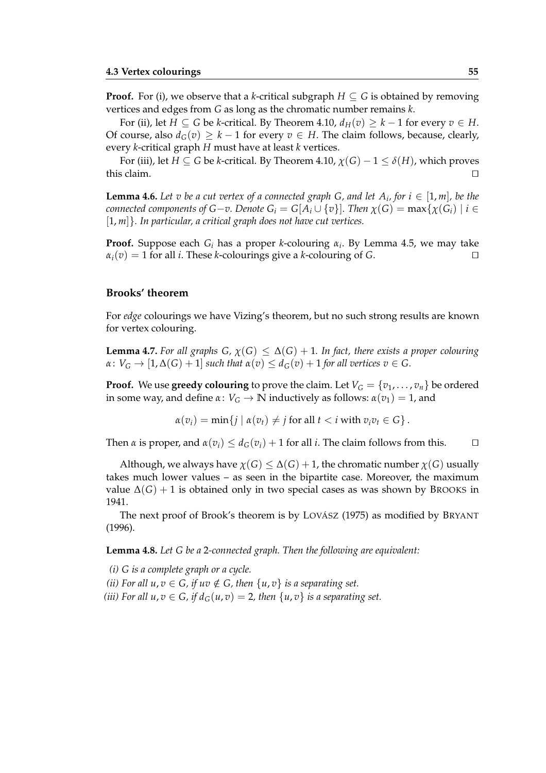**Proof.** For (i), we observe that a *k*-critical subgraph  $H \subseteq G$  is obtained by removing vertices and edges from *G* as long as the chromatic number remains *k*.

For (ii), let *H* ⊂ *G* be *k*-critical. By Theorem 4.10,  $d_H(v) \geq k - 1$  for every  $v \in H$ . Of course, also  $d_G(v) \geq k - 1$  for every  $v \in H$ . The claim follows, because, clearly, every *k*-critical graph *H* must have at least *k* vertices.

For (iii), let *H* ⊆ *G* be *k*-critical. By Theorem 4.10, *χ*(*G*) − 1 ≤ *δ*(*H*), which proves this claim. ⊓⊔

**Lemma 4.6.** Let  $v$  be a cut vertex of a connected graph G, and let  $A_i$ , for  $i \in [1,m]$ , be the *connected components of G−<i>v.* Denote  $G_i = G[A_i \cup \{v\}]$ . Then  $\chi(G) = \max{\chi(G_i) | i \in$ [1, *m*]}*. In particular, a critical graph does not have cut vertices.*

**Proof.** Suppose each *G<sup>i</sup>* has a proper *k*-colouring *α<sup>i</sup>* . By Lemma 4.5, we may take  $\alpha_i(v) = 1$  for all *i*. These *k*-colourings give a *k*-colouring of *G*. □

# **Brooks' theorem**

For *edge* colourings we have Vizing's theorem, but no such strong results are known for vertex colouring.

**Lemma 4.7.** For all graphs  $G$ ,  $\chi(G) \leq \Delta(G) + 1$ . In fact, there exists a proper colouring  $\alpha: V_G \to [1, \Delta(G) + 1]$  *such that*  $\alpha(v) \leq d_G(v) + 1$  *for all vertices*  $v \in G$ *.* 

**Proof.** We use **greedy colouring** to prove the claim. Let  $V_G = \{v_1, \ldots, v_n\}$  be ordered in some way, and define  $\alpha: V_G \to \mathbb{N}$  inductively as follows:  $\alpha(v_1) = 1$ , and

$$
\alpha(v_i) = \min\{j \mid \alpha(v_t) \neq j \text{ for all } t < i \text{ with } v_i v_t \in G\}.
$$

Then *α* is proper, and  $\alpha(v_i) \leq d_G(v_i) + 1$  for all *i*. The claim follows from this.  $\Box$ 

Although, we always have  $\chi(G) \leq \Delta(G) + 1$ , the chromatic number  $\chi(G)$  usually takes much lower values – as seen in the bipartite case. Moreover, the maximum value  $\Delta(G) + 1$  is obtained only in two special cases as was shown by BROOKS in 1941.

The next proof of Brook's theorem is by LOVÁSZ (1975) as modified by BRYANT (1996).

**Lemma 4.8.** *Let G be a* 2*-connected graph. Then the following are equivalent:*

*(i) G is a complete graph or a cycle.*

*(ii)* For all  $u, v \in G$ , if  $uv \notin G$ , then  $\{u, v\}$  is a separating set.

*(iii)* For all  $u, v \in G$ , if  $d_G(u, v) = 2$ , then  $\{u, v\}$  is a separating set.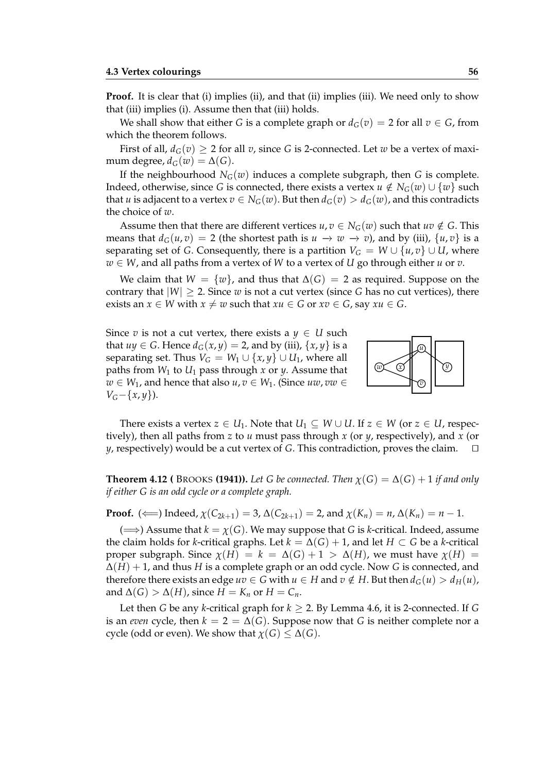**Proof.** It is clear that (i) implies (ii), and that (ii) implies (iii). We need only to show that (iii) implies (i). Assume then that (iii) holds.

We shall show that either *G* is a complete graph or  $d_G(v) = 2$  for all  $v \in G$ , from which the theorem follows.

First of all,  $d_G(v) \geq 2$  for all *v*, since *G* is 2-connected. Let *w* be a vertex of maximum degree,  $d_G(w) = \Delta(G)$ .

If the neighbourhood  $N_G(w)$  induces a complete subgraph, then *G* is complete. Indeed, otherwise, since *G* is connected, there exists a vertex  $u \notin N_G(w) \cup \{w\}$  such that *u* is adjacent to a vertex  $v \in N_G(w)$ . But then  $d_G(v) > d_G(w)$ , and this contradicts the choice of *w*.

Assume then that there are different vertices  $u, v \in N_G(w)$  such that  $uv \notin G$ . This means that  $d_G(u, v) = 2$  (the shortest path is  $u \to w \to v$ ), and by (iii),  $\{u, v\}$  is a separating set of *G*. Consequently, there is a partition  $V_G = W \cup \{u, v\} \cup U$ , where *w* ∈ *W*, and all paths from a vertex of *W* to a vertex of *U* go through either *u* or *v*.

We claim that  $W = \{w\}$ , and thus that  $\Delta(G) = 2$  as required. Suppose on the contrary that  $|W| \ge 2$ . Since *w* is not a cut vertex (since *G* has no cut vertices), there exists an  $x \in W$  with  $x \neq w$  such that  $xu \in G$  or  $xv \in G$ , say  $xu \in G$ .

Since *v* is not a cut vertex, there exists a  $y \in U$  such that  $uy \in G$ . Hence  $d_G(x, y) = 2$ , and by (iii),  $\{x, y\}$  is a separating set. Thus  $V_G = W_1 \cup \{x, y\} \cup U_1$ , where all paths from  $W_1$  to  $U_1$  pass through *x* or *y*. Assume that *w* ∈ *W*<sub>1</sub>, and hence that also *u*, *v* ∈ *W*<sub>1</sub>. (Since *uw*, *vw* ∈ *V*<sup>*G*−{*x*, *y*}).</sup>



There exists a vertex  $z \in U_1$ . Note that  $U_1 \subseteq W \cup U$ . If  $z \in W$  (or  $z \in U$ , respectively), then all paths from *z* to *u* must pass through *x* (or *y*, respectively), and *x* (or *y*, respectively) would be a cut vertex of *G*. This contradiction, proves the claim. □

**Theorem 4.12 (** BROOKS (1941)). Let G be connected. Then  $\chi(G) = \Delta(G) + 1$  if and only *if either G is an odd cycle or a complete graph.*

**Proof.** ( $\Longleftarrow$ ) Indeed,  $\chi(C_{2k+1}) = 3$ ,  $\Delta(C_{2k+1}) = 2$ , and  $\chi(K_n) = n$ ,  $\Delta(K_n) = n - 1$ .

 $(\Longrightarrow)$  Assume that  $k = \chi(G)$ . We may suppose that *G* is *k*-critical. Indeed, assume the claim holds for *k*-critical graphs. Let  $k = \Delta(G) + 1$ , and let  $H \subset G$  be a *k*-critical proper subgraph. Since  $\chi(H) = k = \Delta(G) + 1 > \Delta(H)$ , we must have  $\chi(H) =$ ∆(*H*) + 1, and thus *H* is a complete graph or an odd cycle. Now *G* is connected, and therefore there exists an edge  $uv \in G$  with  $u \in H$  and  $v \notin H$ . But then  $d_G(u) > d_H(u)$ , and  $\Delta(G) > \Delta(H)$ , since  $H = K_n$  or  $H = C_n$ .

Let then *G* be any *k*-critical graph for  $k \ge 2$ . By Lemma 4.6, it is 2-connected. If *G* is an *even* cycle, then  $k = 2 = \Delta(G)$ . Suppose now that *G* is neither complete nor a cycle (odd or even). We show that  $\chi(G) \leq \Delta(G)$ .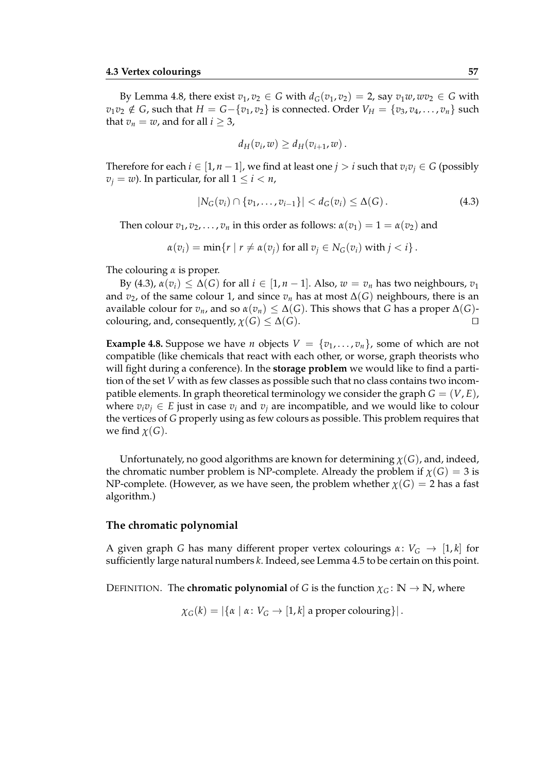By Lemma 4.8, there exist  $v_1, v_2 \in G$  with  $d_G(v_1, v_2) = 2$ , say  $v_1w, wv_2 \in G$  with *v*<sub>1</sub>*v*<sub>2</sub> ∉ *G*, such that *H* = *G*−{*v*<sub>1</sub>, *v*<sub>2</sub>} is connected. Order *V<sub>H</sub>* = {*v*<sub>3</sub>, *v*<sub>4</sub>, . . . , *v*<sub>*n*</sub>} such that  $v_n = w$ , and for all  $i \geq 3$ ,

$$
d_H(v_i,w) \geq d_H(v_{i+1},w).
$$

Therefore for each  $i \in [1, n-1]$ , we find at least one  $j > i$  such that  $v_i v_j \in G$  (possibly  $v_i = w$ ). In particular, for all  $1 \leq i \leq n$ ,

$$
|N_G(v_i) \cap \{v_1, \ldots, v_{i-1}\}| < d_G(v_i) \leq \Delta(G). \tag{4.3}
$$

Then colour  $v_1, v_2, \ldots, v_n$  in this order as follows:  $\alpha(v_1) = 1 = \alpha(v_2)$  and

 $\alpha(v_i) = \min\{r \mid r \neq \alpha(v_i) \text{ for all } v_i \in N_G(v_i) \text{ with } j < i\}.$ 

The colouring *α* is proper.

By (4.3), *α*(*vi*) ≤ ∆(*G*) for all *i* ∈ [1, *n* − 1]. Also, *w* = *v<sup>n</sup>* has two neighbours, *v*<sup>1</sup> and  $v_2$ , of the same colour 1, and since  $v_n$  has at most  $\Delta(G)$  neighbours, there is an available colour for  $v_n$ , and so  $\alpha(v_n) \leq \Delta(G)$ . This shows that *G* has a proper  $\Delta(G)$ colouring, and, consequently,  $\chi(G) \leq \Delta(G)$ . □

**Example 4.8.** Suppose we have *n* objects  $V = \{v_1, \ldots, v_n\}$ , some of which are not compatible (like chemicals that react with each other, or worse, graph theorists who will fight during a conference). In the **storage problem** we would like to find a partition of the set *V* with as few classes as possible such that no class contains two incompatible elements. In graph theoretical terminology we consider the graph  $G = (V, E)$ , where  $v_i v_j \in E$  just in case  $v_i$  and  $v_j$  are incompatible, and we would like to colour the vertices of *G* properly using as few colours as possible. This problem requires that we find  $\chi(G)$ .

Unfortunately, no good algorithms are known for determining  $\chi(G)$ , and, indeed, the chromatic number problem is NP-complete. Already the problem if  $\chi(G) = 3$  is NP-complete. (However, as we have seen, the problem whether  $\chi(G) = 2$  has a fast algorithm.)

#### **The chromatic polynomial**

A given graph *G* has many different proper vertex colourings  $\alpha: V_G \to [1, k]$  for sufficiently large natural numbers *k*. Indeed, see Lemma 4.5 to be certain on this point.

DEFINITION. The **chromatic polynomial** of *G* is the function  $\chi_G : \mathbb{N} \to \mathbb{N}$ , where

$$
\chi_G(k) = |\{\alpha \mid \alpha \colon V_G \to [1, k] \text{ a proper colouring}\}|.
$$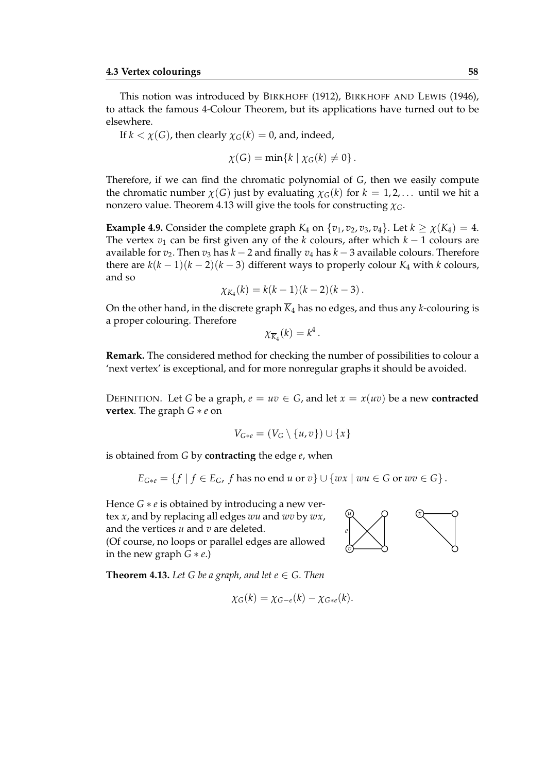This notion was introduced by BIRKHOFF (1912), BIRKHOFF AND LEWIS (1946), to attack the famous 4-Colour Theorem, but its applications have turned out to be elsewhere.

If  $k < \chi(G)$ , then clearly  $\chi_G(k) = 0$ , and, indeed,

$$
\chi(G) = \min\{k \mid \chi_G(k) \neq 0\}.
$$

Therefore, if we can find the chromatic polynomial of *G*, then we easily compute the chromatic number  $\chi(G)$  just by evaluating  $\chi_G(k)$  for  $k = 1, 2, \ldots$  until we hit a nonzero value. Theorem 4.13 will give the tools for constructing *χG*.

**Example 4.9.** Consider the complete graph  $K_4$  on  $\{v_1, v_2, v_3, v_4\}$ . Let  $k \ge \chi(K_4) = 4$ . The vertex  $v_1$  can be first given any of the *k* colours, after which  $k - 1$  colours are available for  $v_2$ . Then  $v_3$  has  $k-2$  and finally  $v_4$  has  $k-3$  available colours. Therefore there are  $k(k-1)(k-2)(k-3)$  different ways to properly colour  $K_4$  with  $k$  colours, and so

$$
\chi_{K_4}(k) = k(k-1)(k-2)(k-3).
$$

On the other hand, in the discrete graph  $\overline{K}_4$  has no edges, and thus any *k*-colouring is a proper colouring. Therefore

$$
\chi_{\overline{K}_4}(k) = k^4.
$$

**Remark.** The considered method for checking the number of possibilities to colour a 'next vertex' is exceptional, and for more nonregular graphs it should be avoided.

DEFINITION. Let *G* be a graph,  $e = uv \in G$ , and let  $x = x(uv)$  be a new **contracted vertex**. The graph *G* ∗ *e* on

$$
V_{G*e} = (V_G \setminus \{u,v\}) \cup \{x\}
$$

is obtained from *G* by **contracting** the edge *e*, when

$$
E_{G*e} = \{f \mid f \in E_G, \ f \text{ has no end } u \text{ or } v\} \cup \{wx \mid wu \in G \text{ or } wv \in G\}.
$$

Hence *G* ∗ *e* is obtained by introducing a new vertex *x*, and by replacing all edges *wu* and *wv* by *wx*, and the vertices *u* and *v* are deleted. (Of course, no loops or parallel edges are allowed in the new graph  $G * e$ .)

*u D*  $\alpha$ *e*

**Theorem 4.13.** Let G be a graph, and let  $e \in G$ . Then

$$
\chi_G(k) = \chi_{G-e}(k) - \chi_{G*e}(k).
$$

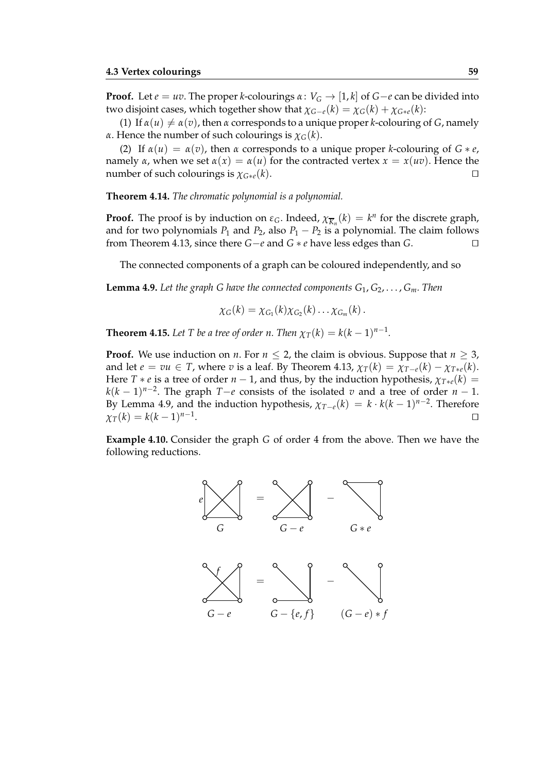**Proof.** Let  $e = uv$ . The proper *k*-colourings  $\alpha: V_G \to [1, k]$  of  $G-e$  can be divided into two disjoint cases, which together show that  $\chi_{G-e}(k) = \chi_G(k) + \chi_{G*e}(k)$ :

(1) If  $\alpha(u) \neq \alpha(v)$ , then  $\alpha$  corresponds to a unique proper *k*-colouring of *G*, namely *α*. Hence the number of such colourings is  $χ<sub>G</sub>(k)$ .

(2) If  $\alpha(u) = \alpha(v)$ , then  $\alpha$  corresponds to a unique proper *k*-colouring of  $G * e$ , namely  $\alpha$ , when we set  $\alpha(x) = \alpha(u)$  for the contracted vertex  $x = x(uv)$ . Hence the number of such colourings is  $\chi_{G*e}(k)$ . □

**Theorem 4.14.** *The chromatic polynomial is a polynomial.*

**Proof.** The proof is by induction on  $\varepsilon_G$ . Indeed,  $\chi_{\overline{K}_n}(k) = k^n$  for the discrete graph, and for two polynomials  $P_1$  and  $P_2$ , also  $P_1 - P_2$  is a polynomial. The claim follows from Theorem 4.13, since there *G*−*e* and *G* ∗ *e* have less edges than *G*. ⊓⊔

The connected components of a graph can be coloured independently, and so

**Lemma 4.9.** Let the graph G have the connected components  $G_1, G_2, \ldots, G_m$ . Then

$$
\chi_G(k)=\chi_{G_1}(k)\chi_{G_2}(k)\ldots\chi_{G_m}(k).
$$

**Theorem 4.15.** Let T be a tree of order n. Then  $\chi_T(k) = k(k-1)^{n-1}$ .

**Proof.** We use induction on *n*. For  $n \leq 2$ , the claim is obvious. Suppose that  $n \geq 3$ , and let  $e = vu \in T$ , where *v* is a leaf. By Theorem 4.13,  $\chi_T(k) = \chi_{T-e}(k) - \chi_{T+e}(k)$ . Here *T*  $*$  *e* is a tree of order *n* − 1, and thus, by the induction hypothesis,  $\chi_{T * e}(k)$  =  $k(k-1)^{n-2}$ . The graph *T*−*e* consists of the isolated *v* and a tree of order *n* − 1. By Lemma 4.9, and the induction hypothesis,  $\chi_{T-e}(k) = k \cdot k(k-1)^{n-2}$ . Therefore  $\chi_T(k) = k(k-1)^{n-1}$ . ⊓⊔

**Example 4.10.** Consider the graph *G* of order 4 from the above. Then we have the following reductions.

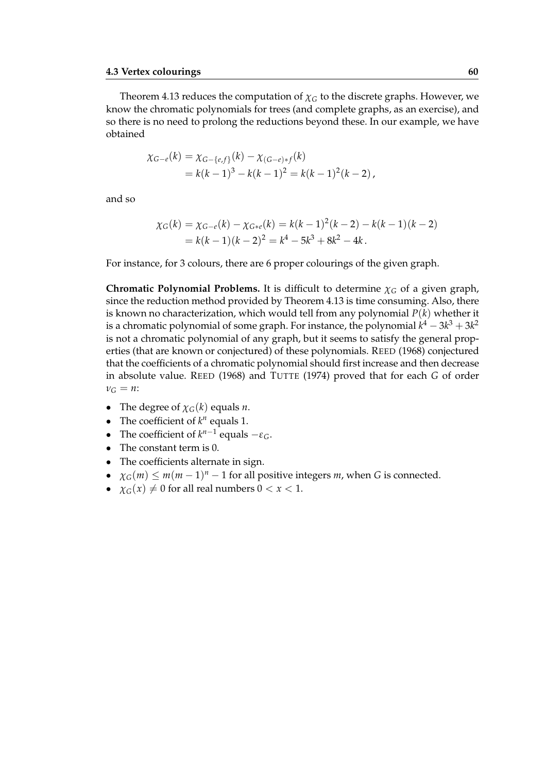Theorem 4.13 reduces the computation of  $\chi$ <sup>*G*</sup> to the discrete graphs. However, we know the chromatic polynomials for trees (and complete graphs, as an exercise), and so there is no need to prolong the reductions beyond these. In our example, we have obtained

$$
\chi_{G-e}(k) = \chi_{G-\{e,f\}}(k) - \chi_{(G-e)*f}(k)
$$
  
=  $k(k-1)^3 - k(k-1)^2 = k(k-1)^2(k-2)$ ,

and so

$$
\chi_G(k) = \chi_{G-e}(k) - \chi_{G*e}(k) = k(k-1)^2(k-2) - k(k-1)(k-2)
$$
  
=  $k(k-1)(k-2)^2 = k^4 - 5k^3 + 8k^2 - 4k$ .

For instance, for 3 colours, there are 6 proper colourings of the given graph.

**Chromatic Polynomial Problems.** It is difficult to determine  $\chi_G$  of a given graph, since the reduction method provided by Theorem 4.13 is time consuming. Also, there is known no characterization, which would tell from any polynomial  $P(k)$  whether it is a chromatic polynomial of some graph. For instance, the polynomial  $k^4 - 3k^3 + 3k^2$ is not a chromatic polynomial of any graph, but it seems to satisfy the general properties (that are known or conjectured) of these polynomials. REED (1968) conjectured that the coefficients of a chromatic polynomial should first increase and then decrease in absolute value. REED (1968) and TUTTE (1974) proved that for each *G* of order  $\nu_G = n$ :

- The degree of  $\chi_G(k)$  equals *n*.
- The coefficient of  $k^n$  equals 1.
- The coefficient of  $k^{n-1}$  equals  $-\varepsilon_G$ .
- The constant term is 0.
- The coefficients alternate in sign.
- $\chi_G(m) \leq m(m-1)^n 1$  for all positive integers *m*, when *G* is connected.
- $\chi_G(x) \neq 0$  for all real numbers  $0 < x < 1$ .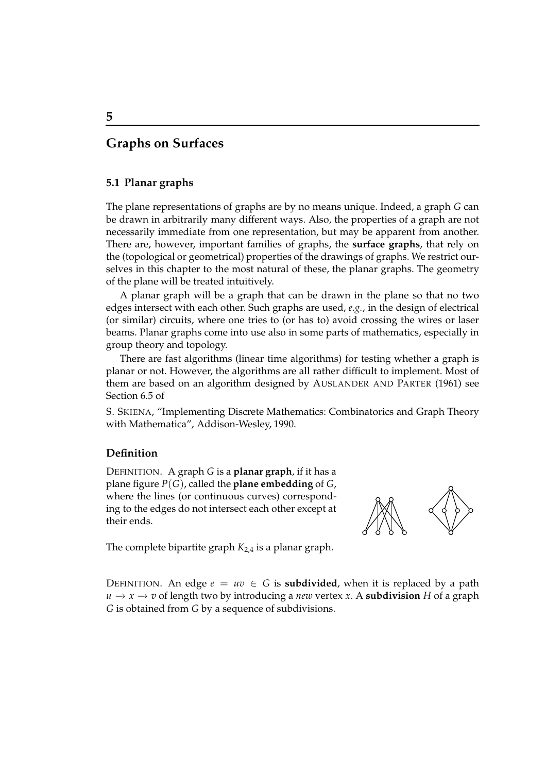# **Graphs on Surfaces**

## **5.1 Planar graphs**

The plane representations of graphs are by no means unique. Indeed, a graph *G* can be drawn in arbitrarily many different ways. Also, the properties of a graph are not necessarily immediate from one representation, but may be apparent from another. There are, however, important families of graphs, the **surface graphs**, that rely on the (topological or geometrical) properties of the drawings of graphs. We restrict ourselves in this chapter to the most natural of these, the planar graphs. The geometry of the plane will be treated intuitively.

A planar graph will be a graph that can be drawn in the plane so that no two edges intersect with each other. Such graphs are used, *e.g.*, in the design of electrical (or similar) circuits, where one tries to (or has to) avoid crossing the wires or laser beams. Planar graphs come into use also in some parts of mathematics, especially in group theory and topology.

There are fast algorithms (linear time algorithms) for testing whether a graph is planar or not. However, the algorithms are all rather difficult to implement. Most of them are based on an algorithm designed by AUSLANDER AND PARTER (1961) see Section 6.5 of

S. SKIENA, "Implementing Discrete Mathematics: Combinatorics and Graph Theory with Mathematica", Addison-Wesley, 1990.

#### **Definition**

DEFINITION. A graph *G* is a **planar graph**, if it has a plane figure *P*(*G*), called the **plane embedding** of *G*, where the lines (or continuous curves) corresponding to the edges do not intersect each other except at their ends.

The complete bipartite graph  $K_{2,4}$  is a planar graph.

DEFINITION. An edge  $e = uv \in G$  is **subdivided**, when it is replaced by a path  $u \rightarrow x \rightarrow v$  of length two by introducing a *new* vertex *x*. A **subdivision** *H* of a graph *G* is obtained from *G* by a sequence of subdivisions.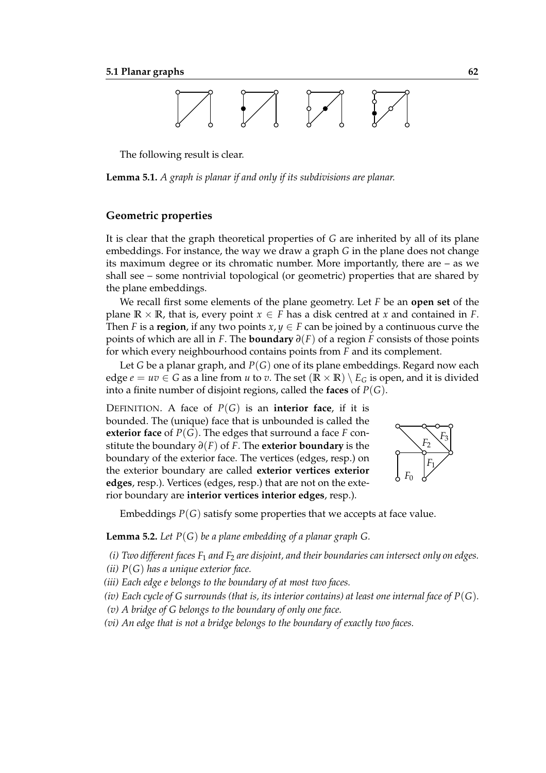

The following result is clear.

**Lemma 5.1.** *A graph is planar if and only if its subdivisions are planar.*

# **Geometric properties**

It is clear that the graph theoretical properties of *G* are inherited by all of its plane embeddings. For instance, the way we draw a graph *G* in the plane does not change its maximum degree or its chromatic number. More importantly, there are – as we shall see – some nontrivial topological (or geometric) properties that are shared by the plane embeddings.

We recall first some elements of the plane geometry. Let *F* be an **open set** of the plane  $\mathbb{R} \times \mathbb{R}$ , that is, every point  $x \in F$  has a disk centred at *x* and contained in *F*. Then *F* is a **region**, if any two points  $x, y \in F$  can be joined by a continuous curve the points of which are all in *F*. The **boundary** *∂*(*F*) of a region *F* consists of those points for which every neighbourhood contains points from *F* and its complement.

Let *G* be a planar graph, and *P*(*G*) one of its plane embeddings. Regard now each edge  $e = uv \in G$  as a line from *u* to *v*. The set  $(\mathbb{R} \times \mathbb{R}) \setminus E_G$  is open, and it is divided into a finite number of disjoint regions, called the **faces** of *P*(*G*).

DEFINITION. A face of  $P(G)$  is an **interior face**, if it is bounded. The (unique) face that is unbounded is called the **exterior face** of *P*(*G*). The edges that surround a face *F* constitute the boundary *∂*(*F*) of *F*. The **exterior boundary** is the boundary of the exterior face. The vertices (edges, resp.) on the exterior boundary are called **exterior vertices exterior edges**, resp.). Vertices (edges, resp.) that are not on the exterior boundary are **interior vertices interior edges**, resp.).



Embeddings *P*(*G*) satisfy some properties that we accepts at face value.

**Lemma 5.2.** *Let P*(*G*) *be a plane embedding of a planar graph G.*

- *(i) Two different faces F*<sup>1</sup> *and F*<sup>2</sup> *are disjoint, and their boundaries can intersect only on edges.*
- *(ii) P*(*G*) *has a unique exterior face.*
- *(iii) Each edge e belongs to the boundary of at most two faces.*
- *(iv) Each cycle of G surrounds (that is, its interior contains) at least one internal face of P*(*G*)*.*
- *(v) A bridge of G belongs to the boundary of only one face.*
- *(vi) An edge that is not a bridge belongs to the boundary of exactly two faces.*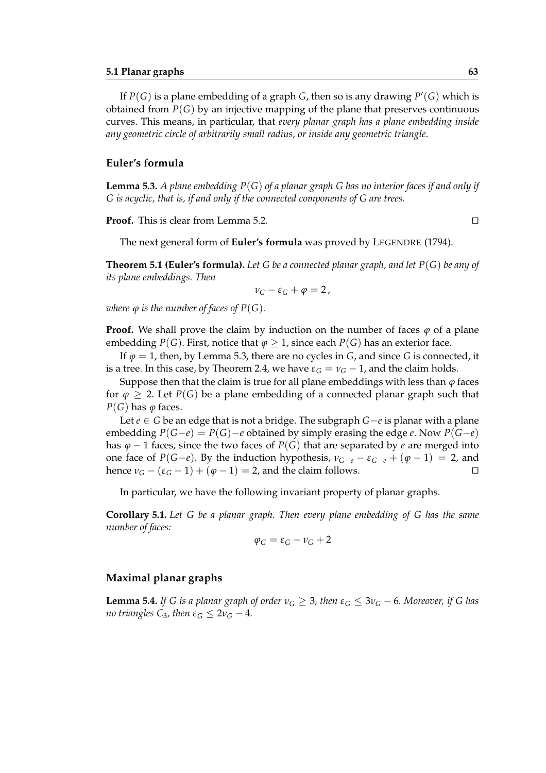If *P*(*G*) is a plane embedding of a graph *G*, then so is any drawing *P* ′ (*G*) which is obtained from  $P(G)$  by an injective mapping of the plane that preserves continuous curves. This means, in particular, that *every planar graph has a plane embedding inside any geometric circle of arbitrarily small radius, or inside any geometric triangle*.

## **Euler's formula**

**Lemma 5.3.** *A plane embedding P*(*G*) *of a planar graph G has no interior faces if and only if G is acyclic, that is, if and only if the connected components of G are trees.*

**Proof.** This is clear from Lemma 5.2. □

The next general form of **Euler's formula** was proved by LEGENDRE (1794).

**Theorem 5.1 (Euler's formula).** *Let G be a connected planar graph, and let P*(*G*) *be any of its plane embeddings. Then*

$$
\nu_G-\varepsilon_G+\varphi=2\,,
$$

*where*  $\varphi$  *is the number of faces of P(G).* 

**Proof.** We shall prove the claim by induction on the number of faces  $\varphi$  of a plane embedding  $P(G)$ . First, notice that  $\varphi \geq 1$ , since each  $P(G)$  has an exterior face.

If  $\varphi = 1$ , then, by Lemma 5.3, there are no cycles in *G*, and since *G* is connected, it is a tree. In this case, by Theorem 2.4, we have  $\varepsilon_G = v_G - 1$ , and the claim holds.

Suppose then that the claim is true for all plane embeddings with less than  $\varphi$  faces for  $\varphi \geq 2$ . Let *P*(*G*) be a plane embedding of a connected planar graph such that  $P(G)$  has  $\varphi$  faces.

Let *e* ∈ *G* be an edge that is not a bridge. The subgraph *G*−*e* is planar with a plane embedding *P*(*G*−*e*) = *P*(*G*)−*e* obtained by simply erasing the edge *e*. Now *P*(*G*−*e*) has  $\varphi$  − 1 faces, since the two faces of *P*(*G*) that are separated by *e* are merged into one face of *P*(*G*−*e*). By the induction hypothesis,  $v_{G-e} - \varepsilon_{G-e} + (\varphi - 1) = 2$ , and hence  $v_G$  − ( $\varepsilon_G$  − 1) + ( $\varphi$  − 1) = 2, and the claim follows. □

In particular, we have the following invariant property of planar graphs.

**Corollary 5.1.** *Let G be a planar graph. Then every plane embedding of G has the same number of faces:*

 $\varphi_G = \varepsilon_G - \nu_G + 2$ 

#### **Maximal planar graphs**

**Lemma 5.4.** *If G is a planar graph of order*  $v_G \geq 3$ , then  $\varepsilon_G \leq 3v_G - 6$ *. Moreover, if G has no triangles*  $C_3$ *, then*  $\varepsilon_G \leq 2\nu_G - 4$ *.*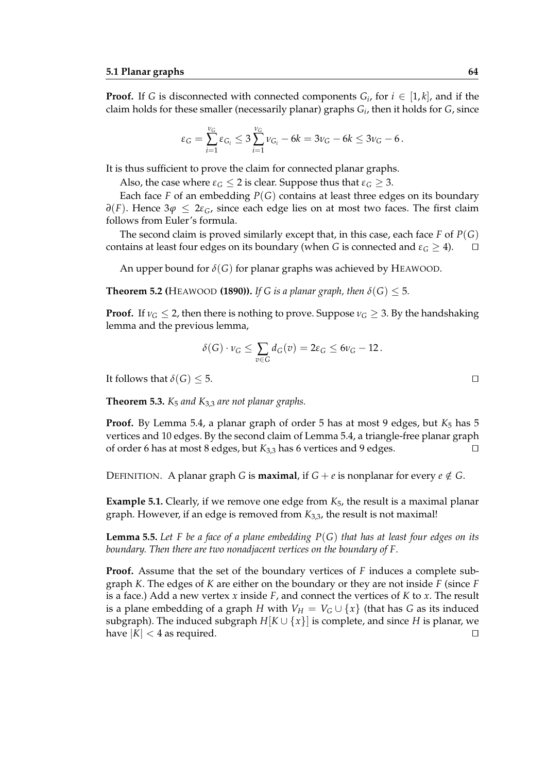**Proof.** If *G* is disconnected with connected components  $G_i$ , for  $i \in [1, k]$ , and if the claim holds for these smaller (necessarily planar) graphs *G<sup>i</sup>* , then it holds for *G*, since

$$
\varepsilon_G = \sum_{i=1}^{\nu_G} \varepsilon_{G_i} \leq 3 \sum_{i=1}^{\nu_G} \nu_{G_i} - 6k = 3\nu_G - 6k \leq 3\nu_G - 6.
$$

It is thus sufficient to prove the claim for connected planar graphs.

Also, the case where  $\varepsilon_G \leq 2$  is clear. Suppose thus that  $\varepsilon_G \geq 3$ .

Each face  $F$  of an embedding  $P(G)$  contains at least three edges on its boundary *∂*(*F*). Hence 3 $\varphi$  ≤ 2 $\varepsilon$ <sub>*G*</sub>, since each edge lies on at most two faces. The first claim follows from Euler's formula.

The second claim is proved similarly except that, in this case, each face *F* of *P*(*G*) contains at least four edges on its boundary (when *G* is connected and  $\epsilon_G \geq 4$ ). □

An upper bound for  $\delta(G)$  for planar graphs was achieved by HEAWOOD.

**Theorem 5.2 (HEAWOOD (1890)).** *If G is a planar graph, then*  $\delta(G) \leq 5$ *.* 

**Proof.** If  $\nu$ <sup>*G*</sup>  $\leq$  2*,* then there is nothing to prove. Suppose  $\nu$ <sup>*G*</sup>  $\geq$  3. By the handshaking lemma and the previous lemma,

$$
\delta(G) \cdot \nu_G \leq \sum_{v \in G} d_G(v) = 2\varepsilon_G \leq 6\nu_G - 12.
$$

It follows that  $\delta(G) \leq 5$ . □

**Theorem 5.3.**  $K_5$  *and*  $K_{3,3}$  *are not planar graphs.* 

**Proof.** By Lemma 5.4, a planar graph of order 5 has at most 9 edges, but  $K_5$  has 5 vertices and 10 edges. By the second claim of Lemma 5.4, a triangle-free planar graph of order 6 has at most 8 edges, but *K*3,3 has 6 vertices and 9 edges. ⊓⊔

DEFINITION. A planar graph *G* is **maximal**, if  $G + e$  is nonplanar for every  $e \notin G$ .

**Example 5.1.** Clearly, if we remove one edge from *K*5, the result is a maximal planar graph. However, if an edge is removed from *K*3,3, the result is not maximal!

**Lemma 5.5.** *Let F be a face of a plane embedding P*(*G*) *that has at least four edges on its boundary. Then there are two nonadjacent vertices on the boundary of F.*

**Proof.** Assume that the set of the boundary vertices of *F* induces a complete subgraph *K*. The edges of *K* are either on the boundary or they are not inside *F* (since *F* is a face.) Add a new vertex *x* inside *F*, and connect the vertices of *K* to *x*. The result is a plane embedding of a graph *H* with  $V_H = V_G \cup \{x\}$  (that has *G* as its induced subgraph). The induced subgraph  $H[K \cup \{x\}]$  is complete, and since *H* is planar, we have  $|K| < 4$  as required. □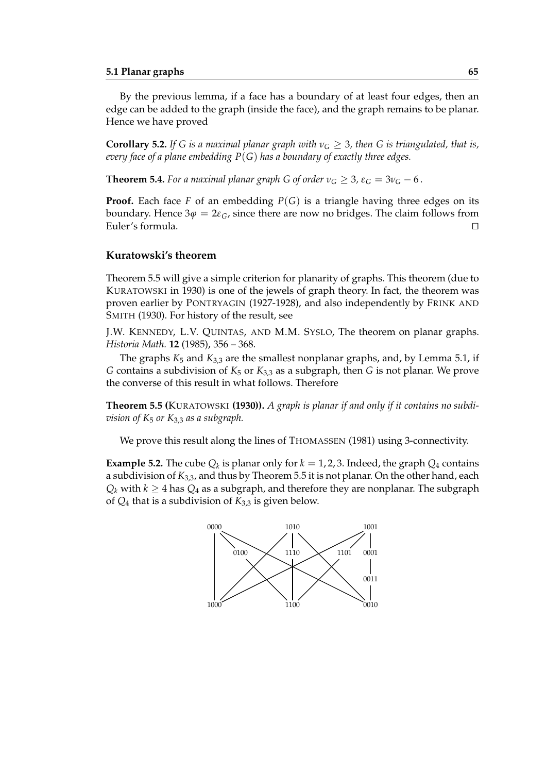By the previous lemma, if a face has a boundary of at least four edges, then an edge can be added to the graph (inside the face), and the graph remains to be planar. Hence we have proved

**Corollary 5.2.** *If G is a maximal planar graph with*  $v_G \geq 3$ , then G is triangulated, that is, *every face of a plane embedding P*(*G*) *has a boundary of exactly three edges.*

**Theorem 5.4.** *For a maximal planar graph G of order*  $v_G \geq 3$ ,  $\varepsilon_G = 3v_G - 6$ .

**Proof.** Each face *F* of an embedding  $P(G)$  is a triangle having three edges on its boundary. Hence  $3\varphi = 2\varepsilon_G$ , since there are now no bridges. The claim follows from Euler's formula. ⊓⊔

# **Kuratowski's theorem**

Theorem 5.5 will give a simple criterion for planarity of graphs. This theorem (due to KURATOWSKI in 1930) is one of the jewels of graph theory. In fact, the theorem was proven earlier by PONTRYAGIN (1927-1928), and also independently by FRINK AND SMITH (1930). For history of the result, see

J.W. KENNEDY, L.V. QUINTAS, AND M.M. SYSLO, The theorem on planar graphs. *Historia Math.* **12** (1985), 356 – 368.

The graphs *K*<sup>5</sup> and *K*3,3 are the smallest nonplanar graphs, and, by Lemma 5.1, if *G* contains a subdivision of  $K_5$  or  $K_{3,3}$  as a subgraph, then *G* is not planar. We prove the converse of this result in what follows. Therefore

**Theorem 5.5 (**KURATOWSKI **(1930)).** *A graph is planar if and only if it contains no subdivision of K*<sub>5</sub> *or K*<sub>3,3</sub> *as a subgraph.* 

We prove this result along the lines of THOMASSEN (1981) using 3-connectivity.

**Example 5.2.** The cube  $Q_k$  is planar only for  $k = 1, 2, 3$ . Indeed, the graph  $Q_4$  contains a subdivision of *K*3,3, and thus by Theorem 5.5 it is not planar. On the other hand, each  $Q_k$  with  $k \geq 4$  has  $Q_4$  as a subgraph, and therefore they are nonplanar. The subgraph of  $Q_4$  that is a subdivision of  $K_{3,3}$  is given below.

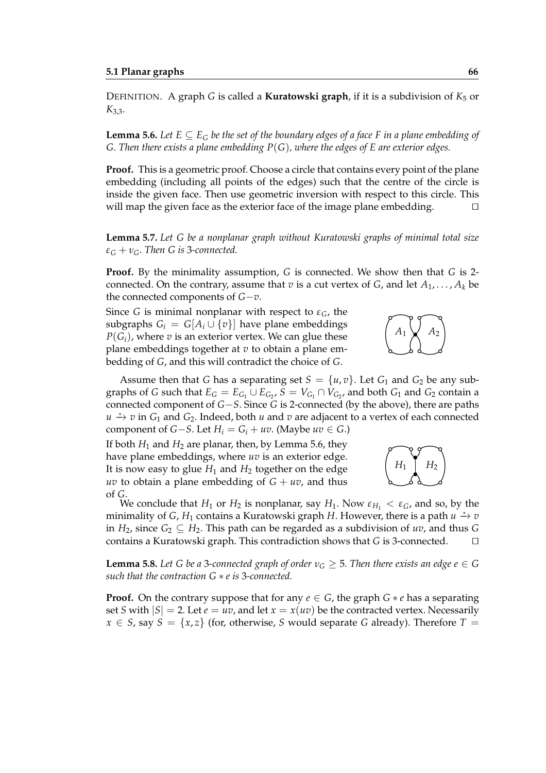DEFINITION. A graph *G* is called a **Kuratowski graph**, if it is a subdivision of  $K_5$  or *K*3,3.

**Lemma 5.6.** *Let*  $E \subseteq E_G$  *be the set of the boundary edges of a face* F *in a plane embedding of G. Then there exists a plane embedding P*(*G*)*, where the edges of E are exterior edges.*

**Proof.** This is a geometric proof. Choose a circle that contains every point of the plane embedding (including all points of the edges) such that the centre of the circle is inside the given face. Then use geometric inversion with respect to this circle. This will map the given face as the exterior face of the image plane embedding. □

**Lemma 5.7.** *Let G be a nonplanar graph without Kuratowski graphs of minimal total size*  $\varepsilon$ <sub>*G*</sub> +  $v$ <sub>*G*</sub>*. Then G is* 3-connected.

**Proof.** By the minimality assumption, *G* is connected. We show then that *G* is 2 connected. On the contrary, assume that  $v$  is a cut vertex of  $G$ , and let  $A_1, \ldots, A_k$  be the connected components of *G*−*v*.

Since *G* is minimal nonplanar with respect to *εG*, the subgraphs  $G_i = G[A_i \cup \{v\}]$  have plane embeddings  $P(G_i)$ , where *v* is an exterior vertex. We can glue these plane embeddings together at *v* to obtain a plane embedding of *G*, and this will contradict the choice of *G*.

Assume then that *G* has a separating set  $S = \{u, v\}$ . Let  $G_1$  and  $G_2$  be any subgraphs of *G* such that  $E_G = E_{G_1} \cup E_{G_2}$ ,  $S = V_{G_1} \cap V_{G_2}$ , and both  $G_1$  and  $G_2$  contain a connected component of *G*−*S*. Since *G* is 2-connected (by the above), there are paths *u* <sup>⋆</sup>−→ *v* in *G*<sup>1</sup> and *G*2. Indeed, both *u* and *v* are adjacent to a vertex of each connected component of *G*−*S*. Let  $H_i = G_i + uv$ . (Maybe  $uv \in G$ .)

If both  $H_1$  and  $H_2$  are planar, then, by Lemma 5.6, they have plane embeddings, where *uv* is an exterior edge. It is now easy to glue  $H_1$  and  $H_2$  together on the edge *uv* to obtain a plane embedding of  $G + uv$ , and thus of *G*.

We conclude that  $H_1$  or  $H_2$  is nonplanar, say  $H_1$ . Now  $\varepsilon_{H_1} < \varepsilon_G$ , and so, by the minimality of *G*, *H*<sup>1</sup> contains a Kuratowski graph *H*. However, there is a path *u* <sup>⋆</sup>−→ *v* in  $H_2$ , since  $G_2 \subseteq H_2$ . This path can be regarded as a subdivision of *uv*, and thus G contains a Kuratowski graph. This contradiction shows that *G* is 3-connected. ⊓⊔

**Lemma 5.8.** Let G be a 3-connected graph of order  $v_G \geq 5$ . Then there exists an edge  $e \in G$ *such that the contraction G* ∗ *e is* 3*-connected.*

**Proof.** On the contrary suppose that for any  $e \in G$ , the graph  $G * e$  has a separating set *S* with  $|S| = 2$ . Let  $e = uv$ , and let  $x = x(uv)$  be the contracted vertex. Necessarily  $x \in S$ , say  $S = \{x, z\}$  (for, otherwise, *S* would separate *G* already). Therefore  $T =$ 



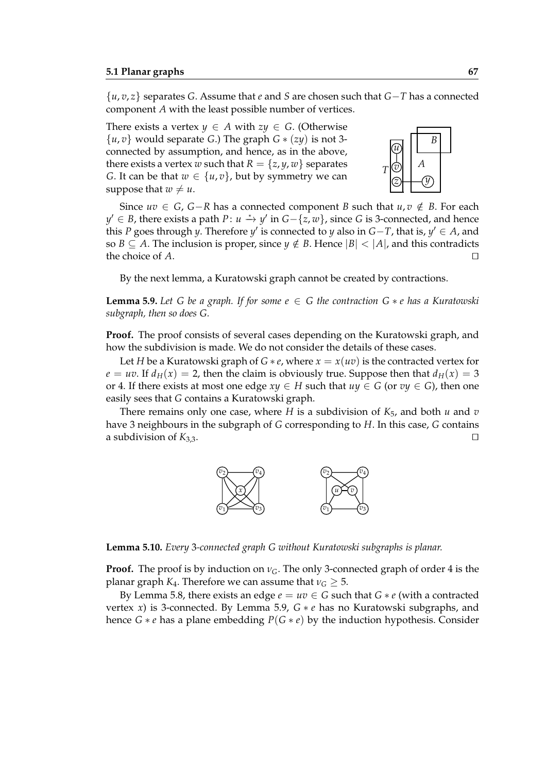{*u*, *v*, *z*} separates *G*. Assume that *e* and *S* are chosen such that *G*−*T* has a connected component *A* with the least possible number of vertices.

There exists a vertex  $y \in A$  with  $zy \in G$ . (Otherwise  $\{u, v\}$  would separate *G*.) The graph  $G * (zy)$  is not 3connected by assumption, and hence, as in the above, there exists a vertex *w* such that  $R = \{z, y, w\}$  separates *G*. It can be that  $w \in \{u, v\}$ , but by symmetry we can suppose that  $w \neq u$ .



Since  $uv \in G$ , *G*−*R* has a connected component *B* such that  $u, v \notin B$ . For each *y*<sup> $\prime$ </sup> ∈ *B*, there exists a path *P*: *u*  $\stackrel{*}{\rightarrow}$  *y*<sup> $\prime$ </sup> in *G*−{*z*, *w*}, since *G* is 3-connected, and hence this *P* goes through *y*. Therefore *y'* is connected to *y* also in  $G-T$ , that is,  $y' \in A$ , and so *B*  $\subseteq$  *A*. The inclusion is proper, since *y*  $\notin$  *B*. Hence  $|B|$  <  $|A|$ , and this contradicts the choice of *A*. □

By the next lemma, a Kuratowski graph cannot be created by contractions.

**Lemma 5.9.** Let G be a graph. If for some  $e \in G$  the contraction  $G * e$  has a Kuratowski *subgraph, then so does G.*

**Proof.** The proof consists of several cases depending on the Kuratowski graph, and how the subdivision is made. We do not consider the details of these cases.

Let *H* be a Kuratowski graph of *G*  $* e$ , where  $x = x(uv)$  is the contracted vertex for  $e = uv$ . If  $d_H(x) = 2$ , then the claim is obviously true. Suppose then that  $d_H(x) = 3$ or 4. If there exists at most one edge  $xy \in H$  such that  $uy \in G$  (or  $vy \in G$ ), then one easily sees that *G* contains a Kuratowski graph.

There remains only one case, where *H* is a subdivision of *K*5, and both *u* and *v* have 3 neighbours in the subgraph of *G* corresponding to *H*. In this case, *G* contains a subdivision of  $K_{3,3}$ . □



**Lemma 5.10.** *Every* 3*-connected graph G without Kuratowski subgraphs is planar.*

**Proof.** The proof is by induction on *νG*. The only 3-connected graph of order 4 is the planar graph *K*<sub>4</sub>. Therefore we can assume that  $v_G \geq 5$ .

By Lemma 5.8, there exists an edge  $e = uv \in G$  such that  $G * e$  (with a contracted vertex *x*) is 3-connected. By Lemma 5.9, *G* ∗ *e* has no Kuratowski subgraphs, and hence *G*  $*$  *e* has a plane embedding *P*(*G*  $*$  *e*) by the induction hypothesis. Consider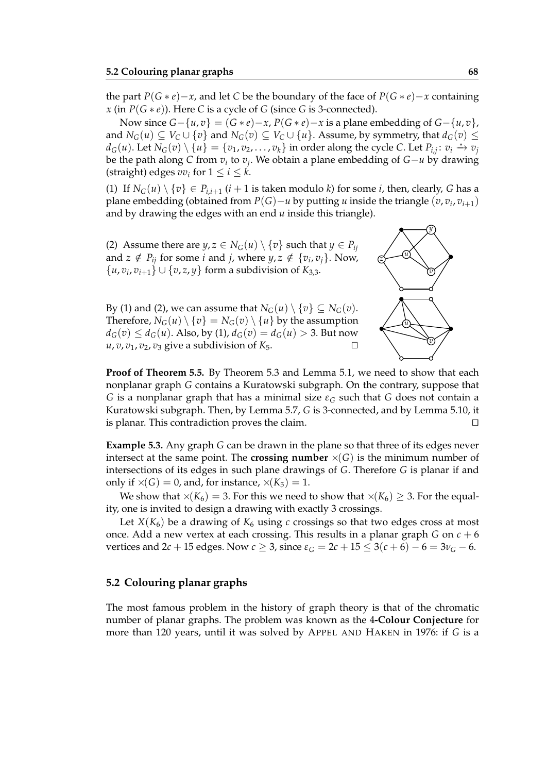the part  $P(G * e) - x$ , and let *C* be the boundary of the face of  $P(G * e) - x$  containing  $\chi$  (in  $P(G * e)$ ). Here *C* is a cycle of *G* (since *G* is 3-connected).

Now since  $G - \{u, v\} = (G * e) - x$ ,  $P(G * e) - x$  is a plane embedding of  $G - \{u, v\}$ , and  $N_G(u) \subseteq V_C \cup \{v\}$  and  $N_G(v) \subseteq V_C \cup \{u\}$ . Assume, by symmetry, that  $d_G(v) \leq$  $d_G(u)$ . Let  $N_G(v) \setminus \{u\} = \{v_1, v_2, \ldots, v_k\}$  in order along the cycle C. Let  $P_{i,j}: v_i \stackrel{*}{\to} v_j$ be the path along *C* from *v<sup>i</sup>* to *v<sup>j</sup>* . We obtain a plane embedding of *G*−*u* by drawing (straight) edges  $vv_i$  for  $1 \leq i \leq k$ .

(1) If  $N_G(u) \setminus \{v\} \in P_{i,i+1}$  (*i* + 1 is taken modulo *k*) for some *i*, then, clearly, *G* has a plane embedding (obtained from  $P(G)-u$  by putting *u* inside the triangle  $(v, v_i, v_{i+1})$ and by drawing the edges with an end *u* inside this triangle).

(2) Assume there are  $y, z \in N_G(u) \setminus \{v\}$  such that  $y \in P_{ii}$ and  $z \notin P_{ij}$  for some *i* and *j*, where  $y, z \notin \{v_i, v_j\}$ . Now,  $\{u, v_i, v_{i+1}\}$  ∪  $\{v, z, y\}$  form a subdivision of *K*<sub>3,3</sub>.  $\qquad \qquad \qquad \qquad$  *v*<sub>*v*</sub>

By (1) and (2), we can assume that  $N_G(u) \setminus \{v\} \subseteq N_G(v)$ . Therefore,  $N_G(u) \setminus \{v\} = N_G(v) \setminus \{u\}$  by the assumption  $d_G(v) \leq d_G(u)$ . Also, by (1),  $d_G(v) = d_G(u) > 3$ . But now *u*, *v*, *v*<sub>1</sub>, *v*<sub>2</sub>, *v*<sub>3</sub> give a subdivision of *K*<sub>5</sub>. □



**Proof of Theorem 5.5.** By Theorem 5.3 and Lemma 5.1, we need to show that each nonplanar graph *G* contains a Kuratowski subgraph. On the contrary, suppose that *G* is a nonplanar graph that has a minimal size  $\varepsilon_G$  such that *G* does not contain a Kuratowski subgraph. Then, by Lemma 5.7, *G* is 3-connected, and by Lemma 5.10, it is planar. This contradiction proves the claim. ⊓⊔

**Example 5.3.** Any graph *G* can be drawn in the plane so that three of its edges never intersect at the same point. The **crossing number**  $\times(G)$  is the minimum number of intersections of its edges in such plane drawings of *G*. Therefore *G* is planar if and only if  $\times(G) = 0$ , and, for instance,  $\times(K_5) = 1$ .

We show that  $\times(K_6) = 3$ . For this we need to show that  $\times(K_6) \geq 3$ . For the equality, one is invited to design a drawing with exactly 3 crossings.

Let  $X(K_6)$  be a drawing of  $K_6$  using *c* crossings so that two edges cross at most once. Add a new vertex at each crossing. This results in a planar graph *G* on  $c + 6$ vertices and  $2c + 15$  edges. Now  $c \ge 3$ , since  $\varepsilon_G = 2c + 15 \le 3(c + 6) - 6 = 3v_G - 6$ .

# **5.2 Colouring planar graphs**

The most famous problem in the history of graph theory is that of the chromatic number of planar graphs. The problem was known as the 4**-Colour Conjecture** for more than 120 years, until it was solved by APPEL AND HAKEN in 1976: if *G* is a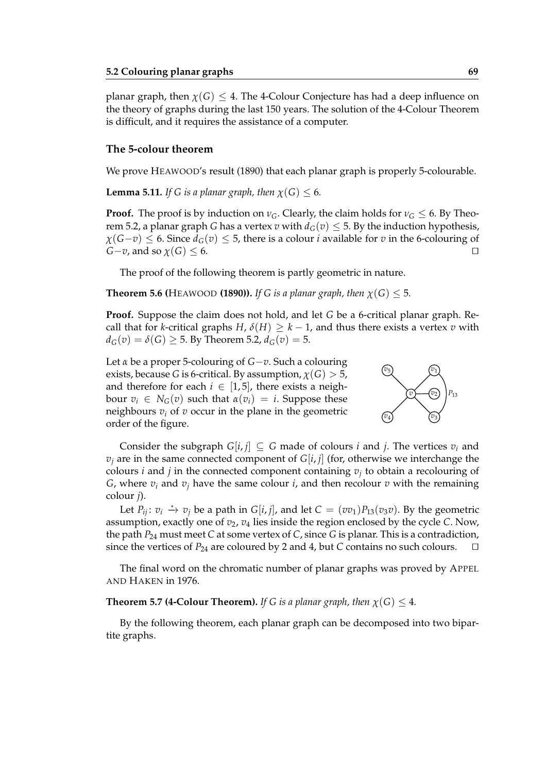#### **5.2 Colouring planar graphs 69**

planar graph, then  $\chi(G) \leq 4$ . The 4-Colour Conjecture has had a deep influence on the theory of graphs during the last 150 years. The solution of the 4-Colour Theorem is difficult, and it requires the assistance of a computer.

## **The 5-colour theorem**

We prove HEAWOOD's result (1890) that each planar graph is properly 5-colourable.

**Lemma 5.11.** *If G is a planar graph, then*  $\chi(G) \leq 6$ *.* 

**Proof.** The proof is by induction on  $\nu$ <sup>*G*</sup>. Clearly, the claim holds for  $\nu$ <sup>*G*</sup>  $\leq$  6. By Theorem 5.2, a planar graph *G* has a vertex *v* with  $d_G(v) \le 5$ . By the induction hypothesis,  $\chi(G-v) \leq 6$ . Since  $d_G(v) \leq 5$ , there is a colour *i* available for *v* in the 6-colouring of  $G - v$ , and so  $\chi(G) \leq 6$ . □

The proof of the following theorem is partly geometric in nature.

**Theorem 5.6 (HEAWOOD (1890)).** *If G is a planar graph, then*  $\chi(G) \leq 5$ *.* 

**Proof.** Suppose the claim does not hold, and let *G* be a 6-critical planar graph. Recall that for *k*-critical graphs  $H$ ,  $\delta(H) \geq k - 1$ , and thus there exists a vertex *v* with  $d_G(v) = \delta(G) \geq 5$ . By Theorem 5.2,  $d_G(v) = 5$ .

Let *α* be a proper 5-colouring of *G*−*v*. Such a colouring exists, because *G* is 6-critical. By assumption,  $\chi(G) > 5$ , and therefore for each  $i \in [1, 5]$ , there exists a neighbour  $v_i \in N_G(v)$  such that  $\alpha(v_i) = i$ . Suppose these neighbours  $v_i$  of  $v$  occur in the plane in the geometric order of the figure.



Consider the subgraph  $G[i, j] \subseteq G$  made of colours *i* and *j*. The vertices  $v_i$  and  $v_i$  are in the same connected component of  $G[i, j]$  (for, otherwise we interchange the colours *i* and *j* in the connected component containing *v<sup>j</sup>* to obtain a recolouring of *G*, where  $v_i$  and  $v_j$  have the same colour *i*, and then recolour *v* with the remaining colour *j*).

Let *P*<sup>*i*</sup>}<sup>*i*</sup> : *v*<sup>*i*</sup>  $\rightarrow$  *v*<sup>*j*</sup> be a path in *G*[*i*, *j*], and let *C* = (*vv*<sub>1</sub>)*P*<sub>13</sub>(*v*<sub>3</sub>*v*). By the geometric assumption, exactly one of  $v_2$ ,  $v_4$  lies inside the region enclosed by the cycle *C*. Now, the path *P*<sup>24</sup> must meet *C* at some vertex of *C*, since *G* is planar. This is a contradiction, since the vertices of *P*<sub>24</sub> are coloured by 2 and 4, but *C* contains no such colours. □

The final word on the chromatic number of planar graphs was proved by APPEL AND HAKEN in 1976.

## **Theorem 5.7 (4-Colour Theorem).** *If G is a planar graph, then*  $\chi(G) \leq 4$ *.*

By the following theorem, each planar graph can be decomposed into two bipartite graphs.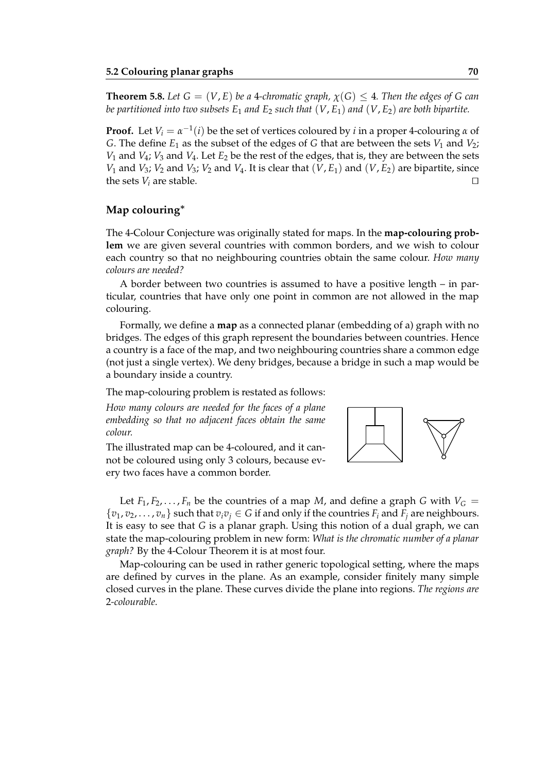**Theorem 5.8.** Let  $G = (V, E)$  be a 4-chromatic graph,  $\chi(G) \leq 4$ . Then the edges of G can *be partitioned into two subsets*  $E_1$  *and*  $E_2$  *such that*  $(V, E_1)$  *and*  $(V, E_2)$  *are both bipartite.* 

**Proof.** Let  $V_i = \alpha^{-1}(i)$  be the set of vertices coloured by *i* in a proper 4-colouring  $\alpha$  of *G*. The define  $E_1$  as the subset of the edges of *G* that are between the sets  $V_1$  and  $V_2$ ;  $V_1$  and  $V_4$ ;  $V_3$  and  $V_4$ . Let  $E_2$  be the rest of the edges, that is, they are between the sets *V*<sub>1</sub> and *V*<sub>3</sub>; *V*<sub>2</sub> and *V*<sub>3</sub>; *V*<sub>2</sub> and *V*<sub>4</sub>. It is clear that (*V*, *E*<sub>1</sub>) and (*V*, *E*<sub>2</sub>) are bipartite, since the sets *V<sub>i</sub>* are stable. □

# **Map colouring**<sup>∗</sup>

The 4-Colour Conjecture was originally stated for maps. In the **map-colouring problem** we are given several countries with common borders, and we wish to colour each country so that no neighbouring countries obtain the same colour. *How many colours are needed?*

A border between two countries is assumed to have a positive length – in particular, countries that have only one point in common are not allowed in the map colouring.

Formally, we define a **map** as a connected planar (embedding of a) graph with no bridges. The edges of this graph represent the boundaries between countries. Hence a country is a face of the map, and two neighbouring countries share a common edge (not just a single vertex). We deny bridges, because a bridge in such a map would be a boundary inside a country.

The map-colouring problem is restated as follows:

*How many colours are needed for the faces of a plane embedding so that no adjacent faces obtain the same colour.*

The illustrated map can be 4-coloured, and it cannot be coloured using only 3 colours, because every two faces have a common border.



Let  $F_1, F_2, \ldots, F_n$  be the countries of a map *M*, and define a graph *G* with  $V_G =$  $\{v_1, v_2, \ldots, v_n\}$  such that  $v_i v_j \in G$  if and only if the countries  $F_i$  and  $F_j$  are neighbours. It is easy to see that *G* is a planar graph. Using this notion of a dual graph, we can state the map-colouring problem in new form: *What is the chromatic number of a planar graph?* By the 4-Colour Theorem it is at most four.

Map-colouring can be used in rather generic topological setting, where the maps are defined by curves in the plane. As an example, consider finitely many simple closed curves in the plane. These curves divide the plane into regions. *The regions are* 2*-colourable*.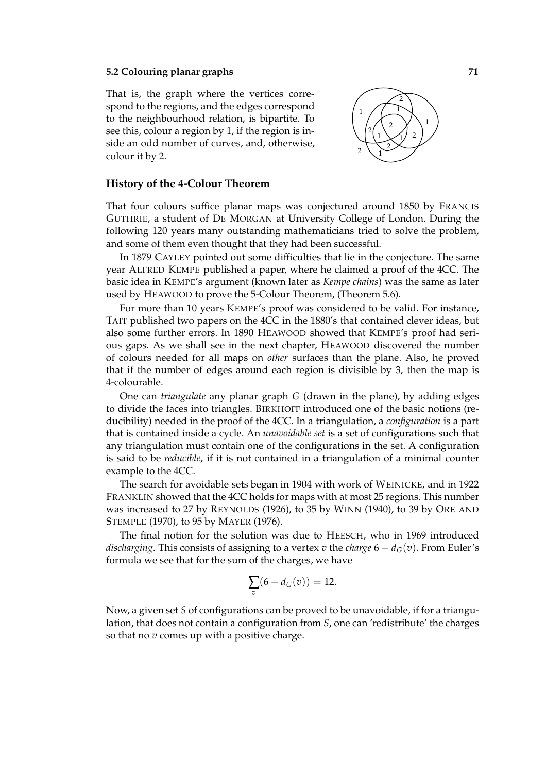#### **5.2 Colouring planar graphs 71**

That is, the graph where the vertices correspond to the regions, and the edges correspond to the neighbourhood relation, is bipartite. To see this, colour a region by 1, if the region is inside an odd number of curves, and, otherwise, colour it by 2.



## **History of the 4-Colour Theorem**

That four colours suffice planar maps was conjectured around 1850 by FRANCIS GUTHRIE, a student of DE MORGAN at University College of London. During the following 120 years many outstanding mathematicians tried to solve the problem, and some of them even thought that they had been successful.

In 1879 CAYLEY pointed out some difficulties that lie in the conjecture. The same year ALFRED KEMPE published a paper, where he claimed a proof of the 4CC. The basic idea in KEMPE's argument (known later as *Kempe chains*) was the same as later used by HEAWOOD to prove the 5-Colour Theorem, (Theorem 5.6).

For more than 10 years KEMPE's proof was considered to be valid. For instance, TAIT published two papers on the 4CC in the 1880's that contained clever ideas, but also some further errors. In 1890 HEAWOOD showed that KEMPE's proof had serious gaps. As we shall see in the next chapter, HEAWOOD discovered the number of colours needed for all maps on *other* surfaces than the plane. Also, he proved that if the number of edges around each region is divisible by 3, then the map is 4-colourable.

One can *triangulate* any planar graph *G* (drawn in the plane), by adding edges to divide the faces into triangles. BIRKHOFF introduced one of the basic notions (reducibility) needed in the proof of the 4CC. In a triangulation, a *configuration* is a part that is contained inside a cycle. An *unavoidable set* is a set of configurations such that any triangulation must contain one of the configurations in the set. A configuration is said to be *reducible*, if it is not contained in a triangulation of a minimal counter example to the 4CC.

The search for avoidable sets began in 1904 with work of WEINICKE, and in 1922 FRANKLIN showed that the 4CC holds for maps with at most 25 regions. This number was increased to 27 by REYNOLDS (1926), to 35 by WINN (1940), to 39 by ORE AND STEMPLE (1970), to 95 by MAYER (1976).

The final notion for the solution was due to HEESCH, who in 1969 introduced *discharging*. This consists of assigning to a vertex *v* the *charge*  $6 - d_G(v)$ . From Euler's formula we see that for the sum of the charges, we have

$$
\sum_{v} (6 - d_G(v)) = 12.
$$

Now, a given set *S* of configurations can be proved to be unavoidable, if for a triangulation, that does not contain a configuration from *S*, one can 'redistribute' the charges so that no *v* comes up with a positive charge.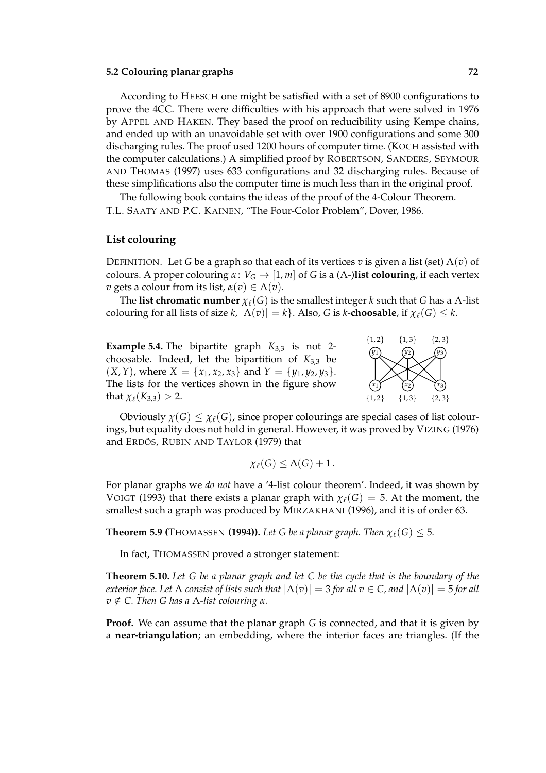According to HEESCH one might be satisfied with a set of 8900 configurations to prove the 4CC. There were difficulties with his approach that were solved in 1976 by APPEL AND HAKEN. They based the proof on reducibility using Kempe chains, and ended up with an unavoidable set with over 1900 configurations and some 300 discharging rules. The proof used 1200 hours of computer time. (KOCH assisted with the computer calculations.) A simplified proof by ROBERTSON, SANDERS, SEYMOUR AND THOMAS (1997) uses 633 configurations and 32 discharging rules. Because of these simplifications also the computer time is much less than in the original proof.

The following book contains the ideas of the proof of the 4-Colour Theorem. T.L. SAATY AND P.C. KAINEN, "The Four-Color Problem", Dover, 1986.

#### **List colouring**

DEFINITION. Let *G* be a graph so that each of its vertices *v* is given a list (set) Λ(*v*) of colours. A proper colouring  $\alpha: V_G \to [1, m]$  of *G* is a ( $\Lambda$ -)list colouring, if each vertex *v* gets a colour from its list,  $\alpha(v) \in \Lambda(v)$ .

The **list chromatic number**  $\chi_{\ell}(G)$  is the smallest integer *k* such that *G* has a Λ-list colouring for all lists of size *k*,  $|\Lambda(v)| = k$ . Also, *G* is *k*-**choosable**, if  $\chi_{\ell}(G) \leq k$ .

**Example 5.4.** The bipartite graph  $K_{3,3}$  is not 2choosable. Indeed, let the bipartition of  $K_{3,3}$  be  $(X, Y)$ , where  $X = \{x_1, x_2, x_3\}$  and  $Y = \{y_1, y_2, y_3\}.$ The lists for the vertices shown in the figure show that  $\chi_{\ell}(K_{3,3}) > 2$ .



Obviously  $\chi(G) \leq \chi_{\ell}(G)$ , since proper colourings are special cases of list colourings, but equality does not hold in general. However, it was proved by VIZING (1976) and ERDÖS, RUBIN AND TAYLOR (1979) that

$$
\chi_{\ell}(G) \leq \Delta(G) + 1.
$$

For planar graphs we *do not* have a '4-list colour theorem'. Indeed, it was shown by VOIGT (1993) that there exists a planar graph with  $\chi_{\ell}(G) = 5$ . At the moment, the smallest such a graph was produced by MIRZAKHANI (1996), and it is of order 63.

**Theorem 5.9 (THOMASSEN (1994)).** *Let G be a planar graph. Then*  $\chi_{\ell}(G) \leq 5$ *.* 

In fact, THOMASSEN proved a stronger statement:

**Theorem 5.10.** *Let G be a planar graph and let C be the cycle that is the boundary of the exterior face. Let*  $\Lambda$  *consist of lists such that*  $|\Lambda(v)| = 3$  *for all v*  $\in$  *C, and*  $|\Lambda(v)| = 5$  *for all*  $v \notin C$ . Then G has a  $\Lambda$ -list colouring  $\alpha$ .

**Proof.** We can assume that the planar graph *G* is connected, and that it is given by a **near-triangulation**; an embedding, where the interior faces are triangles. (If the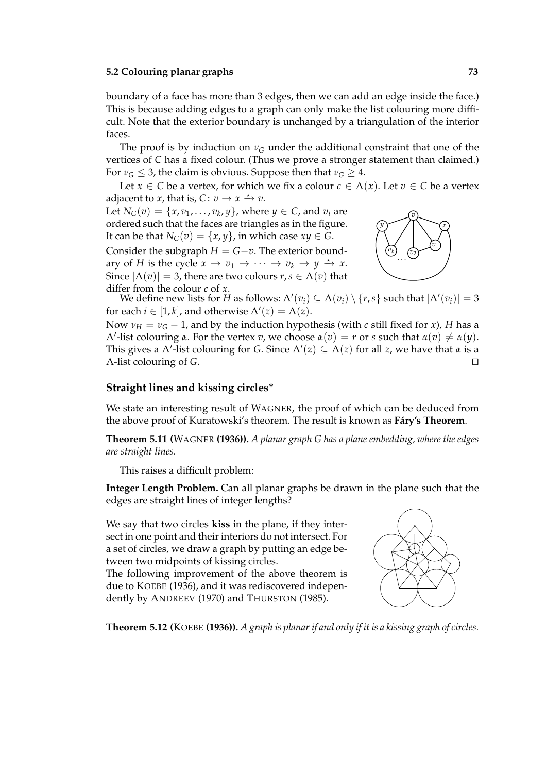boundary of a face has more than 3 edges, then we can add an edge inside the face.) This is because adding edges to a graph can only make the list colouring more difficult. Note that the exterior boundary is unchanged by a triangulation of the interior faces.

The proof is by induction on  $v_G$  under the additional constraint that one of the vertices of *C* has a fixed colour. (Thus we prove a stronger statement than claimed.) For  $\nu$ <sup>*G*</sup>  $\leq$  3, the claim is obvious. Suppose then that  $\nu$ <sup>*G*</sup>  $\geq$  4.

Let  $x \in C$  be a vertex, for which we fix a colour  $c \in \Lambda(x)$ . Let  $v \in C$  be a vertex adjacent to *x*, that is,  $C: v \to x \xrightarrow{*} v$ .

Let  $N_G(v) = \{x, v_1, \ldots, v_k, y\}$ , where  $y \in C$ , and  $v_i$  are ordered such that the faces are triangles as in the figure. It can be that  $N_G(v) = \{x, y\}$ , in which case  $xy \in G$ . Consider the subgraph  $H = G - v$ . The exterior bound-

ary of *H* is the cycle  $x \to v_1 \to \cdots \to v_k \to y \to x$ . Since  $|\Lambda(v)| = 3$ , there are two colours  $r, s \in \Lambda(v)$  that differ from the colour *c* of *x*.



We define new lists for  $H$  as follows:  $\Lambda'(v_i)\subseteq\Lambda(v_i)\setminus\{r,s\}$  such that  $|\Lambda'(v_i)|=3$ for each  $i \in [1, k]$ , and otherwise  $\Lambda'(z) = \Lambda(z)$ .

Now  $\nu_H = \nu_G - 1$ , and by the induction hypothesis (with *c* still fixed for *x*), *H* has a  $Λ'$ -list colouring *α*. For the vertex *v*, we choose  $α(v) = r$  or *s* such that  $α(v) \neq α(y)$ . This gives a  $\Lambda'$ -list colouring for *G*. Since  $\Lambda'(z) \subseteq \Lambda(z)$  for all *z*, we have that  $\alpha$  is a Λ-list colouring of *G*. ⊓⊔

# **Straight lines and kissing circles**<sup>∗</sup>

We state an interesting result of WAGNER, the proof of which can be deduced from the above proof of Kuratowski's theorem. The result is known as **Fáry's Theorem**.

**Theorem 5.11 (**WAGNER **(1936)).** *A planar graph G has a plane embedding, where the edges are straight lines.*

This raises a difficult problem:

**Integer Length Problem.** Can all planar graphs be drawn in the plane such that the edges are straight lines of integer lengths?

We say that two circles **kiss** in the plane, if they intersect in one point and their interiors do not intersect. For a set of circles, we draw a graph by putting an edge between two midpoints of kissing circles.

The following improvement of the above theorem is due to KOEBE (1936), and it was rediscovered independently by ANDREEV (1970) and THURSTON (1985).



**Theorem 5.12 (**KOEBE **(1936)).** *A graph is planar if and only if it is a kissing graph of circles.*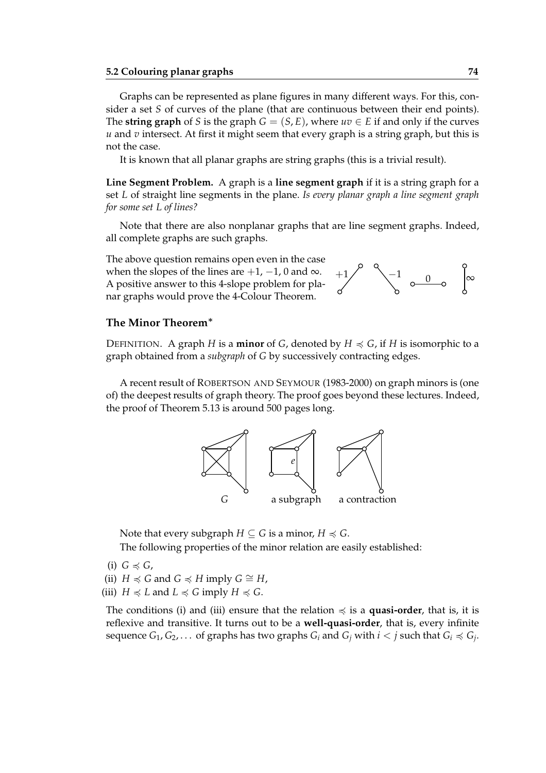Graphs can be represented as plane figures in many different ways. For this, consider a set *S* of curves of the plane (that are continuous between their end points). The **string graph** of *S* is the graph  $G = (S, E)$ , where  $uv \in E$  if and only if the curves *u* and *v* intersect. At first it might seem that every graph is a string graph, but this is not the case.

It is known that all planar graphs are string graphs (this is a trivial result).

**Line Segment Problem.** A graph is a **line segment graph** if it is a string graph for a set *L* of straight line segments in the plane. *Is every planar graph a line segment graph for some set L of lines?*

Note that there are also nonplanar graphs that are line segment graphs. Indeed, all complete graphs are such graphs.

The above question remains open even in the case when the slopes of the lines are  $+1$ ,  $-1$ , 0 and  $\infty$ . A positive answer to this 4-slope problem for planar graphs would prove the 4-Colour Theorem.



#### **The Minor Theorem**<sup>∗</sup>

DEFINITION. A graph *H* is a **minor** of *G*, denoted by  $H \preccurlyeq G$ , if *H* is isomorphic to a graph obtained from a *subgraph* of *G* by successively contracting edges.

A recent result of ROBERTSON AND SEYMOUR (1983-2000) on graph minors is (one of) the deepest results of graph theory. The proof goes beyond these lectures. Indeed, the proof of Theorem 5.13 is around 500 pages long.



Note that every subgraph  $H \subseteq G$  is a minor,  $H \preccurlyeq G$ . The following properties of the minor relation are easily established:

- (i)  $G \preccurlyeq G$ ,
- (ii)  $H \preccurlyeq G$  and  $G \preccurlyeq H$  imply  $G \cong H$ ,
- (iii)  $H \preccurlyeq L$  and  $L \preccurlyeq G$  imply  $H \preccurlyeq G$ .

The conditions (i) and (iii) ensure that the relation  $\preccurlyeq$  is a **quasi-order**, that is, it is reflexive and transitive. It turns out to be a **well-quasi-order**, that is, every infinite sequence  $G_1, G_2, \ldots$  of graphs has two graphs  $G_i$  and  $G_j$  with  $i < j$  such that  $G_i \preccurlyeq G_j$ .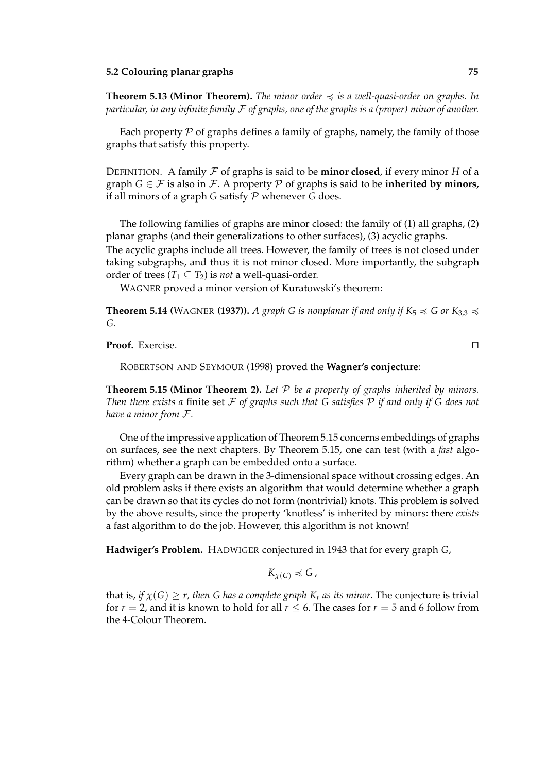**Theorem 5.13 (Minor Theorem).** *The minor order*  $\preccurlyeq$  *is a well-quasi-order on graphs. In particular, in any infinite family* F *of graphs, one of the graphs is a (proper) minor of another.*

Each property  $P$  of graphs defines a family of graphs, namely, the family of those graphs that satisfy this property.

DEFINITION. A family  $\mathcal F$  of graphs is said to be **minor closed**, if every minor *H* of a graph  $G \in \mathcal{F}$  is also in  $\mathcal{F}$ . A property  $\mathcal{P}$  of graphs is said to be **inherited by minors**, if all minors of a graph *G* satisfy P whenever *G* does.

The following families of graphs are minor closed: the family of (1) all graphs, (2) planar graphs (and their generalizations to other surfaces), (3) acyclic graphs.

The acyclic graphs include all trees. However, the family of trees is not closed under taking subgraphs, and thus it is not minor closed. More importantly, the subgraph order of trees  $(T_1 \subset T_2)$  is *not* a well-quasi-order.

WAGNER proved a minor version of Kuratowski's theorem:

**Theorem 5.14 (WAGNER (1937)).** *A graph G is nonplanar if and only if*  $K_5 \preccurlyeq G$  *or*  $K_{3,3} \preccurlyeq$ *G.*

**Proof.** Exercise. ⊓⊔

ROBERTSON AND SEYMOUR (1998) proved the **Wagner's conjecture**:

**Theorem 5.15 (Minor Theorem 2).** *Let* P *be a property of graphs inherited by minors. Then there exists a* finite set F *of graphs such that G satisfies* P *if and only if G does not have a minor from* F*.*

One of the impressive application of Theorem 5.15 concerns embeddings of graphs on surfaces, see the next chapters. By Theorem 5.15, one can test (with a *fast* algorithm) whether a graph can be embedded onto a surface.

Every graph can be drawn in the 3-dimensional space without crossing edges. An old problem asks if there exists an algorithm that would determine whether a graph can be drawn so that its cycles do not form (nontrivial) knots. This problem is solved by the above results, since the property 'knotless' is inherited by minors: there *exists* a fast algorithm to do the job. However, this algorithm is not known!

**Hadwiger's Problem.** HADWIGER conjectured in 1943 that for every graph *G*,

$$
K_{\chi(G)} \preccurlyeq G,
$$

that is, *if*  $\chi(G) \geq r$ , then G has a complete graph  $K_r$  as its minor. The conjecture is trivial for  $r = 2$ , and it is known to hold for all  $r \le 6$ . The cases for  $r = 5$  and 6 follow from the 4-Colour Theorem.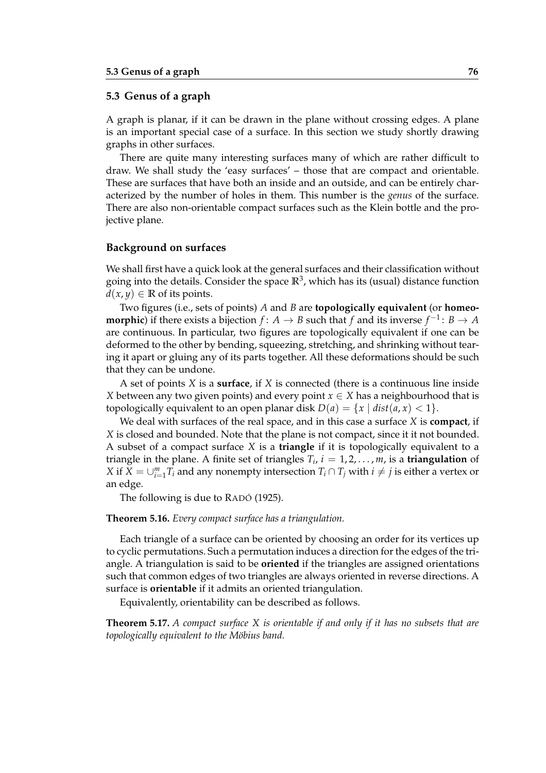#### **5.3 Genus of a graph**

A graph is planar, if it can be drawn in the plane without crossing edges. A plane is an important special case of a surface. In this section we study shortly drawing graphs in other surfaces.

There are quite many interesting surfaces many of which are rather difficult to draw. We shall study the 'easy surfaces' – those that are compact and orientable. These are surfaces that have both an inside and an outside, and can be entirely characterized by the number of holes in them. This number is the *genus* of the surface. There are also non-orientable compact surfaces such as the Klein bottle and the projective plane.

#### **Background on surfaces**

We shall first have a quick look at the general surfaces and their classification without going into the details. Consider the space **R**<sup>3</sup> , which has its (usual) distance function  $d(x, y) \in \mathbb{R}$  of its points.

Two figures (i.e., sets of points) *A* and *B* are **topologically equivalent** (or **homeomorphic**) if there exists a bijection  $f: A \rightarrow B$  such that  $f$  and its inverse  $f^{-1}: B \rightarrow A$ are continuous. In particular, two figures are topologically equivalent if one can be deformed to the other by bending, squeezing, stretching, and shrinking without tearing it apart or gluing any of its parts together. All these deformations should be such that they can be undone.

A set of points *X* is a **surface**, if *X* is connected (there is a continuous line inside *X* between any two given points) and every point  $x \in X$  has a neighbourhood that is topologically equivalent to an open planar disk  $D(a) = \{x \mid dist(a, x) < 1\}.$ 

We deal with surfaces of the real space, and in this case a surface *X* is **compact**, if *X* is closed and bounded. Note that the plane is not compact, since it it not bounded. A subset of a compact surface *X* is a **triangle** if it is topologically equivalent to a triangle in the plane. A finite set of triangles *T<sup>i</sup>* , *i* = 1, 2, . . . , *m*, is a **triangulation** of *X* if  $X = \bigcup_{i=1}^{m} T_i$  and any nonempty intersection  $T_i \cap T_j$  with  $i \neq j$  is either a vertex or an edge.

The following is due to RADÓ (1925).

#### **Theorem 5.16.** *Every compact surface has a triangulation.*

Each triangle of a surface can be oriented by choosing an order for its vertices up to cyclic permutations. Such a permutation induces a direction for the edges of the triangle. A triangulation is said to be **oriented** if the triangles are assigned orientations such that common edges of two triangles are always oriented in reverse directions. A surface is **orientable** if it admits an oriented triangulation.

Equivalently, orientability can be described as follows.

**Theorem 5.17.** *A compact surface X is orientable if and only if it has no subsets that are topologically equivalent to the Möbius band.*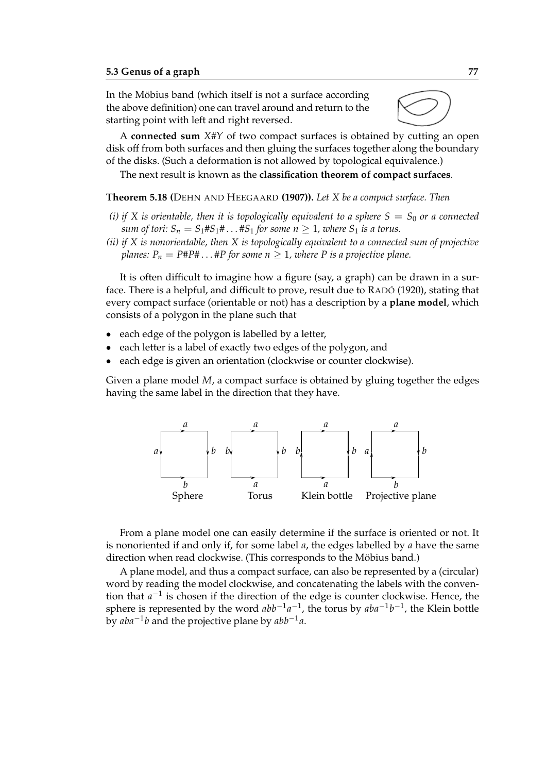In the Möbius band (which itself is not a surface according the above definition) one can travel around and return to the starting point with left and right reversed.

A **connected sum** *X*#*Y* of two compact surfaces is obtained by cutting an open disk off from both surfaces and then gluing the surfaces together along the boundary of the disks. (Such a deformation is not allowed by topological equivalence.)

The next result is known as the **classification theorem of compact surfaces**.

**Theorem 5.18 (**DEHN AND HEEGAARD **(1907)).** *Let X be a compact surface. Then*

- *(i) if* X is orientable, then it is topologically equivalent to a sphere  $S = S_0$  or a connected *sum of tori:*  $S_n = S_1 \# S_1 \# \dots \# S_1$  *for some n*  $\geq 1$ *, where*  $S_1$  *is a torus.*
- *(ii) if X is nonorientable, then X is topologically equivalent to a connected sum of projective planes:*  $P_n = P \# P \# \ldots \# P$  for some  $n \geq 1$ , where P is a projective plane.

It is often difficult to imagine how a figure (say, a graph) can be drawn in a surface. There is a helpful, and difficult to prove, result due to RADÓ (1920), stating that every compact surface (orientable or not) has a description by a **plane model**, which consists of a polygon in the plane such that

- each edge of the polygon is labelled by a letter,
- each letter is a label of exactly two edges of the polygon, and
- each edge is given an orientation (clockwise or counter clockwise).

Given a plane model *M*, a compact surface is obtained by gluing together the edges having the same label in the direction that they have.



From a plane model one can easily determine if the surface is oriented or not. It is nonoriented if and only if, for some label *a*, the edges labelled by *a* have the same direction when read clockwise. (This corresponds to the Möbius band.)

A plane model, and thus a compact surface, can also be represented by a (circular) word by reading the model clockwise, and concatenating the labels with the convention that *a*<sup>-1</sup> is chosen if the direction of the edge is counter clockwise. Hence, the sphere is represented by the word *abb<sup>−1</sup>a<sup>−1</sup>,* the torus by *aba<sup>−1</sup>b<sup>−1</sup>,* the Klein bottle by *aba*−<sup>1</sup> *b* and the projective plane by *abb*−<sup>1</sup> *a*.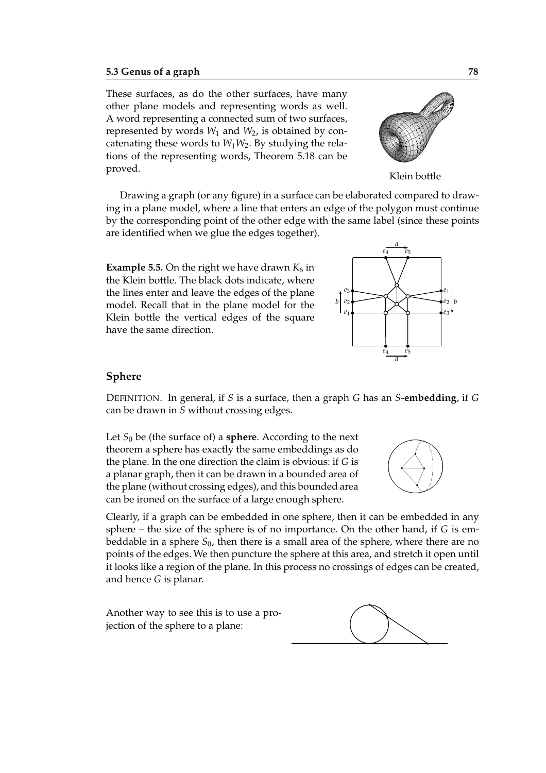These surfaces, as do the other surfaces, have many other plane models and representing words as well. A word representing a connected sum of two surfaces, represented by words  $W_1$  and  $W_2$ , is obtained by concatenating these words to  $W_1W_2$ . By studying the relations of the representing words, Theorem 5.18 can be proved.

Klein bottle

Drawing a graph (or any figure) in a surface can be elaborated compared to drawing in a plane model, where a line that enters an edge of the polygon must continue by the corresponding point of the other edge with the same label (since these points are identified when we glue the edges together).

**Example 5.5.** On the right we have drawn  $K_6$  in the Klein bottle. The black dots indicate, where the lines enter and leave the edges of the plane model. Recall that in the plane model for the Klein bottle the vertical edges of the square have the same direction.



# **Sphere**

DEFINITION. In general, if *S* is a surface, then a graph *G* has an *S*-**embedding**, if *G* can be drawn in *S* without crossing edges.

Let  $S_0$  be (the surface of) a **sphere**. According to the next theorem a sphere has exactly the same embeddings as do the plane. In the one direction the claim is obvious: if *G* is a planar graph, then it can be drawn in a bounded area of the plane (without crossing edges), and this bounded area can be ironed on the surface of a large enough sphere.



Clearly, if a graph can be embedded in one sphere, then it can be embedded in any sphere – the size of the sphere is of no importance. On the other hand, if *G* is embeddable in a sphere *S*0, then there is a small area of the sphere, where there are no points of the edges. We then puncture the sphere at this area, and stretch it open until it looks like a region of the plane. In this process no crossings of edges can be created, and hence *G* is planar.

Another way to see this is to use a projection of the sphere to a plane:

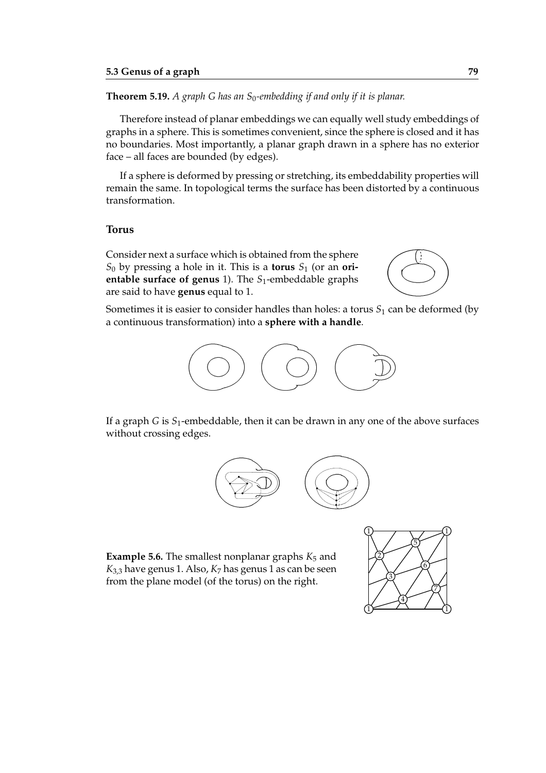**Theorem 5.19.** *A graph G has an S*<sub>0</sub>-embedding if and only if it is planar.

Therefore instead of planar embeddings we can equally well study embeddings of graphs in a sphere. This is sometimes convenient, since the sphere is closed and it has no boundaries. Most importantly, a planar graph drawn in a sphere has no exterior face – all faces are bounded (by edges).

If a sphere is deformed by pressing or stretching, its embeddability properties will remain the same. In topological terms the surface has been distorted by a continuous transformation.

# **Torus**

Consider next a surface which is obtained from the sphere  $S_0$  by pressing a hole in it. This is a **torus**  $S_1$  (or an **ori**entable surface of genus 1). The *S*<sub>1</sub>-embeddable graphs are said to have **genus** equal to 1.



Sometimes it is easier to consider handles than holes: a torus  $S_1$  can be deformed (by a continuous transformation) into a **sphere with a handle**.



If a graph *G* is *S*1-embeddable, then it can be drawn in any one of the above surfaces without crossing edges.



**Example 5.6.** The smallest nonplanar graphs  $K_5$  and *K*3,3 have genus 1. Also, *K*<sup>7</sup> has genus 1 as can be seen from the plane model (of the torus) on the right.

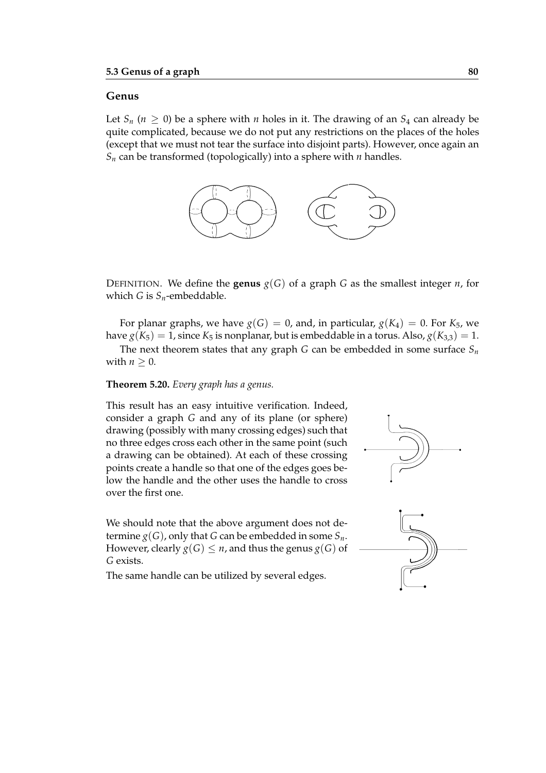# **Genus**

Let  $S_n$  ( $n \geq 0$ ) be a sphere with *n* holes in it. The drawing of an  $S_4$  can already be quite complicated, because we do not put any restrictions on the places of the holes (except that we must not tear the surface into disjoint parts). However, once again an  $S_n$  can be transformed (topologically) into a sphere with *n* handles.



DEFINITION. We define the **genus**  $g(G)$  of a graph *G* as the smallest integer *n*, for which *G* is  $S_n$ -embeddable.

For planar graphs, we have  $g(G) = 0$ , and, in particular,  $g(K_4) = 0$ . For  $K_5$ , we have  $g(K_5) = 1$ , since  $K_5$  is nonplanar, but is embeddable in a torus. Also,  $g(K_{3,3}) = 1$ .

The next theorem states that any graph *G* can be embedded in some surface  $S_n$ with  $n \geq 0$ .

#### **Theorem 5.20.** *Every graph has a genus.*

This result has an easy intuitive verification. Indeed, consider a graph *G* and any of its plane (or sphere) drawing (possibly with many crossing edges) such that no three edges cross each other in the same point (such a drawing can be obtained). At each of these crossing points create a handle so that one of the edges goes below the handle and the other uses the handle to cross over the first one.

We should note that the above argument does not determine  $g(G)$ , only that *G* can be embedded in some  $S_n$ . However, clearly  $g(G) \leq n$ , and thus the genus  $g(G)$  of *G* exists.

The same handle can be utilized by several edges.



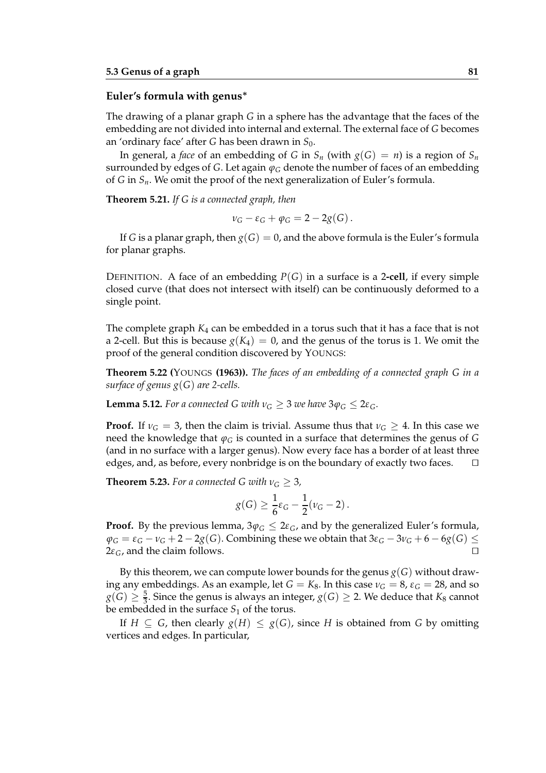#### **Euler's formula with genus**<sup>∗</sup>

The drawing of a planar graph *G* in a sphere has the advantage that the faces of the embedding are not divided into internal and external. The external face of *G* becomes an 'ordinary face' after *G* has been drawn in *S*0.

In general, a *face* of an embedding of *G* in  $S_n$  (with  $g(G) = n$ ) is a region of  $S_n$ surrounded by edges of *G*. Let again  $\varphi_G$  denote the number of faces of an embedding of *G* in *Sn*. We omit the proof of the next generalization of Euler's formula.

**Theorem 5.21.** *If G is a connected graph, then*

$$
\nu_G - \varepsilon_G + \varphi_G = 2 - 2g(G).
$$

If *G* is a planar graph, then  $g(G) = 0$ , and the above formula is the Euler's formula for planar graphs.

DEFINITION. A face of an embedding  $P(G)$  in a surface is a 2-cell, if every simple closed curve (that does not intersect with itself) can be continuously deformed to a single point.

The complete graph *K*<sup>4</sup> can be embedded in a torus such that it has a face that is not a 2-cell. But this is because  $g(K_4) = 0$ , and the genus of the torus is 1. We omit the proof of the general condition discovered by YOUNGS:

**Theorem 5.22 (**YOUNGS **(1963)).** *The faces of an embedding of a connected graph G in a surface of genus g*(*G*) *are 2-cells.*

**Lemma 5.12.** *For a connected G with*  $v_G \geq 3$  *we have*  $3\varphi_G \leq 2\varepsilon_G$ *.* 

**Proof.** If  $\nu$ <sup>*G*</sup> = 3, then the claim is trivial. Assume thus that  $\nu$ <sup>*G*</sup>  $\geq$  4. In this case we need the knowledge that  $\varphi_G$  is counted in a surface that determines the genus of *G* (and in no surface with a larger genus). Now every face has a border of at least three edges, and, as before, every nonbridge is on the boundary of exactly two faces. ⊓⊔

**Theorem 5.23.** *For a connected G with*  $v_G \geq 3$ *,* 

$$
g(G) \geq \frac{1}{6}\varepsilon_G - \frac{1}{2}(\nu_G - 2).
$$

**Proof.** By the previous lemma,  $3\varphi_G \leq 2\varepsilon_G$ , and by the generalized Euler's formula,  $\varphi_G = \varepsilon_G - \nu_G + 2 - 2g(G)$ . Combining these we obtain that  $3\varepsilon_G - 3\nu_G + 6 - 6g(G) \le$ 2*εG*, and the claim follows. ⊓⊔

By this theorem, we can compute lower bounds for the genus  $g(G)$  without drawing any embeddings. As an example, let  $G = K_8$ . In this case  $v_G = 8$ ,  $\varepsilon_G = 28$ , and so  $g(G) \geq \frac{5}{3}$ . Since the genus is always an integer,  $g(G) \geq 2$ . We deduce that  $K_8$  cannot be embedded in the surface  $S_1$  of the torus.

If  $H \subseteq G$ , then clearly  $g(H) \leq g(G)$ , since *H* is obtained from *G* by omitting vertices and edges. In particular,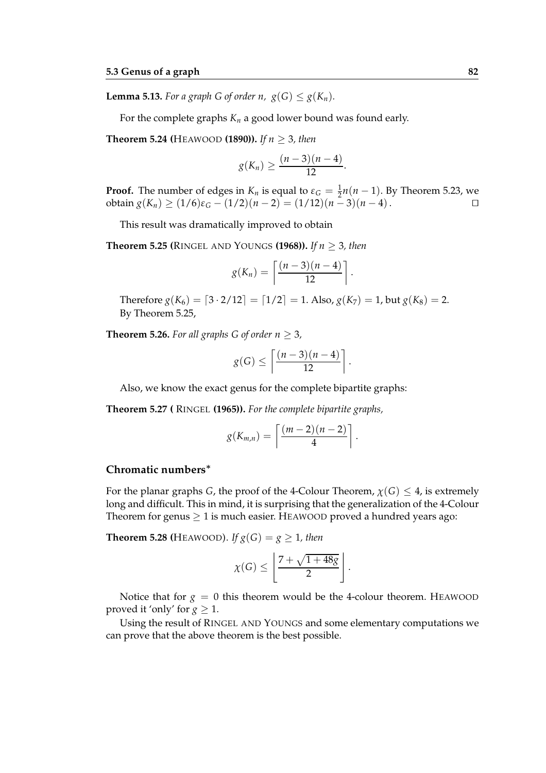**Lemma 5.13.** *For a graph G of order n,*  $g(G) \leq g(K_n)$ *.* 

For the complete graphs *K<sup>n</sup>* a good lower bound was found early.

**Theorem 5.24 (HEAWOOD (1890)).** *If*  $n \geq 3$ *, then* 

$$
g(K_n) \ge \frac{(n-3)(n-4)}{12}.
$$

**Proof.** The number of edges in  $K_n$  is equal to  $\varepsilon_G = \frac{1}{2}n(n-1)$ . By Theorem 5.23, we  $\text{obtain } g(K_n) \geq (1/6)\varepsilon_G - (1/2)(n-2) = (1/12)(n-3)(n-4).$  □

This result was dramatically improved to obtain

**Theorem 5.25 (**RINGEL AND YOUNGS **(1968)).** *If n* ≥ 3*, then*

$$
g(K_n)=\left\lceil\frac{(n-3)(n-4)}{12}\right\rceil.
$$

Therefore  $g(K_6) = [3 \cdot 2/12] = [1/2] = 1$ . Also,  $g(K_7) = 1$ , but  $g(K_8) = 2$ . By Theorem 5.25,

**Theorem 5.26.** *For all graphs G of order*  $n \geq 3$ *,* 

$$
g(G) \le \left\lceil \frac{(n-3)(n-4)}{12} \right\rceil.
$$

Also, we know the exact genus for the complete bipartite graphs:

**Theorem 5.27 (** RINGEL **(1965)).** *For the complete bipartite graphs,*

$$
g(K_{m,n})=\left\lceil\frac{(m-2)(n-2)}{4}\right\rceil.
$$

#### **Chromatic numbers**<sup>∗</sup>

For the planar graphs *G*, the proof of the 4-Colour Theorem,  $\chi(G) \leq 4$ , is extremely long and difficult. This in mind, it is surprising that the generalization of the 4-Colour Theorem for genus  $\geq 1$  is much easier. HEAWOOD proved a hundred years ago:

**Theorem 5.28 (HEAWOOD).** *If*  $g(G) = g \geq 1$ *, then* 

$$
\chi(G) \le \left\lfloor \frac{7 + \sqrt{1 + 48g}}{2} \right\rfloor.
$$

Notice that for  $g = 0$  this theorem would be the 4-colour theorem. HEAWOOD proved it 'only' for  $g \geq 1$ .

Using the result of RINGEL AND YOUNGS and some elementary computations we can prove that the above theorem is the best possible.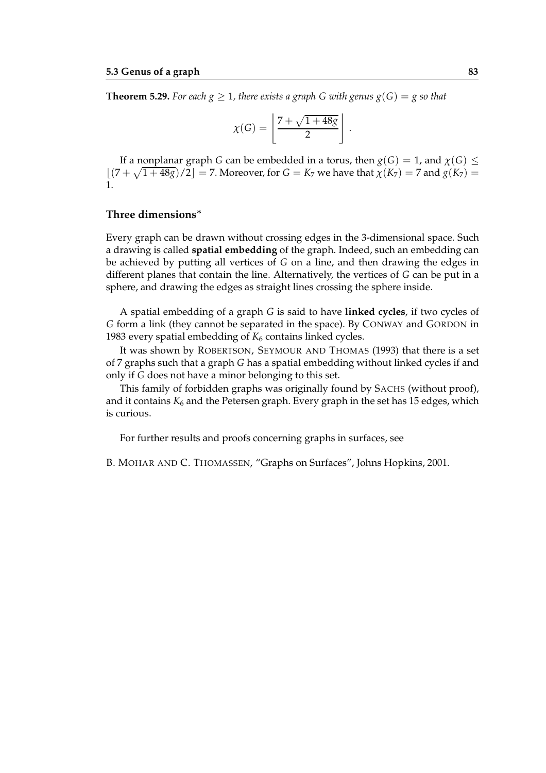**Theorem 5.29.** For each  $g \geq 1$ , there exists a graph G with genus  $g(G) = g$  so that

$$
\chi(G) = \left\lfloor \frac{7 + \sqrt{1 + 48g}}{2} \right\rfloor.
$$

If a nonplanar graph *G* can be embedded in a torus, then  $g(G) = 1$ , and  $\chi(G)$  <  $\lfloor (7 + \sqrt{1 + 48g})/2 \rfloor = 7$ . Moreover, for  $G = K_7$  we have that  $\chi(K_7) = 7$  and  $g(K_7) = 7$ 1.

#### **Three dimensions**<sup>∗</sup>

Every graph can be drawn without crossing edges in the 3-dimensional space. Such a drawing is called **spatial embedding** of the graph. Indeed, such an embedding can be achieved by putting all vertices of *G* on a line, and then drawing the edges in different planes that contain the line. Alternatively, the vertices of *G* can be put in a sphere, and drawing the edges as straight lines crossing the sphere inside.

A spatial embedding of a graph *G* is said to have **linked cycles**, if two cycles of *G* form a link (they cannot be separated in the space). By CONWAY and GORDON in 1983 every spatial embedding of  $K_6$  contains linked cycles.

It was shown by ROBERTSON, SEYMOUR AND THOMAS (1993) that there is a set of 7 graphs such that a graph *G* has a spatial embedding without linked cycles if and only if *G* does not have a minor belonging to this set.

This family of forbidden graphs was originally found by SACHS (without proof), and it contains  $K_6$  and the Petersen graph. Every graph in the set has 15 edges, which is curious.

For further results and proofs concerning graphs in surfaces, see

B. MOHAR AND C. THOMASSEN, "Graphs on Surfaces", Johns Hopkins, 2001.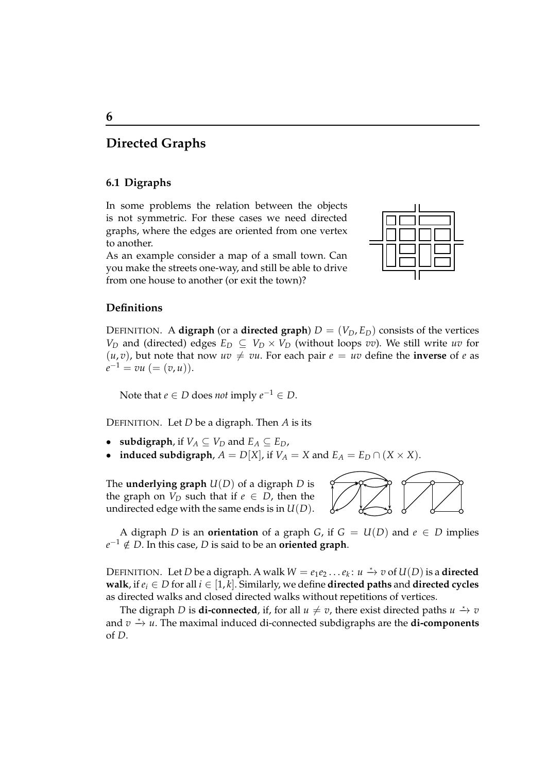# **Directed Graphs**

## **6.1 Digraphs**

In some problems the relation between the objects is not symmetric. For these cases we need directed graphs, where the edges are oriented from one vertex to another.

As an example consider a map of a small town. Can you make the streets one-way, and still be able to drive from one house to another (or exit the town)?



### **Definitions**

DEFINITION. A **digraph** (or a **directed graph**)  $D = (V_D, E_D)$  consists of the vertices *V*<sup>D</sup> and (directed) edges  $E_D \subseteq V_D \times V_D$  (without loops *vv*). We still write *uv* for  $(u, v)$ , but note that now  $uv \neq vu$ . For each pair  $e = uv$  define the **inverse** of *e* as  $e^{-1} = vu (= (v, u)).$ 

Note that  $e \in D$  does *not* imply  $e^{-1} \in D$ .

DEFINITION. Let *D* be a digraph. Then *A* is its

- **subdigraph**, if  $V_A \subseteq V_D$  and  $E_A \subseteq E_D$ ,
- **induced subdigraph**,  $A = D[X]$ , if  $V_A = X$  and  $E_A = E_D \cap (X \times X)$ .

The **underlying graph**  $U(D)$  of a digraph *D* is the graph on  $V_D$  such that if  $e \in D$ , then the undirected edge with the same ends is in *U*(*D*).



A digraph *D* is an **orientation** of a graph *G*, if  $G = U(D)$  and  $e \in D$  implies *e*<sup>−1</sup> ∉ *D*. In this case, *D* is said to be an **oriented graph**.

DEFINITION. Let *D* be a digraph. A walk  $W = e_1e_2 \ldots e_k$ :  $u \stackrel{*}{\to} v$  of  $U(D)$  is a **directed walk**, if  $e_i \in D$  for all  $i \in [1, k]$ . Similarly, we define **directed paths** and **directed cycles** as directed walks and closed directed walks without repetitions of vertices.

The digraph *D* is **di-connected**, if, for all  $u \neq v$ , there exist directed paths  $u \stackrel{*}{\rightarrow} v$ and *v* <sup>⋆</sup>−→ *u*. The maximal induced di-connected subdigraphs are the **di-components** of *D*.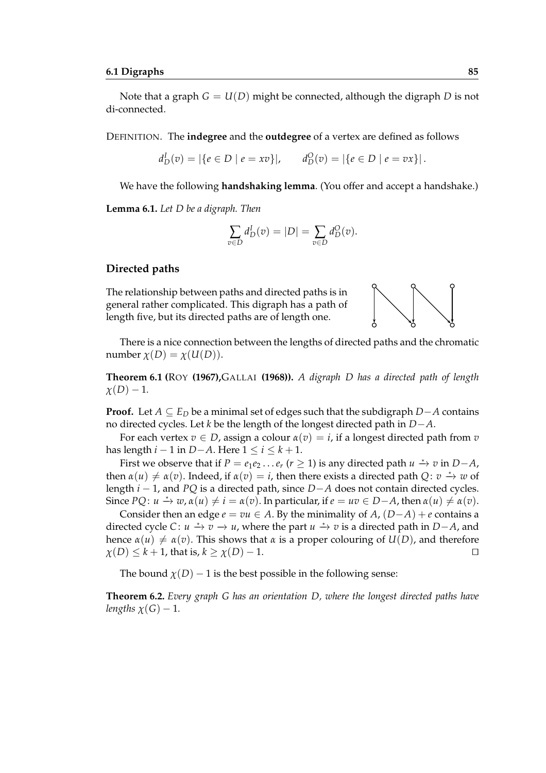Note that a graph  $G = U(D)$  might be connected, although the digraph *D* is not di-connected.

DEFINITION. The **indegree** and the **outdegree** of a vertex are defined as follows

 $d_D^I(v) = |\{e \in D \mid e = xv\}|,$   $d_D^O(v) = |\{e \in D \mid e = vx\}|.$ 

We have the following **handshaking lemma**. (You offer and accept a handshake.)

**Lemma 6.1.** *Let D be a digraph. Then*

$$
\sum_{v \in D} d_D^I(v) = |D| = \sum_{v \in D} d_D^O(v).
$$

#### **Directed paths**

The relationship between paths and directed paths is in general rather complicated. This digraph has a path of length five, but its directed paths are of length one.



There is a nice connection between the lengths of directed paths and the chromatic number  $\chi(D) = \chi(U(D)).$ 

**Theorem 6.1 (**ROY **(1967),**GALLAI **(1968)).** *A digraph D has a directed path of length*  $\chi(D) - 1$ .

**Proof.** Let *A* ⊆ *E<sup>D</sup>* be a minimal set of edges such that the subdigraph *D*−*A* contains no directed cycles. Let *k* be the length of the longest directed path in *D*−*A*.

For each vertex  $v \in D$ , assign a colour  $\alpha(v) = i$ , if a longest directed path from  $v$ has length *i* − 1 in *D*−*A*. Here  $1 \le i \le k + 1$ .

First we observe that if  $P = e_1e_2 \ldots e_r$  ( $r \ge 1$ ) is any directed path  $u \stackrel{*}{\rightarrow} v$  in  $D-A$ , then  $\alpha(u) \neq \alpha(v)$ . Indeed, if  $\alpha(v) = i$ , then there exists a directed path  $Q: v \stackrel{*}{\rightarrow} w$  of length *i* − 1, and *PQ* is a directed path, since *D*−*A* does not contain directed cycles. Since  $PQ: u \to w$ ,  $\alpha(u) \neq i = \alpha(v)$ . In particular, if  $e = uv \in D-A$ , then  $\alpha(u) \neq \alpha(v)$ .

Consider then an edge  $e = vu \in A$ . By the minimality of  $A$ ,  $(D-A) + e$  contains a directed cycle *C*: *u*  $\stackrel{*}{\to} v \to u$ , where the part *u*  $\stackrel{*}{\to} v$  is a directed path in *D*−*A*, and hence  $\alpha(u) \neq \alpha(v)$ . This shows that  $\alpha$  is a proper colouring of  $U(D)$ , and therefore  $\chi(D) \leq k + 1$ , that is,  $k \geq \chi(D) - 1$ . □

The bound  $\chi(D) - 1$  is the best possible in the following sense:

**Theorem 6.2.** *Every graph G has an orientation D, where the longest directed paths have lengths*  $\chi(G) - 1$ *.*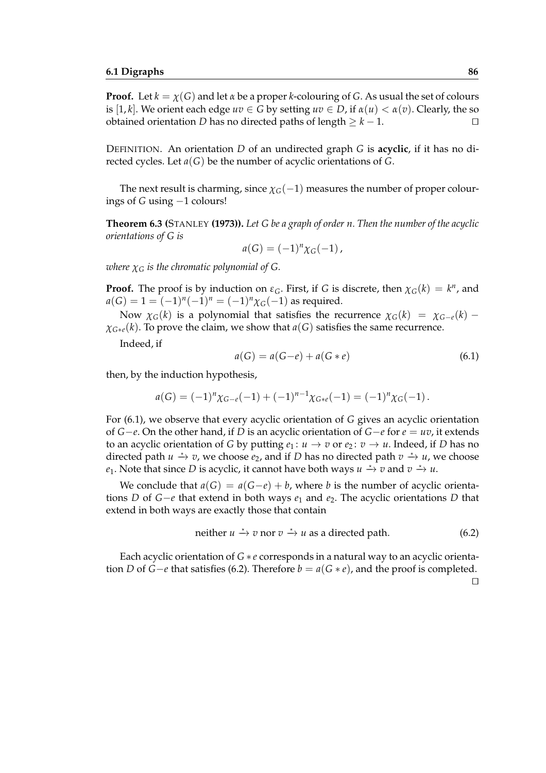**Proof.** Let  $k = \chi(G)$  and let  $\alpha$  be a proper  $k$ -colouring of *G*. As usual the set of colours is [1, *k*]. We orient each edge  $uv \in G$  by setting  $uv \in D$ , if  $\alpha(u) < \alpha(v)$ . Clearly, the so obtained orientation *D* has no directed paths of length  $\geq k - 1$ . □

DEFINITION. An orientation *D* of an undirected graph *G* is **acyclic**, if it has no directed cycles. Let *a*(*G*) be the number of acyclic orientations of *G*.

The next result is charming, since  $\chi$ <sup>*G*(−1)</sup> measures the number of proper colourings of *G* using −1 colours!

**Theorem 6.3 (**STANLEY **(1973)).** *Let G be a graph of order n. Then the number of the acyclic orientations of G is*

$$
a(G) = (-1)^n \chi_G(-1)
$$

*where*  $\chi_G$  *is the chromatic polynomial of G.* 

**Proof.** The proof is by induction on  $\varepsilon_G$ . First, if *G* is discrete, then  $\chi_G(k) = k^n$ , and  $a(G) = 1 = (-1)^n (-1)^n = (-1)^n \chi_G(-1)$  as required.

Now  $\chi_G(k)$  is a polynomial that satisfies the recurrence  $\chi_G(k) = \chi_{G-e}(k)$  –  $\chi_{G*e}(k)$ . To prove the claim, we show that  $a(G)$  satisfies the same recurrence.

Indeed, if

$$
a(G) = a(G-e) + a(G*e)
$$
\n
$$
(6.1)
$$

then, by the induction hypothesis,

$$
a(G) = (-1)^n \chi_{G-e}(-1) + (-1)^{n-1} \chi_{G*e}(-1) = (-1)^n \chi_G(-1).
$$

For (6.1), we observe that every acyclic orientation of *G* gives an acyclic orientation of *G*−*e*. On the other hand, if *D* is an acyclic orientation of *G*−*e* for *e* = *uv*, it extends to an acyclic orientation of *G* by putting  $e_1: u \to v$  or  $e_2: v \to u$ . Indeed, if *D* has no directed path *u*  $\stackrel{*}{\rightarrow} v$ , we choose *e*<sub>2</sub>, and if *D* has no directed path  $v \stackrel{*}{\rightarrow} u$ , we choose *e*<sub>1</sub>. Note that since *D* is acyclic, it cannot have both ways  $u \stackrel{\star}{\to} v$  and  $v \stackrel{\star}{\to} u$ .

We conclude that  $a(G) = a(G-e) + b$ , where *b* is the number of acyclic orientations *D* of *G*−*e* that extend in both ways *e*<sup>1</sup> and *e*2. The acyclic orientations *D* that extend in both ways are exactly those that contain

neither 
$$
u \stackrel{*}{\rightarrow} v
$$
 nor  $v \stackrel{*}{\rightarrow} u$  as a directed path. (6.2)

Each acyclic orientation of *G* ∗ *e* corresponds in a natural way to an acyclic orientation *D* of *G*−*e* that satisfies (6.2). Therefore  $b = a(G * e)$ , and the proof is completed.

⊓⊔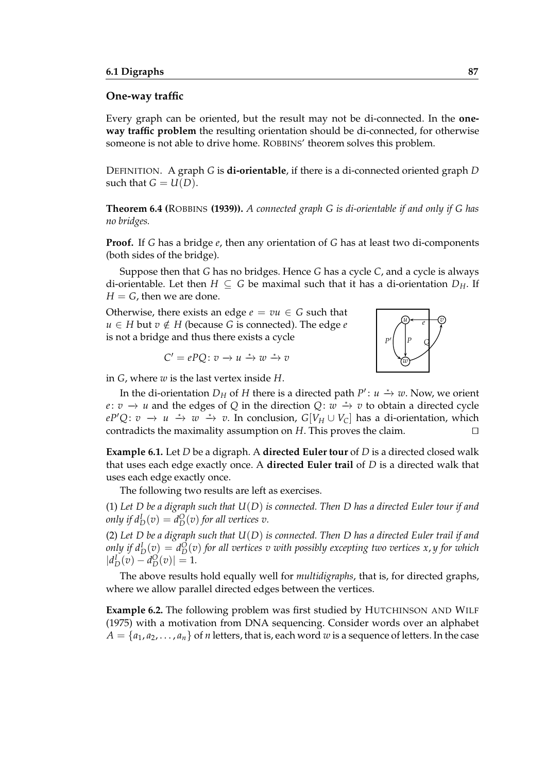## **One-way traffic**

Every graph can be oriented, but the result may not be di-connected. In the **oneway traffic problem** the resulting orientation should be di-connected, for otherwise someone is not able to drive home. ROBBINS' theorem solves this problem.

DEFINITION. A graph *G* is **di-orientable**, if there is a di-connected oriented graph *D* such that  $G = U(D)$ .

**Theorem 6.4 (**ROBBINS **(1939)).** *A connected graph G is di-orientable if and only if G has no bridges.*

**Proof.** If *G* has a bridge *e*, then any orientation of *G* has at least two di-components (both sides of the bridge).

Suppose then that *G* has no bridges. Hence *G* has a cycle *C*, and a cycle is always di-orientable. Let then  $H \subseteq G$  be maximal such that it has a di-orientation  $D_H$ . If  $H = G$ , then we are done.

Otherwise, there exists an edge  $e = vu \in G$  such that *u* ∈ *H* but *v* ∉ *H* (because *G* is connected). The edge *e* is not a bridge and thus there exists a cycle

$$
C' = ePQ \colon v \to u \xrightarrow{\star} w \xrightarrow{\star} v
$$

in *G*, where *w* is the last vertex inside *H*.

In the di-orientation  $D_H$  of  $H$  there is a directed path  $P'$ :  $u \stackrel{*}{\rightarrow} w$ . Now, we orient *e*:  $v \rightarrow u$  and the edges of *Q* in the direction *Q*:  $\overline{w} \stackrel{*}{\rightarrow} v$  to obtain a directed cycle *eP*<sup>*'*</sup>Q: *v* → *u*  $\stackrel{*}{\rightarrow}$  *w*  $\stackrel{*}{\rightarrow}$  *v*. In conclusion, *G*[*V<sub>H</sub>* ∪ *V<sub>C</sub>*] has a di-orientation, which contradicts the maximality assumption on *H*. This proves the claim. ⊓⊔

**Example 6.1.** Let *D* be a digraph. A **directed Euler tour** of *D* is a directed closed walk that uses each edge exactly once. A **directed Euler trail** of *D* is a directed walk that uses each edge exactly once.

The following two results are left as exercises.

(1) *Let D be a digraph such that U*(*D*) *is connected. Then D has a directed Euler tour if and only if*  $d_D^I(v) = d_D^O(v)$  *for all vertices v.* 

(2) *Let D be a digraph such that U*(*D*) *is connected. Then D has a directed Euler trail if and only if*  $d_D^I(v) = d_D^O(v)$  *for all vertices*  $v$  *with possibly excepting two vertices*  $x, y$  *for which*  $|d_D^I(v) - d_D^O(v)| = 1.$ 

The above results hold equally well for *multidigraphs*, that is, for directed graphs, where we allow parallel directed edges between the vertices.

**Example 6.2.** The following problem was first studied by HUTCHINSON AND WILF (1975) with a motivation from DNA sequencing. Consider words over an alphabet  $A = \{a_1, a_2, \ldots, a_n\}$  of *n* letters, that is, each word *w* is a sequence of letters. In the case

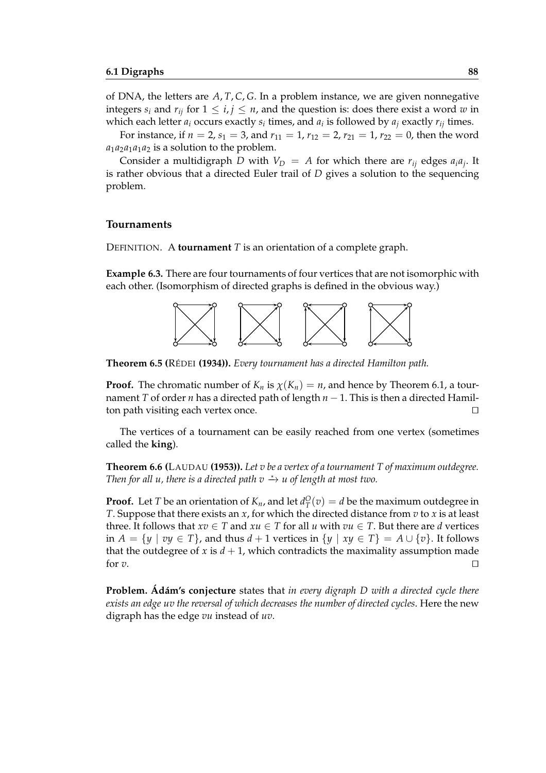of DNA, the letters are *A*, *T*, *C*, *G*. In a problem instance, we are given nonnegative integers  $s_i$  and  $r_{ii}$  for  $1 \le i, j \le n$ , and the question is: does there exist a word *w* in which each letter  $a_i$  occurs exactly  $s_i$  times, and  $a_i$  is followed by  $a_j$  exactly  $r_{ij}$  times.

For instance, if  $n = 2$ ,  $s_1 = 3$ , and  $r_{11} = 1$ ,  $r_{12} = 2$ ,  $r_{21} = 1$ ,  $r_{22} = 0$ , then the word  $a_1a_2a_1a_1a_2$  is a solution to the problem.

Consider a multidigraph *D* with  $V_D = A$  for which there are  $r_{ij}$  edges  $a_i a_j$ . It is rather obvious that a directed Euler trail of *D* gives a solution to the sequencing problem.

#### **Tournaments**

DEFINITION. A **tournament** *T* is an orientation of a complete graph.

**Example 6.3.** There are four tournaments of four vertices that are not isomorphic with each other. (Isomorphism of directed graphs is defined in the obvious way.)



**Theorem 6.5 (**RÉDEI **(1934)).** *Every tournament has a directed Hamilton path.*

**Proof.** The chromatic number of  $K_n$  is  $\chi(K_n) = n$ , and hence by Theorem 6.1, a tournament *T* of order *n* has a directed path of length *n* − 1. This is then a directed Hamilton path visiting each vertex once. □

The vertices of a tournament can be easily reached from one vertex (sometimes called the **king**).

**Theorem 6.6 (**LAUDAU **(1953)).** *Let v be a vertex of a tournament T of maximum outdegree. Then for all u, there is a directed path v*  $\rightarrow$  *u of length at most two.* 

**Proof.** Let *T* be an orientation of  $K_n$ , and let  $d_T^O(v) = d$  be the maximum outdegree in *T*. Suppose that there exists an *x*, for which the directed distance from *v* to *x* is at least three. It follows that  $xv \in T$  and  $xu \in T$  for all  $u$  with  $vu \in T$ . But there are  $d$  vertices in *A* = {*y* | *vy* ∈ *T*}, and thus *d* + 1 vertices in {*y* | *xy* ∈ *T*} = *A* ∪ {*v*}. It follows that the outdegree of *x* is  $d + 1$ , which contradicts the maximality assumption made for *v*.  $□$ 

**Problem. Ádám's conjecture** states that *in every digraph D with a directed cycle there exists an edge uv the reversal of which decreases the number of directed cycles*. Here the new digraph has the edge *vu* instead of *uv*.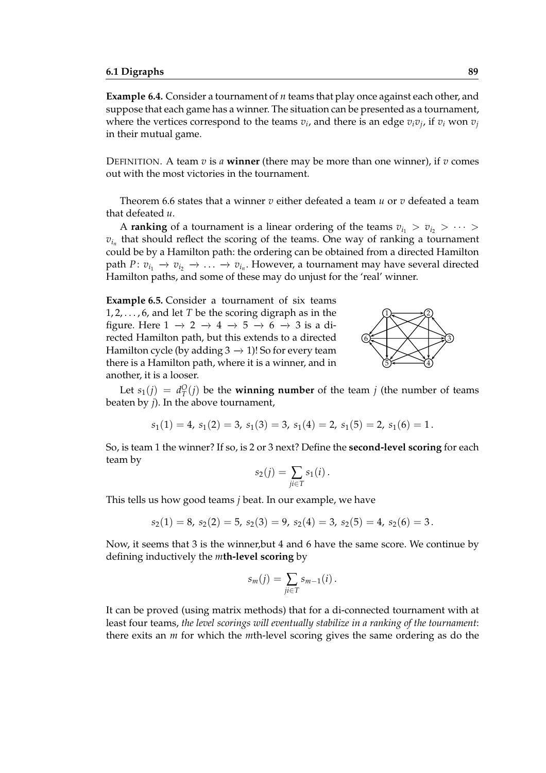#### **6.1 Digraphs 89**

**Example 6.4.** Consider a tournament of *n* teams that play once against each other, and suppose that each game has a winner. The situation can be presented as a tournament, where the vertices correspond to the teams  $v_i$ , and there is an edge  $v_i v_j$ , if  $v_i$  won  $v_j$ in their mutual game.

DEFINITION. A team  $v$  is  $a$  **winner** (there may be more than one winner), if  $v$  comes out with the most victories in the tournament.

Theorem 6.6 states that a winner *v* either defeated a team *u* or *v* defeated a team that defeated *u*.

A **ranking** of a tournament is a linear ordering of the teams  $v_{i_1} > v_{i_2} > \cdots >$  $v_{i_n}$  that should reflect the scoring of the teams. One way of ranking a tournament could be by a Hamilton path: the ordering can be obtained from a directed Hamilton path  $P: v_{i_1} \to v_{i_2} \to \ldots \to v_{i_n}$ . However, a tournament may have several directed Hamilton paths, and some of these may do unjust for the 'real' winner.

**Example 6.5.** Consider a tournament of six teams 1, 2, . . . , 6, and let *T* be the scoring digraph as in the figure. Here  $1 \rightarrow 2 \rightarrow 4 \rightarrow 5 \rightarrow 6 \rightarrow 3$  is a directed Hamilton path, but this extends to a directed Hamilton cycle (by adding  $3 \rightarrow 1$ )! So for every team there is a Hamilton path, where it is a winner, and in another, it is a looser.



Let  $s_1(j) = d_T^O(j)$  be the **winning number** of the team *j* (the number of teams beaten by *j*). In the above tournament,

$$
s_1(1) = 4, s_1(2) = 3, s_1(3) = 3, s_1(4) = 2, s_1(5) = 2, s_1(6) = 1.
$$

So, is team 1 the winner? If so, is 2 or 3 next? Define the **second-level scoring** for each team by

$$
s_2(j) = \sum_{ji \in T} s_1(i).
$$

This tells us how good teams *j* beat. In our example, we have

$$
s_2(1) = 8, s_2(2) = 5, s_2(3) = 9, s_2(4) = 3, s_2(5) = 4, s_2(6) = 3.
$$

Now, it seems that 3 is the winner,but 4 and 6 have the same score. We continue by defining inductively the *m***th-level scoring** by

$$
s_m(j) = \sum_{ji \in T} s_{m-1}(i).
$$

It can be proved (using matrix methods) that for a di-connected tournament with at least four teams, *the level scorings will eventually stabilize in a ranking of the tournament*: there exits an *m* for which the *m*th-level scoring gives the same ordering as do the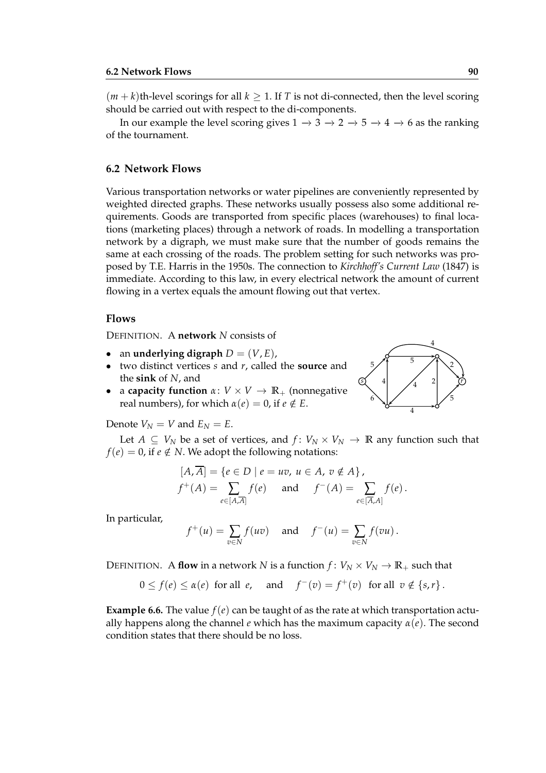$(m + k)$ th-level scorings for all  $k > 1$ . If T is not di-connected, then the level scoring should be carried out with respect to the di-components.

In our example the level scoring gives  $1 \rightarrow 3 \rightarrow 2 \rightarrow 5 \rightarrow 4 \rightarrow 6$  as the ranking of the tournament.

# **6.2 Network Flows**

Various transportation networks or water pipelines are conveniently represented by weighted directed graphs. These networks usually possess also some additional requirements. Goods are transported from specific places (warehouses) to final locations (marketing places) through a network of roads. In modelling a transportation network by a digraph, we must make sure that the number of goods remains the same at each crossing of the roads. The problem setting for such networks was proposed by T.E. Harris in the 1950s. The connection to *Kirchhoff's Current Law* (1847) is immediate. According to this law, in every electrical network the amount of current flowing in a vertex equals the amount flowing out that vertex.

#### **Flows**

DEFINITION. A **network** *N* consists of

- an **underlying digraph**  $D = (V, E)$ ,
- two distinct vertices *s* and *r*, called the **source** and the **sink** of *N*, and
- a **capacity function**  $\alpha: V \times V \to \mathbb{R}_+$  (nonnegative real numbers), for which  $\alpha(e) = 0$ , if  $e \notin E$ .



Denote  $V_N = V$  and  $E_N = E$ .

Let  $A \subseteq V_N$  be a set of vertices, and  $f: V_N \times V_N \to \mathbb{R}$  any function such that  $f(e) = 0$ , if  $e \notin N$ . We adopt the following notations:

$$
[A, A] = \{e \in D \mid e = uv, u \in A, v \notin A\},\
$$
  

$$
f^+(A) = \sum_{e \in [A, \overline{A}]} f(e) \quad \text{and} \quad f^-(A) = \sum_{e \in [\overline{A}, A]} f(e).
$$

In particular,

$$
f^+(u) = \sum_{v \in N} f(uv) \quad \text{and} \quad f^-(u) = \sum_{v \in N} f(vu).
$$

DEFINITION. A **flow** in a network *N* is a function  $f: V_N \times V_N \to \mathbb{R}_+$  such that

$$
0 \le f(e) \le \alpha(e) \text{ for all } e, \text{ and } f^-(v) = f^+(v) \text{ for all } v \notin \{s, r\}.
$$

**Example 6.6.** The value  $f(e)$  can be taught of as the rate at which transportation actually happens along the channel *e* which has the maximum capacity *α*(*e*). The second condition states that there should be no loss.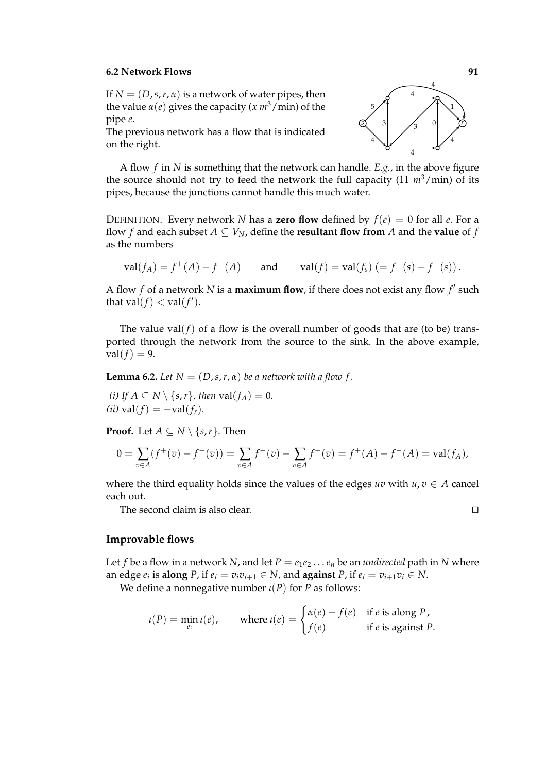If  $N = (D, s, r, \alpha)$  is a network of water pipes, then the value  $\alpha(e)$  gives the capacity ( $x \frac{m^3}{\min}$ ) of the pipe *e*.

The previous network has a flow that is indicated on the right.



A flow *f* in *N* is something that the network can handle. *E.g.*, in the above figure the source should not try to feed the network the full capacity  $(11 \, m^3/\text{min})$  of its pipes, because the junctions cannot handle this much water.

DEFINITION. Every network *N* has a **zero flow** defined by  $f(e) = 0$  for all *e*. For a flow *f* and each subset  $A \subseteq V_N$ , define the **resultant flow from** *A* and the **value** of *f* as the numbers

$$
val(f_A) = f^+(A) - f^-(A)
$$
 and  $val(f) = val(f_s) (f^+(s) - f^-(s)).$ 

A flow *f* of a network *N* is a **maximum flow**, if there does not exist any flow *f* ′ such that  $val(f) < val(f')$ .

The value val( $f$ ) of a flow is the overall number of goods that are (to be) transported through the network from the source to the sink. In the above example,  $val(f) = 9.$ 

**Lemma 6.2.** *Let*  $N = (D, s, r, \alpha)$  *be a network with a flow f.* 

*(i)* If  $A \subseteq N \setminus \{s, r\}$ , then  $val(f_A) = 0$ .  $(iii)$  val $(f) = -\text{val}(f_r)$ .

**Proof.** Let  $A \subseteq N \setminus \{s, r\}$ . Then

$$
0 = \sum_{v \in A} (f^+(v) - f^-(v)) = \sum_{v \in A} f^+(v) - \sum_{v \in A} f^-(v) = f^+(A) - f^-(A) = \text{val}(f_A),
$$

where the third equality holds since the values of the edges  $uv$  with  $u, v \in A$  cancel each out.

The second claim is also clear. ⊓⊔

## **Improvable flows**

Let *f* be a flow in a network *N*, and let  $P = e_1e_2 \dots e_n$  be an *undirected* path in *N* where an edge  $e_i$  is along P, if  $e_i = v_i v_{i+1} \in N$ , and against P, if  $e_i = v_{i+1} v_i \in N$ .

We define a nonnegative number *ι*(*P*) for *P* as follows:

$$
u(P) = \min_{e_i} u(e), \quad \text{where } u(e) = \begin{cases} \alpha(e) - f(e) & \text{if } e \text{ is along } P, \\ f(e) & \text{if } e \text{ is against } P. \end{cases}
$$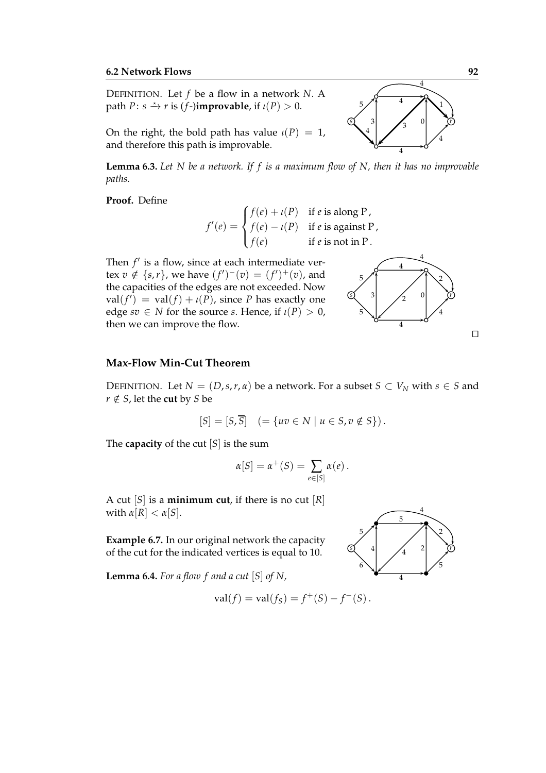DEFINITION. Let *f* be a flow in a network *N*. A path  $P: s \stackrel{*}{\to} r$  is  $(f$ -)**improvable**, if  $\iota(P) > 0$ .

On the right, the bold path has value  $\iota(P) = 1$ , and therefore this path is improvable.

**Lemma 6.3.** *Let N be a network. If f is a maximum flow of N, then it has no improvable paths.*

**Proof.** Define

$$
f'(e) = \begin{cases} f(e) + \iota(P) & \text{if } e \text{ is along } P, \\ f(e) - \iota(P) & \text{if } e \text{ is against } P, \\ f(e) & \text{if } e \text{ is not in } P. \end{cases}
$$

Then  $f'$  is a flow, since at each intermediate vertex  $v \notin \{s, r\}$ , we have  $(f')^{-}(v) = (f')^{+}(v)$ , and the capacities of the edges are not exceeded. Now  $val(f') = val(f) + \iota(P)$ , since *P* has exactly one edge  $sv \in N$  for the source *s*. Hence, if  $\iota(P) > 0$ , then we can improve the flow.

#### *s r* 5 3 4 4  $\mathbf{0}$ 4 4 5 2 2

#### **Max-Flow Min-Cut Theorem**

DEFINITION. Let  $N = (D, s, r, \alpha)$  be a network. For a subset  $S \subset V_N$  with  $s \in S$  and  $r \notin S$ , let the **cut** by *S* be

$$
[S] = [S, \overline{S}] \quad ( = \{ uv \in N \mid u \in S, v \notin S \}).
$$

The **capacity** of the cut [*S*] is the sum

$$
\alpha[S] = \alpha^+(S) = \sum_{e \in [S]} \alpha(e).
$$

A cut [*S*] is a **minimum cut**, if there is no cut [*R*] with  $\alpha[R] < \alpha[S]$ .

**Example 6.7.** In our original network the capacity of the cut for the indicated vertices is equal to 10.

**Lemma 6.4.** *For a flow f and a cut* [*S*] *of N,*

$$
val(f) = val(f_S) = f^+(S) - f^-(S).
$$





*s r*

3

 $\boldsymbol{0}$ 

4

4

1

4

4

5

3

4

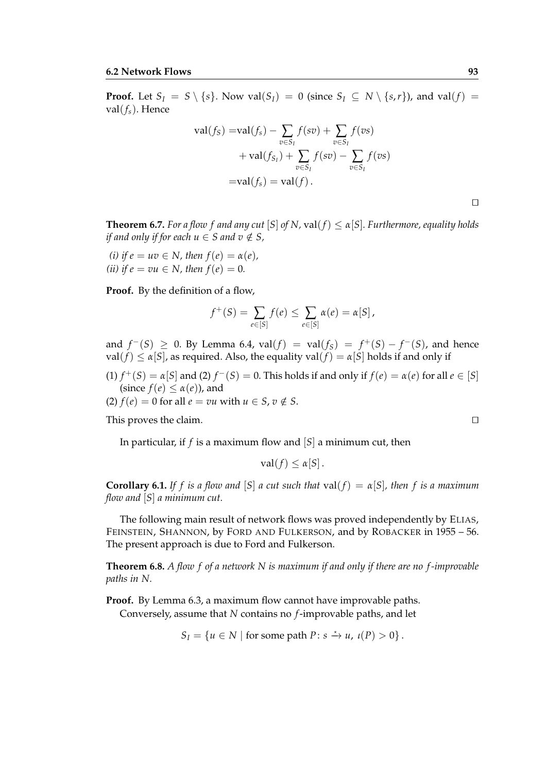**Proof.** Let  $S_I = S \setminus \{s\}$ . Now val $(S_I) = 0$  (since  $S_I \subseteq N \setminus \{s, r\}$ ), and val $(f) =$ val(*fs*). Hence

$$
\operatorname{val}(f_S) = \operatorname{val}(f_s) - \sum_{v \in S_I} f(sv) + \sum_{v \in S_I} f(vs)
$$
  
+ 
$$
\operatorname{val}(f_{S_I}) + \sum_{v \in S_I} f(sv) - \sum_{v \in S_I} f(vs)
$$
  
= 
$$
\operatorname{val}(f_s) = \operatorname{val}(f).
$$

**Theorem 6.7.** *For a flow f and any cut* [*S*] *of N*, val(*f*)  $\leq \alpha$ [*S*]*. Furthermore, equality holds if and only if for each*  $u \in S$  *and*  $v \notin S$ *,* 

*(i)* if  $e = uv \in N$ , then  $f(e) = \alpha(e)$ , *(ii) if*  $e = vu \in N$ *, then*  $f(e) = 0$ *.* 

**Proof.** By the definition of a flow,

$$
f^+(S) = \sum_{e \in [S]} f(e) \leq \sum_{e \in [S]} \alpha(e) = \alpha[S],
$$

and  $f^{-}(S)$  ≥ 0. By Lemma 6.4, val( $f$ ) = val( $f_S$ ) =  $f^{+}(S) - f^{-}(S)$ , and hence  $val(f) \le \alpha[S]$ , as required. Also, the equality val $(f) = \alpha[S]$  holds if and only if

- $(1) f^{+}(S) = \alpha[S]$  and  $(2) f^{-}(S) = 0$ . This holds if and only if  $f(e) = \alpha(e)$  for all  $e \in [S]$ (since  $f(e) \leq \alpha(e)$ ), and
- (2)  $f(e) = 0$  for all  $e = vu$  with  $u \in S$ ,  $v \notin S$ .

This proves the claim. □

In particular, if *f* is a maximum flow and [*S*] a minimum cut, then

$$
\mathrm{val}(f) \leq \alpha[S].
$$

**Corollary 6.1.** *If f is a flow and* [*S*] *a cut such that*  $val(f) = \alpha |S|$ *, then f is a maximum flow and* [*S*] *a minimum cut.*

The following main result of network flows was proved independently by ELIAS, FEINSTEIN, SHANNON, by FORD AND FULKERSON, and by ROBACKER in 1955 – 56. The present approach is due to Ford and Fulkerson.

**Theorem 6.8.** *A flow f of a network N is maximum if and only if there are no f -improvable paths in N.*

**Proof.** By Lemma 6.3, a maximum flow cannot have improvable paths. Conversely, assume that *N* contains no *f*-improvable paths, and let

 $S_I = \{u \in N \mid \text{for some path } P : s \stackrel{*}{\to} u, \ i(P) > 0\}.$ 

⊓⊔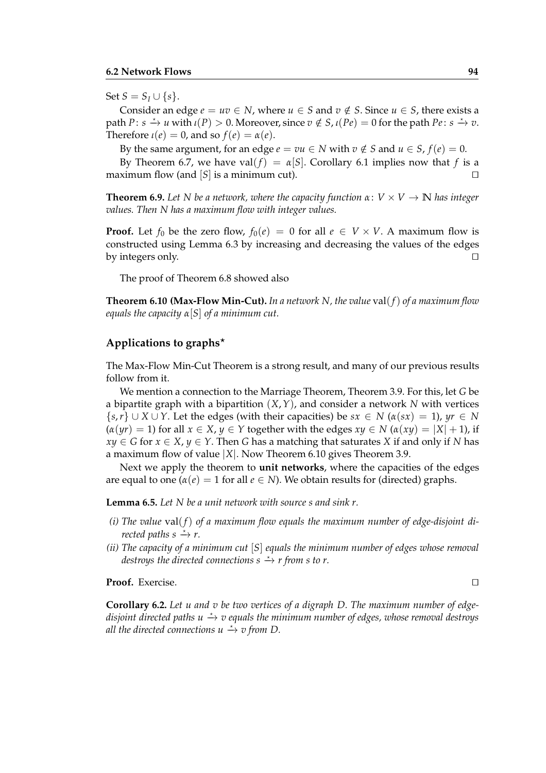$Set S = S_I \cup \{s\}.$ 

Consider an edge  $e = uv \in N$ , where  $u \in S$  and  $v \notin S$ . Since  $u \in S$ , there exists a path *P*:  $s \stackrel{*}{\to} u$  with  $\iota(P) > 0$ . Moreover, since  $v \notin S$ ,  $\iota(Pe) = 0$  for the path  $Pe: s \stackrel{*}{\to} v$ . Therefore  $\iota(e) = 0$ , and so  $f(e) = \alpha(e)$ .

By the same argument, for an edge  $e = vu \in N$  with  $v \notin S$  and  $u \in S$ ,  $f(e) = 0$ .

By Theorem 6.7, we have val $(f) = \alpha[S]$ . Corollary 6.1 implies now that f is a maximum flow (and  $[S]$  is a minimum cut).

**Theorem 6.9.** Let N be a network, where the capacity function  $\alpha: V \times V \to \mathbb{N}$  has integer *values. Then N has a maximum flow with integer values.*

**Proof.** Let  $f_0$  be the zero flow,  $f_0(e) = 0$  for all  $e \in V \times V$ . A maximum flow is constructed using Lemma 6.3 by increasing and decreasing the values of the edges by integers only. ⊓⊔

The proof of Theorem 6.8 showed also

**Theorem 6.10 (Max-Flow Min-Cut).** *In a network N, the value* val(*f*) *of a maximum flow equals the capacity α*[*S*] *of a minimum cut.*

#### **Applications to graphs**<sup>⋆</sup>

The Max-Flow Min-Cut Theorem is a strong result, and many of our previous results follow from it.

We mention a connection to the Marriage Theorem, Theorem 3.9. For this, let *G* be a bipartite graph with a bipartition (*X*,*Y*), and consider a network *N* with vertices {*s*,*r*} ∪ *X* ∪ *Y*. Let the edges (with their capacities) be *sx* ∈ *N* (*α*(*sx*) = 1), *yr* ∈ *N*  $(\alpha(\gamma r) = 1)$  for all  $x \in X, y \in Y$  together with the edges  $xy \in N$  ( $\alpha(xy) = |X| + 1$ ), if  $x\psi \in G$  for  $x \in X$ ,  $\psi \in Y$ . Then *G* has a matching that saturates *X* if and only if *N* has a maximum flow of value |*X*|. Now Theorem 6.10 gives Theorem 3.9.

Next we apply the theorem to **unit networks**, where the capacities of the edges are equal to one  $(\alpha(e) = 1$  for all  $e \in N$ ). We obtain results for (directed) graphs.

**Lemma 6.5.** *Let N be a unit network with source s and sink r.*

- *(i) The value* val(*f*) *of a maximum flow equals the maximum number of edge-disjoint directed paths s*  $\stackrel{*}{\rightarrow} r$ .
- *(ii) The capacity of a minimum cut* [*S*] *equals the minimum number of edges whose removal destroys the directed connections s*  $\rightarrow$  *r from s to r.*

**Proof.** Exercise. ⊓⊔

**Corollary 6.2.** *Let u and v be two vertices of a digraph D. The maximum number of edgedisjoint directed paths u*  $\rightarrow \infty$  *equals the minimum number of edges, whose removal destroys all the directed connections u*  $\stackrel{\star}{\rightarrow} v$  *from D.*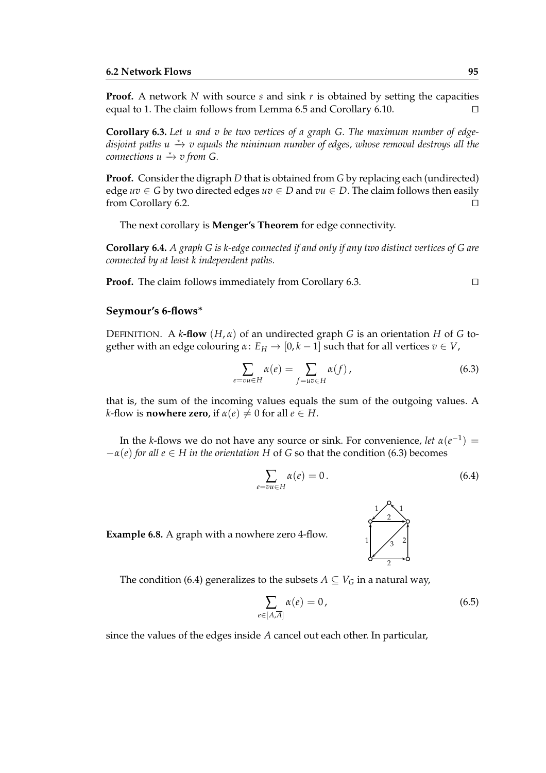**Proof.** A network *N* with source *s* and sink *r* is obtained by setting the capacities equal to 1. The claim follows from Lemma 6.5 and Corollary 6.10. ⊓⊔

**Corollary 6.3.** *Let u and v be two vertices of a graph G. The maximum number of edgedisioint paths u*  $\overset{\ast}{\rightarrow} v$  *equals the minimum number of edges, whose removal destroys all the connections u*  $\stackrel{\star}{\rightarrow} v$  *from G.* 

**Proof.** Consider the digraph *D* that is obtained from *G* by replacing each (undirected) edge  $uv \in G$  by two directed edges  $uv \in D$  and  $vu \in D$ . The claim follows then easily from Corollary 6.2. ⊓⊔

The next corollary is **Menger's Theorem** for edge connectivity.

**Corollary 6.4.** *A graph G is k-edge connected if and only if any two distinct vertices of G are connected by at least k independent paths.*

**Proof.** The claim follows immediately from Corollary 6.3. □

# **Seymour's 6-flows**<sup>∗</sup>

DEFINITION. A  $k$ **-flow**  $(H, \alpha)$  of an undirected graph *G* is an orientation *H* of *G* together with an edge colouring  $\alpha$ :  $E_H \rightarrow [0, k - 1]$  such that for all vertices  $v \in V$ ,

$$
\sum_{e=vu\in H}\alpha(e)=\sum_{f=uv\in H}\alpha(f),\qquad(6.3)
$$

that is, the sum of the incoming values equals the sum of the outgoing values. A *k*-flow is **nowhere zero**, if  $\alpha(e) \neq 0$  for all  $e \in H$ .

In the *k*-flows we do not have any source or sink. For convenience, *let*  $\alpha(e^{-1}) =$ −*α*(*e*) *for all e* ∈ *H in the orientation H* of *G* so that the condition (6.3) becomes

$$
\sum_{=vu\in H} \alpha(e) = 0.
$$
\n(6.4)

**Example 6.8.** A graph with a nowhere zero 4-flow.

The condition (6.4) generalizes to the subsets  $A \subseteq V_G$  in a natural way,

*e*=*vu*∈*H*

$$
\sum_{\substack{\epsilon \ [A,\overline{A}]}} \alpha(e) = 0,\tag{6.5}
$$

since the values of the edges inside *A* cancel out each other. In particular,

*e*∈[*A*,*A*]

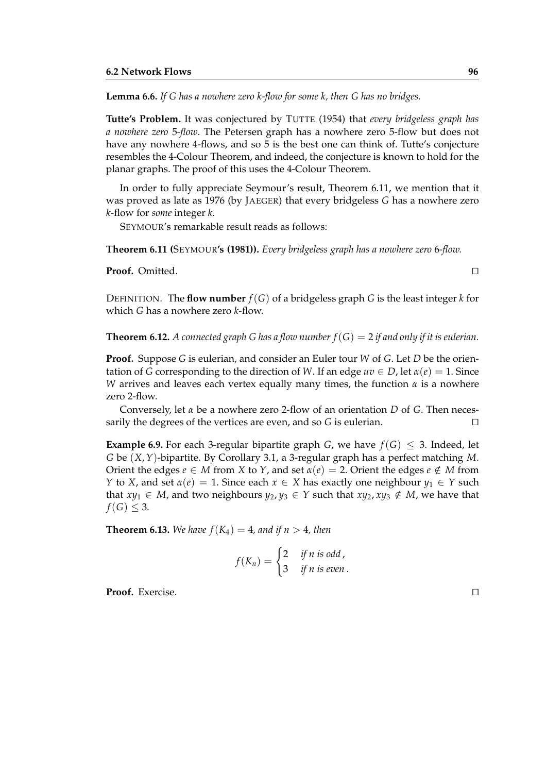**Lemma 6.6.** *If G has a nowhere zero k-flow for some k, then G has no bridges.*

**Tutte's Problem.** It was conjectured by TUTTE (1954) that *every bridgeless graph has a nowhere zero* 5*-flow*. The Petersen graph has a nowhere zero 5-flow but does not have any nowhere 4-flows, and so 5 is the best one can think of. Tutte's conjecture resembles the 4-Colour Theorem, and indeed, the conjecture is known to hold for the planar graphs. The proof of this uses the 4-Colour Theorem.

In order to fully appreciate Seymour's result, Theorem 6.11, we mention that it was proved as late as 1976 (by JAEGER) that every bridgeless *G* has a nowhere zero *k*-flow for *some* integer *k*.

SEYMOUR's remarkable result reads as follows:

**Theorem 6.11 (**SEYMOUR**'s (1981)).** *Every bridgeless graph has a nowhere zero* 6*-flow.*

**Proof.** Omitted. ⊓⊔

DEFINITION. The **flow number**  $f(G)$  of a bridgeless graph *G* is the least integer *k* for which *G* has a nowhere zero *k*-flow.

**Theorem 6.12.** *A connected graph G has a flow number*  $f(G) = 2$  *if and only if it is eulerian.* 

**Proof.** Suppose *G* is eulerian, and consider an Euler tour *W* of *G*. Let *D* be the orientation of *G* corresponding to the direction of *W*. If an edge  $uv \in D$ , let  $\alpha(e) = 1$ . Since *W* arrives and leaves each vertex equally many times, the function  $\alpha$  is a nowhere zero 2-flow.

Conversely, let *α* be a nowhere zero 2-flow of an orientation *D* of *G*. Then necessarily the degrees of the vertices are even, and so *G* is eulerian. ⊓⊔

**Example 6.9.** For each 3-regular bipartite graph *G*, we have  $f(G) \leq 3$ . Indeed, let *G* be (*X*,*Y*)-bipartite. By Corollary 3.1, a 3-regular graph has a perfect matching *M*. Orient the edges  $e \in M$  from *X* to *Y*, and set  $\alpha(e) = 2$ . Orient the edges  $e \notin M$  from *Y* to *X*, and set  $\alpha(e) = 1$ . Since each  $x \in X$  has exactly one neighbour  $y_1 \in Y$  such that *xy*<sub>1</sub> ∈ *M*, and two neighbours *y*<sub>2</sub>, *y*<sub>3</sub> ∈ *Y* such that *xy*<sub>2</sub>, *xy*<sub>3</sub> ∉ *M*, we have that  $f(G) \leq 3$ .

**Theorem 6.13.** We have  $f(K_4) = 4$ , and if  $n > 4$ , then

$$
f(K_n) = \begin{cases} 2 & \text{if } n \text{ is odd,} \\ 3 & \text{if } n \text{ is even.} \end{cases}
$$

**Proof.** Exercise. ⊓⊔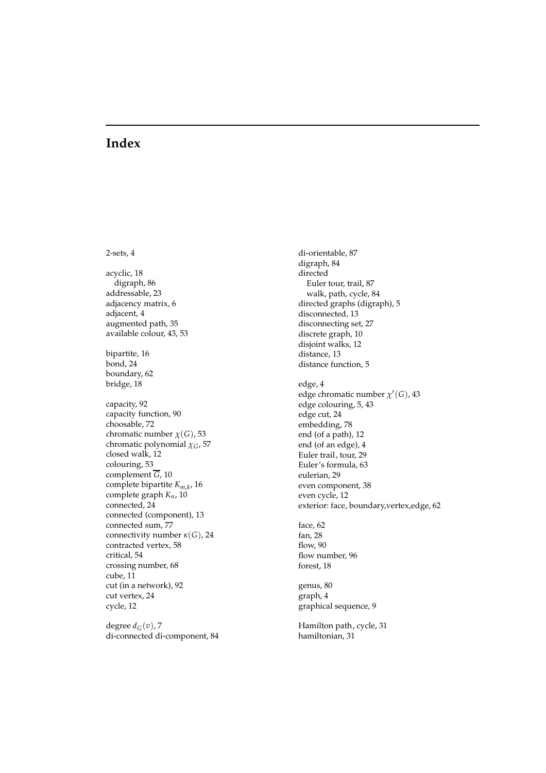# **Index**

2-sets, 4

acyclic, 18 digraph, 86 addressable, 23 adjacency matrix, 6 adjacent, 4 augmented path, 35 available colour, 43, 53 bipartite, 16 bond, 24 boundary, 62 bridge, 18 capacity, 92 capacity function, 90 choosable, 72 chromatic number *χ*(*G*), 53 chromatic polynomial *χG*, 57 closed walk, 12 colouring, 53 complement *G*, 10 complete bipartite *Km*,*<sup>k</sup>* , 16 complete graph *Kn*, 10 connected, 24 connected (component), 13 connected sum, 77 connectivity number *κ*(*G*), 24 contracted vertex, 58 critical, 54 crossing number, 68 cube, 11 cut (in a network), 92 cut vertex, 24 cycle, 12

degree  $d_G(v)$ , 7 di-connected di-component, 84 di-orientable, 87 digraph, 84 directed Euler tour, trail, 87 walk, path, cycle, 84 directed graphs (digraph), 5 disconnected, 13 disconnecting set, 27 discrete graph, 10 disjoint walks, 12 distance, 13 distance function, 5 edge, 4 edge chromatic number *χ* ′ (*G*), 43 edge colouring, 5, 43 edge cut, 24 embedding, 78 end (of a path), 12 end (of an edge), 4 Euler trail, tour, 29 Euler's formula, 63 eulerian, 29 even component, 38 even cycle, 12 exterior: face, boundary,vertex,edge, 62 face, 62 fan, 28 flow, 90 flow number, 96 forest, 18 genus, 80 graph, 4 graphical sequence, 9

Hamilton path, cycle, 31 hamiltonian, 31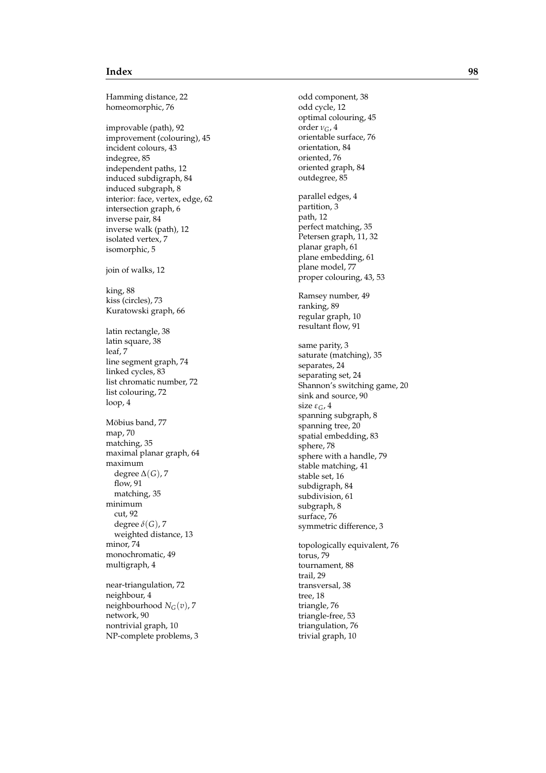Hamming distance, 22 homeomorphic, 76 improvable (path), 92 improvement (colouring), 45 incident colours, 43 indegree, 85 independent paths, 12 induced subdigraph, 84 induced subgraph, 8 interior: face, vertex, edge, 62 intersection graph, 6 inverse pair, 84 inverse walk (path), 12 isolated vertex, 7 isomorphic, 5 join of walks, 12 king, 88 kiss (circles), 73 Kuratowski graph, 66 latin rectangle, 38 latin square, 38 leaf, 7 line segment graph, 74 linked cycles, 83 list chromatic number, 72 list colouring, 72 loop, 4 Möbius band, 77 map, 70 matching, 35 maximal planar graph, 64 maximum degree ∆ ( *G* ), 7 flow, 91 matching, 35 minimum cut, 92 degree *δ* ( *G* ), 7 weighted distance, 13 minor, 74 monochromatic, 49 multigraph, 4 near-triangulation, 72 neighbour, 4 neighbourhood *N<sup>G</sup>* ( *v* ), 7 network, 90

nontrivial graph, 10 NP-complete problems, 3

odd component, 38 odd cycle, 12 optimal colouring, 45 order *ν <sup>G</sup>*, 4 orientable surface, 76 orientation, 84 oriented, 76 oriented graph, 84 outdegree, 85 parallel edges, 4 partition, 3 path, 12 perfect matching, 35 Petersen graph, 11, 32 planar graph, 61 plane embedding, 61 plane model, 77 proper colouring, 43, 53 Ramsey number, 49 ranking, 89 regular graph, 10 resultant flow, 91 same parity, 3 saturate (matching), 35 separates, 24 separating set, 24 Shannon's switching game, 20 sink and source, 90 size *ε <sup>G</sup>*, 4 spanning subgraph, 8 spanning tree, 20 spatial embedding, 83 sphere, 78 sphere with a handle, 79 stable matching, 41 stable set, 16 subdigraph, 84 subdivision, 61 subgraph, 8 surface, 76 symmetric difference, 3 topologically equivalent, 76 torus, 79 tournament, 88 trail, 29 transversal, 38 tree, 18 triangle, 76 triangle-free, 53 triangulation, 76 trivial graph, 10